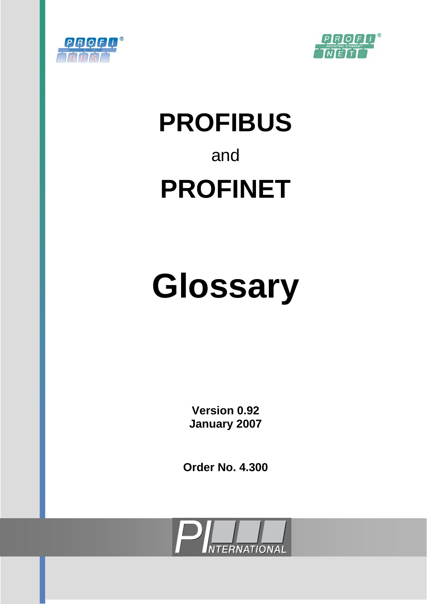



## **PROFIBUS**  and **PROFINET**

# **Glossary**

 **Version 0.92 January 2007** 

**Order No. 4.300** 

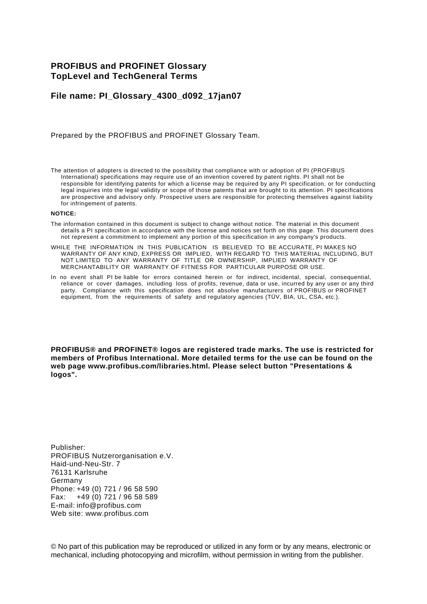### **PROFIBUS and PROFINET Glossary TopLevel and TechGeneral Terms**

#### **File name: PI\_Glossary\_4300\_d092\_17jan07**

Prepared by the PROFIBUS and PROFINET Glossary Team.

The attention of adopters is directed to the possibility that compliance with or adoption of PI (PROFIBUS International) specifications may require use of an invention covered by patent rights. PI shall not be responsible for identifying patents for which a license may be required by any PI specification, or for conducting legal inquiries into the legal validity or scope of those patents that are brought to its attention. PI specifications are prospective and advisory only. Prospective users are responsible for protecting themselves against liability for infringement of patents.

#### **NOTICE:**

- The information contained in this document is subject to change without notice. The material in this document details a PI specification in accordance with the license and notices set forth on this page. This document does not represent a commitment to implement any portion of this specification in any company's products.
- WHILE THE INFORMATION IN THIS PUBLICATION IS BELIEVED TO BE ACCURATE, PI MAKES NO WARRANTY OF ANY KIND, EXPRESS OR IMPLIED, WITH REGARD TO THIS MATERIAL INCLUDING, BUT NOT LIMITED TO ANY WARRANTY OF TITLE OR OWNERSHIP, IMPLIED WARRANTY OF MERCHANTABILITY OR WARRANTY OF FITNESS FOR PARTICULAR PURPOSE OR USE.
- In no event shall PI be liable for errors contained herein or for indirect, incidental, special, consequential, reliance or cover damages, including loss of profits, revenue, data or use, incurred by any user or any third party. Compliance with this specification does not absolve manufacturers of PROFIBUS or PROFINET equipment, from the requirements of safety and regulatory agencies (TÜV, BIA, UL, CSA, etc.).

**PROFIBUS® and PROFINET® logos are registered trade marks. The use is restricted for members of Profibus International. More detailed terms for the use can be found on the web page www.profibus.com/libraries.html. Please select button "Presentations & logos".** 

Publisher: PROFIBUS Nutzerorganisation e.V. Haid-und-Neu-Str. 7 76131 Karlsruhe Germany Phone: +49 (0) 721 / 96 58 590 Fax: +49 (0) 721 / 96 58 589 E-mail: info@profibus.com Web site: www.profibus.com

© No part of this publication may be reproduced or utilized in any form or by any means, electronic or mechanical, including photocopying and microfilm, without permission in writing from the publisher.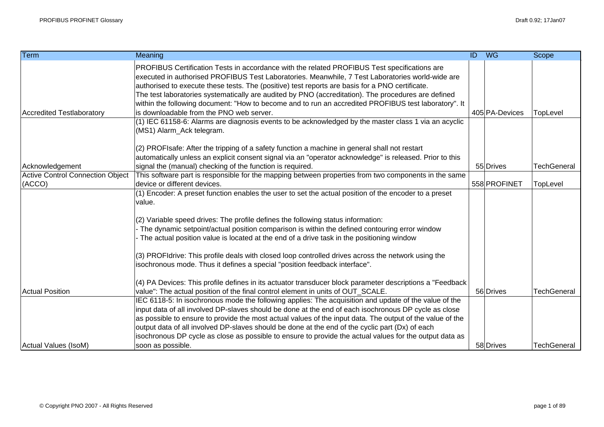| <b>Term</b>                                       | Meaning                                                                                                                                                                                                                                                                                                                                                                                                                                                                                                                                                                                                                                                                                                                                                                                                                                                                                                                                                                                                                                                                                                                                                                                                                 | ID WG          | Scope              |
|---------------------------------------------------|-------------------------------------------------------------------------------------------------------------------------------------------------------------------------------------------------------------------------------------------------------------------------------------------------------------------------------------------------------------------------------------------------------------------------------------------------------------------------------------------------------------------------------------------------------------------------------------------------------------------------------------------------------------------------------------------------------------------------------------------------------------------------------------------------------------------------------------------------------------------------------------------------------------------------------------------------------------------------------------------------------------------------------------------------------------------------------------------------------------------------------------------------------------------------------------------------------------------------|----------------|--------------------|
| Accredited Testlaboratory                         | PROFIBUS Certification Tests in accordance with the related PROFIBUS Test specifications are<br>executed in authorised PROFIBUS Test Laboratories. Meanwhile, 7 Test Laboratories world-wide are<br>authorised to execute these tests. The (positive) test reports are basis for a PNO certificate.<br>The test laboratories systematically are audited by PNO (accreditation). The procedures are defined<br>within the following document: "How to become and to run an accredited PROFIBUS test laboratory". It<br>is downloadable from the PNO web server.                                                                                                                                                                                                                                                                                                                                                                                                                                                                                                                                                                                                                                                          | 405 PA-Devices | TopLevel           |
|                                                   | (1) IEC 61158-6: Alarms are diagnosis events to be acknowledged by the master class 1 via an acyclic<br>(MS1) Alarm_Ack telegram.<br>(2) PROFIsafe: After the tripping of a safety function a machine in general shall not restart<br>automatically unless an explicit consent signal via an "operator acknowledge" is released. Prior to this                                                                                                                                                                                                                                                                                                                                                                                                                                                                                                                                                                                                                                                                                                                                                                                                                                                                          |                |                    |
| Acknowledgement                                   | signal the (manual) checking of the function is required.                                                                                                                                                                                                                                                                                                                                                                                                                                                                                                                                                                                                                                                                                                                                                                                                                                                                                                                                                                                                                                                                                                                                                               | 55 Drives      | <b>TechGeneral</b> |
| <b>Active Control Connection Object</b><br>(ACCO) | This software part is responsible for the mapping between properties from two components in the same<br>device or different devices.                                                                                                                                                                                                                                                                                                                                                                                                                                                                                                                                                                                                                                                                                                                                                                                                                                                                                                                                                                                                                                                                                    | 558 PROFINET   | TopLevel           |
| <b>Actual Position</b>                            | (1) Encoder: A preset function enables the user to set the actual position of the encoder to a preset<br>value.<br>(2) Variable speed drives: The profile defines the following status information:<br>- The dynamic setpoint/actual position comparison is within the defined contouring error window<br>The actual position value is located at the end of a drive task in the positioning window<br>(3) PROFIdrive: This profile deals with closed loop controlled drives across the network using the<br>isochronous mode. Thus it defines a special "position feedback interface".<br>(4) PA Devices: This profile defines in its actuator transducer block parameter descriptions a "Feedback<br>value": The actual position of the final control element in units of OUT_SCALE.<br>IEC 6118-5: In isochronous mode the following applies: The acquisition and update of the value of the<br>input data of all involved DP-slaves should be done at the end of each isochronous DP cycle as close<br>as possible to ensure to provide the most actual values of the input data. The output of the value of the<br>output data of all involved DP-slaves should be done at the end of the cyclic part (Dx) of each | 56 Drives      | <b>TechGeneral</b> |
| Actual Values (IsoM)                              | isochronous DP cycle as close as possible to ensure to provide the actual values for the output data as<br>soon as possible.                                                                                                                                                                                                                                                                                                                                                                                                                                                                                                                                                                                                                                                                                                                                                                                                                                                                                                                                                                                                                                                                                            | 58 Drives      | TechGeneral        |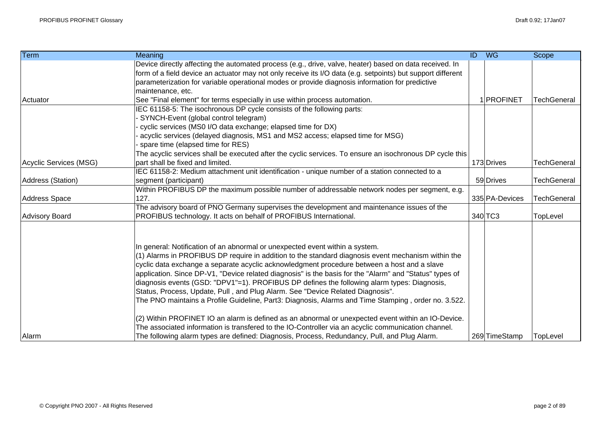| <b>Term</b>            | Meaning                                                                                                                                                                            | $\overline{ID}$ | <b>WG</b>      | Scope              |
|------------------------|------------------------------------------------------------------------------------------------------------------------------------------------------------------------------------|-----------------|----------------|--------------------|
|                        | Device directly affecting the automated process (e.g., drive, valve, heater) based on data received. In                                                                            |                 |                |                    |
|                        | form of a field device an actuator may not only receive its I/O data (e.g. setpoints) but support different                                                                        |                 |                |                    |
|                        | parameterization for variable operational modes or provide diagnosis information for predictive                                                                                    |                 |                |                    |
|                        | maintenance, etc.                                                                                                                                                                  |                 |                |                    |
| Actuator               | See "Final element" for terms especially in use within process automation.                                                                                                         |                 | 1 PROFINET     | <b>TechGeneral</b> |
|                        | IEC 61158-5: The isochronous DP cycle consists of the following parts:                                                                                                             |                 |                |                    |
|                        | SYNCH-Event (global control telegram)                                                                                                                                              |                 |                |                    |
|                        | cyclic services (MS0 I/O data exchange; elapsed time for DX)                                                                                                                       |                 |                |                    |
|                        | acyclic services (delayed diagnosis, MS1 and MS2 access; elapsed time for MSG)                                                                                                     |                 |                |                    |
|                        | spare time (elapsed time for RES)                                                                                                                                                  |                 |                |                    |
|                        | The acyclic services shall be executed after the cyclic services. To ensure an isochronous DP cycle this                                                                           |                 |                |                    |
| Acyclic Services (MSG) | part shall be fixed and limited.                                                                                                                                                   |                 | 173 Drives     | <b>TechGeneral</b> |
|                        | IEC 61158-2: Medium attachment unit identification - unique number of a station connected to a                                                                                     |                 |                |                    |
| Address (Station)      | segment (participant)                                                                                                                                                              |                 | 59 Drives      | <b>TechGeneral</b> |
|                        | Within PROFIBUS DP the maximum possible number of addressable network nodes per segment, e.g.                                                                                      |                 |                |                    |
| <b>Address Space</b>   | 127.                                                                                                                                                                               |                 | 335 PA-Devices | TechGeneral        |
|                        | The advisory board of PNO Germany supervises the development and maintenance issues of the                                                                                         |                 |                |                    |
| <b>Advisory Board</b>  | PROFIBUS technology. It acts on behalf of PROFIBUS International.                                                                                                                  |                 | 340 TC3        | TopLevel           |
|                        | In general: Notification of an abnormal or unexpected event within a system.<br>(1) Alarms in PROFIBUS DP require in addition to the standard diagnosis event mechanism within the |                 |                |                    |
|                        | cyclic data exchange a separate acyclic acknowledgment procedure between a host and a slave                                                                                        |                 |                |                    |
|                        | application. Since DP-V1, "Device related diagnosis" is the basis for the "Alarm" and "Status" types of                                                                            |                 |                |                    |
|                        | diagnosis events (GSD: "DPV1"=1). PROFIBUS DP defines the following alarm types: Diagnosis,                                                                                        |                 |                |                    |
|                        | Status, Process, Update, Pull, and Plug Alarm. See "Device Related Diagnosis".                                                                                                     |                 |                |                    |
|                        | The PNO maintains a Profile Guideline, Part3: Diagnosis, Alarms and Time Stamping, order no. 3.522.                                                                                |                 |                |                    |
|                        | (2) Within PROFINET IO an alarm is defined as an abnormal or unexpected event within an IO-Device.                                                                                 |                 |                |                    |
|                        | The associated information is transfered to the IO-Controller via an acyclic communication channel.                                                                                |                 |                |                    |
| Alarm                  | The following alarm types are defined: Diagnosis, Process, Redundancy, Pull, and Plug Alarm.                                                                                       |                 | 269 TimeStamp  | TopLevel           |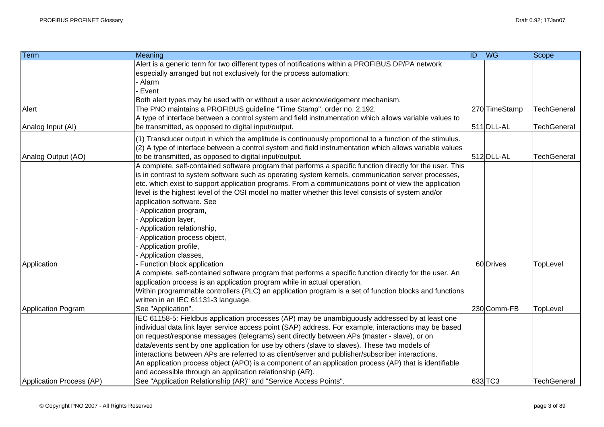| <b>Term</b>               | Meaning                                                                                                   | ID WG         | Scope              |
|---------------------------|-----------------------------------------------------------------------------------------------------------|---------------|--------------------|
|                           | Alert is a generic term for two different types of notifications within a PROFIBUS DP/PA network          |               |                    |
|                           | especially arranged but not exclusively for the process automation:                                       |               |                    |
|                           | - Alarm                                                                                                   |               |                    |
|                           | - Event                                                                                                   |               |                    |
|                           | Both alert types may be used with or without a user acknowledgement mechanism.                            |               |                    |
| Alert                     | The PNO maintains a PROFIBUS guideline "Time Stamp", order no. 2.192.                                     | 270 TimeStamp | <b>TechGeneral</b> |
|                           | A type of interface between a control system and field instrumentation which allows variable values to    |               |                    |
| Analog Input (AI)         | be transmitted, as opposed to digital input/output.                                                       | 511 DLL-AL    | <b>TechGeneral</b> |
|                           | (1) Transducer output in which the amplitude is continuously proportional to a function of the stimulus.  |               |                    |
|                           | (2) A type of interface between a control system and field instrumentation which allows variable values   |               |                    |
| Analog Output (AO)        | to be transmitted, as opposed to digital input/output.                                                    | 512 DLL-AL    | <b>TechGeneral</b> |
|                           | A complete, self-contained software program that performs a specific function directly for the user. This |               |                    |
|                           | is in contrast to system software such as operating system kernels, communication server processes,       |               |                    |
|                           | etc. which exist to support application programs. From a communications point of view the application     |               |                    |
|                           | level is the highest level of the OSI model no matter whether this level consists of system and/or        |               |                    |
|                           | application software. See                                                                                 |               |                    |
|                           | - Application program,                                                                                    |               |                    |
|                           | - Application layer,                                                                                      |               |                    |
|                           | Application relationship,                                                                                 |               |                    |
|                           | Application process object,                                                                               |               |                    |
|                           | Application profile,                                                                                      |               |                    |
|                           | Application classes,                                                                                      |               |                    |
| Application               | Function block application                                                                                | 60 Drives     | TopLevel           |
|                           | A complete, self-contained software program that performs a specific function directly for the user. An   |               |                    |
|                           | application process is an application program while in actual operation.                                  |               |                    |
|                           | Within programmable controllers (PLC) an application program is a set of function blocks and functions    |               |                    |
|                           | written in an IEC 61131-3 language.                                                                       |               |                    |
| <b>Application Pogram</b> | See "Application".                                                                                        | 230 Comm-FB   | TopLevel           |
|                           | IEC 61158-5: Fieldbus application processes (AP) may be unambiguously addressed by at least one           |               |                    |
|                           | individual data link layer service access point (SAP) address. For example, interactions may be based     |               |                    |
|                           | on request/response messages (telegrams) sent directly between APs (master - slave), or on                |               |                    |
|                           | data/events sent by one application for use by others (slave to slaves). These two models of              |               |                    |
|                           | interactions between APs are referred to as client/server and publisher/subscriber interactions.          |               |                    |
|                           | An application process object (APO) is a component of an application process (AP) that is identifiable    |               |                    |
|                           | and accessible through an application relationship (AR).                                                  |               |                    |
| Application Process (AP)  | See "Application Relationship (AR)" and "Service Access Points".                                          | 633 TC3       | <b>TechGeneral</b> |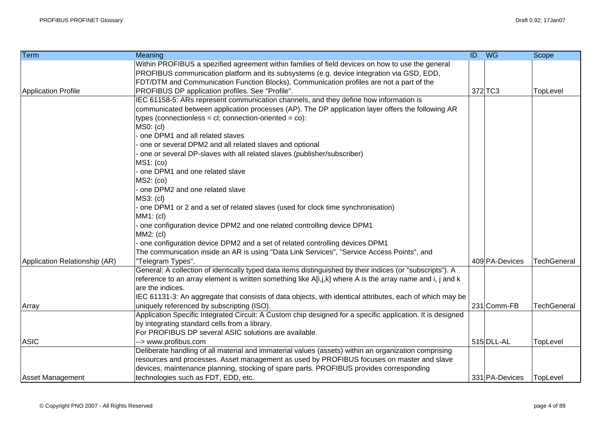| <b>Term</b>                   | Meaning                                                                                                    | ID WG |                | Scope              |
|-------------------------------|------------------------------------------------------------------------------------------------------------|-------|----------------|--------------------|
|                               | Within PROFIBUS a spezified agreement within families of field devices on how to use the general           |       |                |                    |
|                               | PROFIBUS communication platform and its subsystems (e.g. device integration via GSD, EDD,                  |       |                |                    |
|                               | FDT/DTM and Communication Function Blocks). Communication profiles are not a part of the                   |       |                |                    |
| <b>Application Profile</b>    | PROFIBUS DP application profiles. See "Profile".                                                           |       | 372 TC3        | TopLevel           |
|                               | IEC 61158-5: ARs represent communication channels, and they define how information is                      |       |                |                    |
|                               | communicated between application processes (AP). The DP application layer offers the following AR          |       |                |                    |
|                               | types (connectionless = $cl$ ; connection-oriented = $co$ ):                                               |       |                |                    |
|                               | MSO: (cl)                                                                                                  |       |                |                    |
|                               | one DPM1 and all related slaves                                                                            |       |                |                    |
|                               | one or several DPM2 and all related slaves and optional                                                    |       |                |                    |
|                               | one or several DP-slaves with all related slaves (publisher/subscriber)                                    |       |                |                    |
|                               | MS1: (co)                                                                                                  |       |                |                    |
|                               | - one DPM1 and one related slave                                                                           |       |                |                    |
|                               | MS2: (co)                                                                                                  |       |                |                    |
|                               | one DPM2 and one related slave                                                                             |       |                |                    |
|                               | MS3: (cl)                                                                                                  |       |                |                    |
|                               | one DPM1 or 2 and a set of related slaves (used for clock time synchronisation)                            |       |                |                    |
|                               | MM1: (cl)                                                                                                  |       |                |                    |
|                               | - one configuration device DPM2 and one related controlling device DPM1                                    |       |                |                    |
|                               | MM2: (cl)                                                                                                  |       |                |                    |
|                               | one configuration device DPM2 and a set of related controlling devices DPM1                                |       |                |                    |
|                               | The communication inside an AR is using "Data Link Services", "Service Access Points", and                 |       |                |                    |
| Application Relationship (AR) | "Telegram Types".                                                                                          |       | 409 PA-Devices | TechGeneral        |
|                               | General: A collection of identically typed data items distinguished by their indices (or "subscripts"). A  |       |                |                    |
|                               | reference to an array element is written something like A[i,j,k] where A is the array name and i, j and k  |       |                |                    |
|                               | are the indices.                                                                                           |       |                |                    |
|                               | IEC 61131-3: An aggregate that consists of data objects, with identical attributes, each of which may be   |       |                |                    |
| Array                         | uniquely referenced by subscripting (ISO).                                                                 |       | 231 Comm-FB    | <b>TechGeneral</b> |
|                               | Application Specific Integrated Circuit: A Custom chip designed for a specific application. It is designed |       |                |                    |
|                               | by integrating standard cells from a library.                                                              |       |                |                    |
|                               | For PROFIBUS DP several ASIC solutions are available.                                                      |       |                |                    |
| <b>ASIC</b>                   | --> www.profibus.com                                                                                       |       | 515 DLL-AL     | TopLevel           |
|                               | Deliberate handling of all material and immaterial values (assets) within an organization comprising       |       |                |                    |
|                               | resources and processes. Asset management as used by PROFIBUS focuses on master and slave                  |       |                |                    |
|                               | devices, maintenance planning, stocking of spare parts. PROFIBUS provides corresponding                    |       |                |                    |
| <b>Asset Management</b>       | technologies such as FDT, EDD, etc.                                                                        |       | 331 PA-Devices | TopLevel           |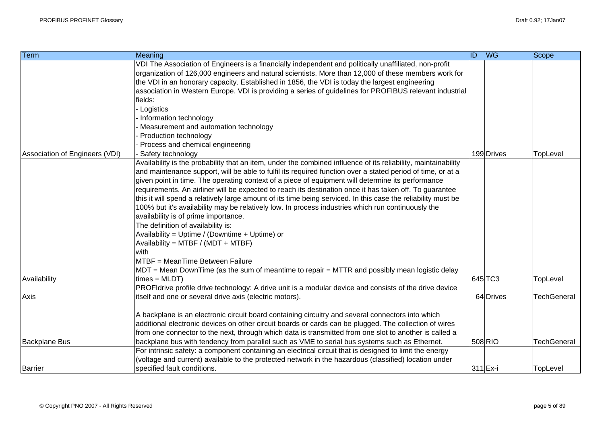| Term                           | Meaning                                                                                                        | <b>WG</b><br>$\overline{ID}$ | Scope              |
|--------------------------------|----------------------------------------------------------------------------------------------------------------|------------------------------|--------------------|
|                                | VDI The Association of Engineers is a financially independent and politically unaffiliated, non-profit         |                              |                    |
|                                | organization of 126,000 engineers and natural scientists. More than 12,000 of these members work for           |                              |                    |
|                                | the VDI in an honorary capacity. Established in 1856, the VDI is today the largest engineering                 |                              |                    |
|                                | association in Western Europe. VDI is providing a series of guidelines for PROFIBUS relevant industrial        |                              |                    |
|                                | fields:                                                                                                        |                              |                    |
|                                | - Logistics                                                                                                    |                              |                    |
|                                | Information technology                                                                                         |                              |                    |
|                                | Measurement and automation technology                                                                          |                              |                    |
|                                | Production technology                                                                                          |                              |                    |
|                                | Process and chemical engineering                                                                               |                              |                    |
| Association of Engineers (VDI) | Safety technology                                                                                              | 199 Drives                   | TopLevel           |
|                                | Availability is the probability that an item, under the combined influence of its reliability, maintainability |                              |                    |
|                                | and maintenance support, will be able to fulfil its required function over a stated period of time, or at a    |                              |                    |
|                                | given point in time. The operating context of a piece of equipment will determine its performance              |                              |                    |
|                                | requirements. An airliner will be expected to reach its destination once it has taken off. To guarantee        |                              |                    |
|                                | this it will spend a relatively large amount of its time being serviced. In this case the reliability must be  |                              |                    |
|                                | 100% but it's availability may be relatively low. In process industries which run continuously the             |                              |                    |
|                                | availability is of prime importance.                                                                           |                              |                    |
|                                | The definition of availability is:                                                                             |                              |                    |
|                                | Availability = Uptime / (Downtime + Uptime) or                                                                 |                              |                    |
|                                | Availability = MTBF / (MDT + MTBF)                                                                             |                              |                    |
|                                | with                                                                                                           |                              |                    |
|                                | MTBF = MeanTime Between Failure                                                                                |                              |                    |
|                                | MDT = Mean DownTime (as the sum of meantime to repair = MTTR and possibly mean logistic delay                  |                              |                    |
| Availability                   | $times = MLDT$                                                                                                 | 645 TC3                      | TopLevel           |
|                                | PROFIdrive profile drive technology: A drive unit is a modular device and consists of the drive device         |                              |                    |
| Axis                           | itself and one or several drive axis (electric motors).                                                        | 64 Drives                    | <b>TechGeneral</b> |
|                                |                                                                                                                |                              |                    |
|                                | A backplane is an electronic circuit board containing circuitry and several connectors into which              |                              |                    |
|                                | additional electronic devices on other circuit boards or cards can be plugged. The collection of wires         |                              |                    |
|                                |                                                                                                                |                              |                    |
|                                | from one connector to the next, through which data is transmitted from one slot to another is called a         | 508 RIO                      | <b>TechGeneral</b> |
| <b>Backplane Bus</b>           | backplane bus with tendency from parallel such as VME to serial bus systems such as Ethernet.                  |                              |                    |
|                                | For intrinsic safety: a component containing an electrical circuit that is designed to limit the energy        |                              |                    |
|                                | (voltage and current) available to the protected network in the hazardous (classified) location under          |                              |                    |
| <b>Barrier</b>                 | specified fault conditions.                                                                                    | $311$ Ex-i                   | TopLevel           |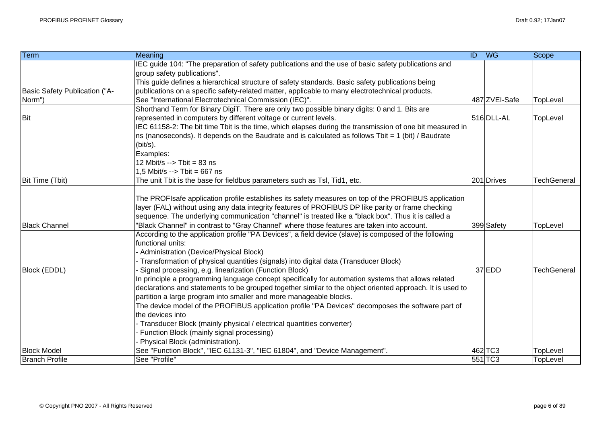| <b>Term</b>                   | Meaning                                                                                                                     | $\overline{1}$ | <b>WG</b>     | Scope              |
|-------------------------------|-----------------------------------------------------------------------------------------------------------------------------|----------------|---------------|--------------------|
|                               | IEC guide 104: "The preparation of safety publications and the use of basic safety publications and                         |                |               |                    |
|                               | group safety publications".                                                                                                 |                |               |                    |
|                               | This guide defines a hierarchical structure of safety standards. Basic safety publications being                            |                |               |                    |
| Basic Safety Publication ("A- | publications on a specific safety-related matter, applicable to many electrotechnical products.                             |                |               |                    |
| Norm")                        | See "International Electrotechnical Commission (IEC)".                                                                      |                | 487 ZVEI-Safe | TopLevel           |
|                               | Shorthand Term for Binary DigiT. There are only two possible binary digits: 0 and 1. Bits are                               |                |               |                    |
| Bit                           | represented in computers by different voltage or current levels.                                                            |                | 516 DLL-AL    | TopLevel           |
|                               | IEC 61158-2: The bit time Tbit is the time, which elapses during the transmission of one bit measured in                    |                |               |                    |
|                               | ns (nanoseconds). It depends on the Baudrate and is calculated as follows Tbit = $1$ (bit) / Baudrate                       |                |               |                    |
|                               | $(bit/s)$ .                                                                                                                 |                |               |                    |
|                               | Examples:                                                                                                                   |                |               |                    |
|                               | 12 Mbit/s $\rightarrow$ Tbit = 83 ns                                                                                        |                |               |                    |
|                               | 1,5 Mbit/s --> Tbit = 667 ns                                                                                                |                |               |                    |
| Bit Time (Tbit)               | The unit Tbit is the base for fieldbus parameters such as Tsl, Tid1, etc.                                                   |                | 201 Drives    | <b>TechGeneral</b> |
|                               |                                                                                                                             |                |               |                    |
|                               | The PROFIsafe application profile establishes its safety measures on top of the PROFIBUS application                        |                |               |                    |
|                               | layer (FAL) without using any data integrity features of PROFIBUS DP like parity or frame checking                          |                |               |                    |
|                               | sequence. The underlying communication "channel" is treated like a "black box". Thus it is called a                         |                |               |                    |
| <b>Black Channel</b>          | "Black Channel" in contrast to "Gray Channel" where those features are taken into account.                                  |                | 399 Safety    | TopLevel           |
|                               | According to the application profile "PA Devices", a field device (slave) is composed of the following<br>functional units: |                |               |                    |
|                               | Administration (Device/Physical Block)                                                                                      |                |               |                    |
|                               | Transformation of physical quantities (signals) into digital data (Transducer Block)                                        |                |               |                    |
| Block (EDDL)                  | Signal processing, e.g. linearization (Function Block)                                                                      |                | 37 EDD        | <b>TechGeneral</b> |
|                               | In principle a programming language concept specifically for automation systems that allows related                         |                |               |                    |
|                               | declarations and statements to be grouped together similar to the object oriented approach. It is used to                   |                |               |                    |
|                               | partition a large program into smaller and more manageable blocks.                                                          |                |               |                    |
|                               | The device model of the PROFIBUS application profile "PA Devices" decomposes the software part of                           |                |               |                    |
|                               | the devices into                                                                                                            |                |               |                    |
|                               |                                                                                                                             |                |               |                    |
|                               | - Transducer Block (mainly physical / electrical quantities converter)                                                      |                |               |                    |
|                               | Function Block (mainly signal processing)                                                                                   |                |               |                    |
|                               | Physical Block (administration).                                                                                            |                |               |                    |
| <b>Block Model</b>            | See "Function Block", "IEC 61131-3", "IEC 61804", and "Device Management".                                                  |                | 462 TC3       | TopLevel           |
| <b>Branch Profile</b>         | See "Profile"                                                                                                               |                | 551 TC3       | TopLevel           |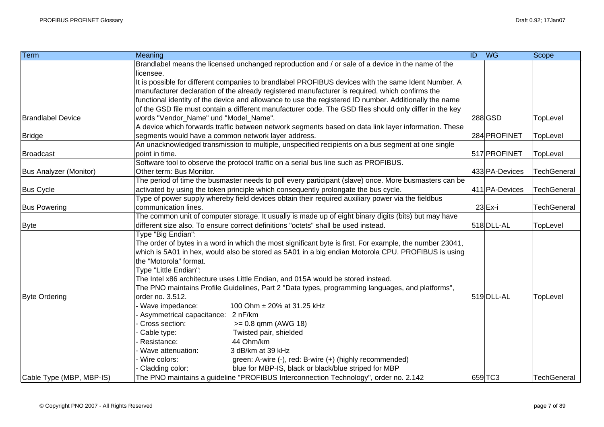| <b>Term</b>                   | Meaning                                                                                                  | ID WG          | Scope              |
|-------------------------------|----------------------------------------------------------------------------------------------------------|----------------|--------------------|
|                               | Brandlabel means the licensed unchanged reproduction and / or sale of a device in the name of the        |                |                    |
|                               | licensee.                                                                                                |                |                    |
|                               | It is possible for different companies to brandlabel PROFIBUS devices with the same Ident Number. A      |                |                    |
|                               | manufacturer declaration of the already registered manufacturer is required, which confirms the          |                |                    |
|                               | functional identity of the device and allowance to use the registered ID number. Additionally the name   |                |                    |
|                               | of the GSD file must contain a different manufacturer code. The GSD files should only differ in the key  |                |                    |
| <b>Brandlabel Device</b>      | words "Vendor_Name" und "Model_Name".                                                                    | 288 GSD        | TopLevel           |
|                               | A device which forwards traffic between network segments based on data link layer information. These     |                |                    |
| Bridge                        | segments would have a common network layer address.                                                      | 284 PROFINET   | TopLevel           |
|                               | An unacknowledged transmission to multiple, unspecified recipients on a bus segment at one single        |                |                    |
| <b>Broadcast</b>              | point in time.                                                                                           | 517 PROFINET   | TopLevel           |
|                               | Software tool to observe the protocol traffic on a serial bus line such as PROFIBUS.                     |                |                    |
| <b>Bus Analyzer (Monitor)</b> | Other term: Bus Monitor.                                                                                 | 433 PA-Devices | <b>TechGeneral</b> |
|                               | The period of time the busmaster needs to poll every participant (slave) once. More busmasters can be    |                |                    |
| <b>Bus Cycle</b>              | activated by using the token principle which consequently prolongate the bus cycle.                      | 411 PA-Devices | TechGeneral        |
|                               | Type of power supply whereby field devices obtain their required auxiliary power via the fieldbus        |                |                    |
| <b>Bus Powering</b>           | communication lines.                                                                                     | $23$ Ex-i      | <b>TechGeneral</b> |
|                               | The common unit of computer storage. It usually is made up of eight binary digits (bits) but may have    |                |                    |
| <b>Byte</b>                   | different size also. To ensure correct definitions "octets" shall be used instead.                       | 518 DLL-AL     | TopLevel           |
|                               | Type "Big Endian":                                                                                       |                |                    |
|                               | The order of bytes in a word in which the most significant byte is first. For example, the number 23041, |                |                    |
|                               | which is 5A01 in hex, would also be stored as 5A01 in a big endian Motorola CPU. PROFIBUS is using       |                |                    |
|                               | the "Motorola" format.                                                                                   |                |                    |
|                               | Type "Little Endian":                                                                                    |                |                    |
|                               | The Intel x86 architecture uses Little Endian, and 015A would be stored instead.                         |                |                    |
|                               | The PNO maintains Profile Guidelines, Part 2 "Data types, programming languages, and platforms",         |                |                    |
| <b>Byte Ordering</b>          | order no. 3.512.                                                                                         | 519 DLL-AL     | TopLevel           |
|                               | 100 Ohm ± 20% at 31.25 kHz<br>Wave impedance:                                                            |                |                    |
|                               | Asymmetrical capacitance: 2 nF/km                                                                        |                |                    |
|                               | Cross section:<br>$>= 0.8$ qmm (AWG 18)                                                                  |                |                    |
|                               | Cable type:<br>Twisted pair, shielded                                                                    |                |                    |
|                               | Resistance:<br>44 Ohm/km                                                                                 |                |                    |
|                               | Wave attenuation:<br>3 dB/km at 39 kHz                                                                   |                |                    |
|                               | Wire colors:<br>green: A-wire (-), red: B-wire (+) (highly recommended)                                  |                |                    |
|                               | Cladding color:<br>blue for MBP-IS, black or black/blue striped for MBP                                  |                |                    |
| Cable Type (MBP, MBP-IS)      | The PNO maintains a guideline "PROFIBUS Interconnection Technology", order no. 2.142                     | 659 TC3        | TechGeneral        |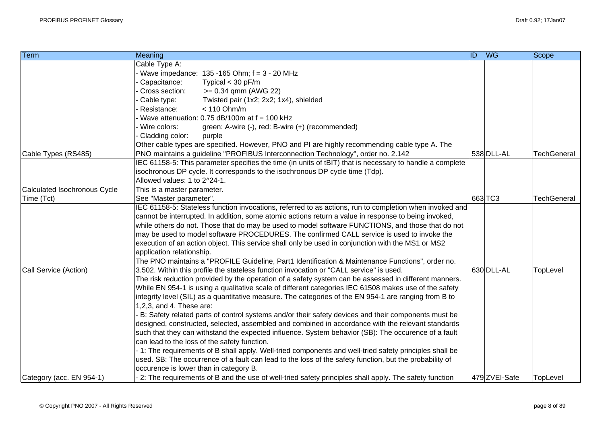| Term                         | Meaning                                                                                                  | <b>ID WG</b>  | Scope              |
|------------------------------|----------------------------------------------------------------------------------------------------------|---------------|--------------------|
|                              | Cable Type A:                                                                                            |               |                    |
|                              | - Wave impedance: 135 -165 Ohm; f = 3 - 20 MHz                                                           |               |                    |
|                              | Capacitance:<br>Typical $<$ 30 pF/m                                                                      |               |                    |
|                              | Cross section:<br>$= 0.34$ qmm (AWG 22)                                                                  |               |                    |
|                              | Cable type:<br>Twisted pair (1x2; 2x2; 1x4), shielded                                                    |               |                    |
|                              | $< 110$ Ohm/m<br>Resistance:                                                                             |               |                    |
|                              | Wave attenuation: 0.75 dB/100m at f = 100 kHz                                                            |               |                    |
|                              | - Wire colors:<br>green: A-wire (-), red: B-wire (+) (recommended)                                       |               |                    |
|                              | - Cladding color:<br>purple                                                                              |               |                    |
|                              | Other cable types are specified. However, PNO and PI are highly recommending cable type A. The           |               |                    |
| Cable Types (RS485)          | PNO maintains a guideline "PROFIBUS Interconnection Technology", order no. 2.142                         | 538 DLL-AL    | <b>TechGeneral</b> |
|                              | IEC 61158-5: This parameter specifies the time (in units of tBIT) that is necessary to handle a complete |               |                    |
|                              | isochronous DP cycle. It corresponds to the isochronous DP cycle time (Tdp).                             |               |                    |
|                              | Allowed values: 1 to 2^24-1.                                                                             |               |                    |
| Calculated Isochronous Cycle | This is a master parameter.                                                                              |               |                    |
| Time (Tct)                   | See "Master parameter".                                                                                  | 663 TC3       | <b>TechGeneral</b> |
|                              | IEC 61158-5: Stateless function invocations, referred to as actions, run to completion when invoked and  |               |                    |
|                              | cannot be interrupted. In addition, some atomic actions return a value in response to being invoked,     |               |                    |
|                              | while others do not. Those that do may be used to model software FUNCTIONS, and those that do not        |               |                    |
|                              | may be used to model software PROCEDURES. The confirmed CALL service is used to invoke the               |               |                    |
|                              | execution of an action object. This service shall only be used in conjunction with the MS1 or MS2        |               |                    |
|                              | application relationship.                                                                                |               |                    |
|                              | The PNO maintains a "PROFILE Guideline, Part1 Identification & Maintenance Functions", order no.         |               |                    |
| Call Service (Action)        | 3.502. Within this profile the stateless function invocation or "CALL service" is used.                  | 630 DLL-AL    | TopLevel           |
|                              | The risk reduction provided by the operation of a safety system can be assessed in different manners.    |               |                    |
|                              | While EN 954-1 is using a qualitative scale of different categories IEC 61508 makes use of the safety    |               |                    |
|                              | integrity level (SIL) as a quantitative measure. The categories of the EN 954-1 are ranging from B to    |               |                    |
|                              | 1,2,3, and 4. These are:                                                                                 |               |                    |
|                              | B: Safety related parts of control systems and/or their safety devices and their components must be      |               |                    |
|                              | designed, constructed, selected, assembled and combined in accordance with the relevant standards        |               |                    |
|                              | such that they can withstand the expected influence. System behavior (SB): The occurence of a fault      |               |                    |
|                              | can lead to the loss of the safety function.                                                             |               |                    |
|                              | - 1: The requirements of B shall apply. Well-tried components and well-tried safety principles shall be  |               |                    |
|                              | used. SB: The occurrence of a fault can lead to the loss of the safety function, but the probability of  |               |                    |
|                              | occurence is lower than in category B.                                                                   |               |                    |
| Category (acc. EN 954-1)     | 2: The requirements of B and the use of well-tried safety principles shall apply. The safety function    | 479 ZVEI-Safe | TopLevel           |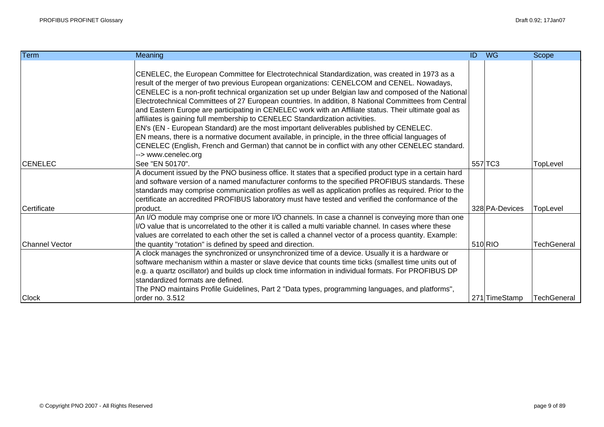| <b>Term</b>           | Meaning                                                                                                                                                                                      | <b>WG</b><br>$\overline{ID}$ |                | Scope              |
|-----------------------|----------------------------------------------------------------------------------------------------------------------------------------------------------------------------------------------|------------------------------|----------------|--------------------|
|                       |                                                                                                                                                                                              |                              |                |                    |
|                       | CENELEC, the European Committee for Electrotechnical Standardization, was created in 1973 as a<br>result of the merger of two previous European organizations: CENELCOM and CENEL. Nowadays, |                              |                |                    |
|                       | CENELEC is a non-profit technical organization set up under Belgian law and composed of the National                                                                                         |                              |                |                    |
|                       | Electrotechnical Committees of 27 European countries. In addition, 8 National Committees from Central                                                                                        |                              |                |                    |
|                       | and Eastern Europe are participating in CENELEC work with an Affiliate status. Their ultimate goal as                                                                                        |                              |                |                    |
|                       | affiliates is gaining full membership to CENELEC Standardization activities.                                                                                                                 |                              |                |                    |
|                       | EN's (EN - European Standard) are the most important deliverables published by CENELEC.                                                                                                      |                              |                |                    |
|                       | EN means, there is a normative document available, in principle, in the three official languages of                                                                                          |                              |                |                    |
|                       | CENELEC (English, French and German) that cannot be in conflict with any other CENELEC standard.                                                                                             |                              |                |                    |
|                       | --> www.cenelec.org                                                                                                                                                                          |                              |                |                    |
| <b>CENELEC</b>        | See "EN 50170".                                                                                                                                                                              | 557 TC3                      |                | TopLevel           |
|                       | A document issued by the PNO business office. It states that a specified product type in a certain hard                                                                                      |                              |                |                    |
|                       | and software version of a named manufacturer conforms to the specified PROFIBUS standards. These                                                                                             |                              |                |                    |
|                       | standards may comprise communication profiles as well as application profiles as required. Prior to the                                                                                      |                              |                |                    |
|                       | certificate an accredited PROFIBUS laboratory must have tested and verified the conformance of the                                                                                           |                              |                |                    |
| Certificate           | product.                                                                                                                                                                                     |                              | 328 PA-Devices | TopLevel           |
|                       | An I/O module may comprise one or more I/O channels. In case a channel is conveying more than one                                                                                            |                              |                |                    |
|                       | I/O value that is uncorrelated to the other it is called a multi variable channel. In cases where these                                                                                      |                              |                |                    |
| <b>Channel Vector</b> | values are correlated to each other the set is called a channel vector of a process quantity. Example:                                                                                       | 510 RIO                      |                | <b>TechGeneral</b> |
|                       | the quantity "rotation" is defined by speed and direction.<br>A clock manages the synchronized or unsynchronized time of a device. Usually it is a hardware or                               |                              |                |                    |
|                       | software mechanism within a master or slave device that counts time ticks (smallest time units out of                                                                                        |                              |                |                    |
|                       | e.g. a quartz oscillator) and builds up clock time information in individual formats. For PROFIBUS DP                                                                                        |                              |                |                    |
|                       | standardized formats are defined.                                                                                                                                                            |                              |                |                    |
|                       | The PNO maintains Profile Guidelines, Part 2 "Data types, programming languages, and platforms",                                                                                             |                              |                |                    |
| Clock                 | order no. 3.512                                                                                                                                                                              |                              | 271 TimeStamp  | TechGeneral        |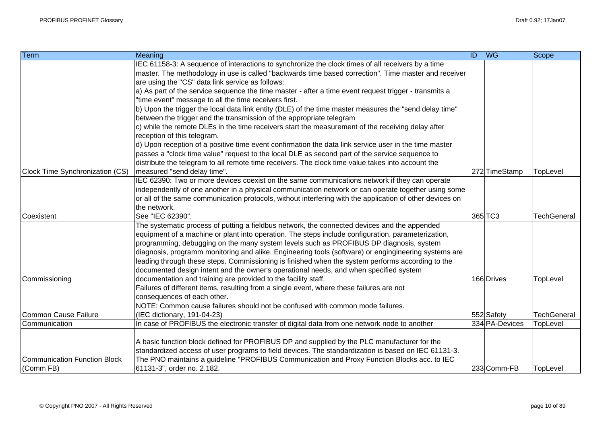| Term                                | Meaning                                                                                                  | ID WG |                | Scope       |
|-------------------------------------|----------------------------------------------------------------------------------------------------------|-------|----------------|-------------|
|                                     | IEC 61158-3: A sequence of interactions to synchronize the clock times of all receivers by a time        |       |                |             |
|                                     | master. The methodology in use is called "backwards time based correction". Time master and receiver     |       |                |             |
|                                     | are using the "CS" data link service as follows:                                                         |       |                |             |
|                                     | a) As part of the service sequence the time master - after a time event request trigger - transmits a    |       |                |             |
|                                     | "time event" message to all the time receivers first.                                                    |       |                |             |
|                                     | b) Upon the trigger the local data link entity (DLE) of the time master measures the "send delay time"   |       |                |             |
|                                     | between the trigger and the transmission of the appropriate telegram                                     |       |                |             |
|                                     | c) while the remote DLEs in the time receivers start the measurement of the receiving delay after        |       |                |             |
|                                     | reception of this telegram.                                                                              |       |                |             |
|                                     | d) Upon reception of a positive time event confirmation the data link service user in the time master    |       |                |             |
|                                     | passes a "clock time value" request to the local DLE as second part of the service sequence to           |       |                |             |
|                                     | distribute the telegram to all remote time receivers. The clock time value takes into account the        |       |                |             |
| Clock Time Synchronization (CS)     | measured "send delay time".                                                                              |       | 272 TimeStamp  | TopLevel    |
|                                     | IEC 62390: Two or more devices coexist on the same communications network if they can operate            |       |                |             |
|                                     | independently of one another in a physical communication network or can operate together using some      |       |                |             |
|                                     | or all of the same communication protocols, without interfering with the application of other devices on |       |                |             |
|                                     | the network.                                                                                             |       |                |             |
| Coexistent                          | See "IEC 62390".                                                                                         |       | 365 TC3        | TechGeneral |
|                                     | The systematic process of putting a fieldbus network, the connected devices and the appended             |       |                |             |
|                                     | equipment of a machine or plant into operation. The steps include configuration, parameterization,       |       |                |             |
|                                     | programming, debugging on the many system levels such as PROFIBUS DP diagnosis, system                   |       |                |             |
|                                     | diagnosis, programm monitoring and alike. Engineering tools (software) or engingineering systems are     |       |                |             |
|                                     | leading through these steps. Commissioning is finished when the system performs according to the         |       |                |             |
|                                     | documented design intent and the owner's operational needs, and when specified system                    |       |                |             |
| Commissioning                       | documentation and training are provided to the facility staff.                                           |       | 166 Drives     | TopLevel    |
|                                     | Failures of different items, resulting from a single event, where these failures are not                 |       |                |             |
|                                     | consequences of each other.                                                                              |       |                |             |
|                                     | NOTE: Common cause failures should not be confused with common mode failures.                            |       |                |             |
| <b>Common Cause Failure</b>         | (IEC dictionary, 191-04-23)                                                                              |       | 552 Safety     | TechGeneral |
| Communication                       | In case of PROFIBUS the electronic transfer of digital data from one network node to another             |       | 334 PA-Devices | TopLevel    |
|                                     |                                                                                                          |       |                |             |
|                                     | A basic function block defined for PROFIBUS DP and supplied by the PLC manufacturer for the              |       |                |             |
|                                     | standardized access of user programs to field devices. The standardization is based on IEC 61131-3.      |       |                |             |
| <b>Communication Function Block</b> | The PNO maintains a guideline "PROFIBUS Communication and Proxy Function Blocks acc. to IEC              |       |                |             |
| (Comm FB)                           | 61131-3", order no. 2.182.                                                                               |       | 233 Comm-FB    | TopLevel    |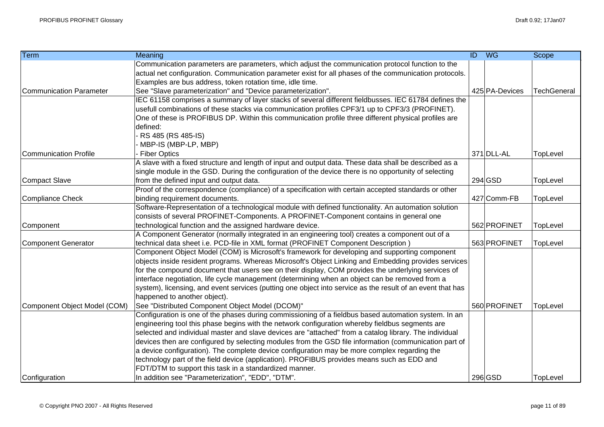| <b>Term</b>                  | Meaning                                                                                                    | $\overline{ID}$ | <b>WG</b>      | <b>Scope</b>       |
|------------------------------|------------------------------------------------------------------------------------------------------------|-----------------|----------------|--------------------|
|                              | Communication parameters are parameters, which adjust the communication protocol function to the           |                 |                |                    |
|                              | actual net configuration. Communication parameter exist for all phases of the communication protocols.     |                 |                |                    |
|                              | Examples are bus address, token rotation time, idle time.                                                  |                 |                |                    |
| Communication Parameter      | See "Slave parameterization" and "Device parameterization".                                                |                 | 425 PA-Devices | <b>TechGeneral</b> |
|                              | IEC 61158 comprises a summary of layer stacks of several different fieldbusses. IEC 61784 defines the      |                 |                |                    |
|                              | usefull combinations of these stacks via communication profiles CPF3/1 up to CPF3/3 (PROFINET).            |                 |                |                    |
|                              | One of these is PROFIBUS DP. Within this communication profile three different physical profiles are       |                 |                |                    |
|                              | defined:                                                                                                   |                 |                |                    |
|                              | - RS 485 (RS 485-IS)                                                                                       |                 |                |                    |
|                              | MBP-IS (MBP-LP, MBP)                                                                                       |                 |                |                    |
| Communication Profile        | Fiber Optics                                                                                               |                 | 371 DLL-AL     | TopLevel           |
|                              | A slave with a fixed structure and length of input and output data. These data shall be described as a     |                 |                |                    |
|                              | single module in the GSD. During the configuration of the device there is no opportunity of selecting      |                 |                |                    |
| <b>Compact Slave</b>         | from the defined input and output data.                                                                    |                 | 294 GSD        | TopLevel           |
|                              | Proof of the correspondence (compliance) of a specification with certain accepted standards or other       |                 |                |                    |
| Compliance Check             | binding requirement documents.                                                                             |                 | 427 Comm-FB    | TopLevel           |
|                              | Software-Representation of a technological module with defined functionality. An automation solution       |                 |                |                    |
|                              | consists of several PROFINET-Components. A PROFINET-Component contains in general one                      |                 |                |                    |
| Component                    | technological function and the assigned hardware device.                                                   |                 | 562 PROFINET   | TopLevel           |
|                              | A Component Generator (normally integrated in an engineering tool) creates a component out of a            |                 |                |                    |
| Component Generator          | technical data sheet i.e. PCD-file in XML format (PROFINET Component Description)                          |                 | 563 PROFINET   | TopLevel           |
|                              | Component Object Model (COM) is Microsoft's framework for developing and supporting component              |                 |                |                    |
|                              | objects inside resident programs. Whereas Microsoft's Object Linking and Embedding provides services       |                 |                |                    |
|                              | for the compound document that users see on their display, COM provides the underlying services of         |                 |                |                    |
|                              | interface negotiation, life cycle management (determining when an object can be removed from a             |                 |                |                    |
|                              | system), licensing, and event services (putting one object into service as the result of an event that has |                 |                |                    |
|                              | happened to another object).                                                                               |                 |                |                    |
| Component Object Model (COM) | See "Distributed Component Object Model (DCOM)"                                                            |                 | 560 PROFINET   | TopLevel           |
|                              | Configuration is one of the phases during commissioning of a fieldbus based automation system. In an       |                 |                |                    |
|                              | engineering tool this phase begins with the network configuration whereby fieldbus segments are            |                 |                |                    |
|                              | selected and individual master and slave devices are "attached" from a catalog library. The individual     |                 |                |                    |
|                              | devices then are configured by selecting modules from the GSD file information (communication part of      |                 |                |                    |
|                              | a device configuration). The complete device configuration may be more complex regarding the               |                 |                |                    |
|                              | technology part of the field device (application). PROFIBUS provides means such as EDD and                 |                 |                |                    |
|                              | FDT/DTM to support this task in a standardized manner.                                                     |                 |                |                    |
| Configuration                | In addition see "Parameterization", "EDD", "DTM".                                                          |                 | 296 GSD        | TopLevel           |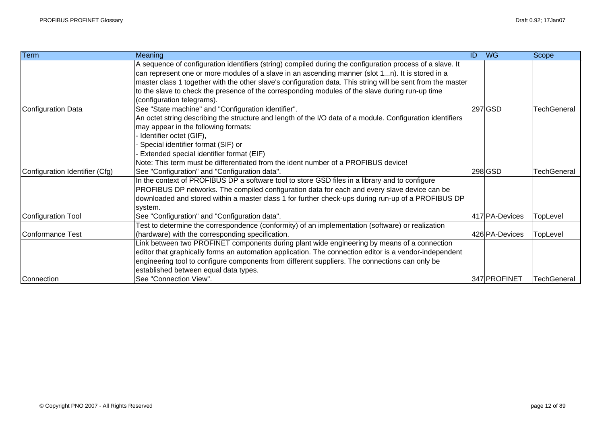| Term                           | <b>Meaning</b>                                                                                              | $\overline{ID}$<br><b>WG</b> | Scope              |
|--------------------------------|-------------------------------------------------------------------------------------------------------------|------------------------------|--------------------|
|                                | A sequence of configuration identifiers (string) compiled during the configuration process of a slave. It   |                              |                    |
|                                | can represent one or more modules of a slave in an ascending manner (slot 1n). It is stored in a            |                              |                    |
|                                | master class 1 together with the other slave's configuration data. This string will be sent from the master |                              |                    |
|                                | to the slave to check the presence of the corresponding modules of the slave during run-up time             |                              |                    |
|                                | (configuration telegrams).                                                                                  |                              |                    |
| Configuration Data             | See "State machine" and "Configuration identifier".                                                         | 297 GSD                      | <b>TechGeneral</b> |
|                                | An octet string describing the structure and length of the I/O data of a module. Configuration identifiers  |                              |                    |
|                                | may appear in the following formats:                                                                        |                              |                    |
|                                | Identifier octet (GIF),                                                                                     |                              |                    |
|                                | Special identifier format (SIF) or                                                                          |                              |                    |
|                                | Extended special identifier format (EIF)                                                                    |                              |                    |
|                                | Note: This term must be differentiated from the ident number of a PROFIBUS device!                          |                              |                    |
| Configuration Identifier (Cfg) | See "Configuration" and "Configuration data".                                                               | 298 GSD                      | <b>TechGeneral</b> |
|                                | In the context of PROFIBUS DP a software tool to store GSD files in a library and to configure              |                              |                    |
|                                | PROFIBUS DP networks. The compiled configuration data for each and every slave device can be                |                              |                    |
|                                | downloaded and stored within a master class 1 for further check-ups during run-up of a PROFIBUS DP          |                              |                    |
|                                | system.                                                                                                     |                              |                    |
| Configuration Tool             | See "Configuration" and "Configuration data".                                                               | 417 PA-Devices               | TopLevel           |
|                                | Test to determine the correspondence (conformity) of an implementation (software) or realization            |                              |                    |
| Conformance Test               | (hardware) with the corresponding specification.                                                            | 426 PA-Devices               | TopLevel           |
|                                | Link between two PROFINET components during plant wide engineering by means of a connection                 |                              |                    |
|                                | editor that graphically forms an automation application. The connection editor is a vendor-independent      |                              |                    |
|                                | engineering tool to configure components from different suppliers. The connections can only be              |                              |                    |
|                                | established between equal data types.                                                                       |                              |                    |
| Connection                     | See "Connection View".                                                                                      | 347 PROFINET                 | TechGeneral        |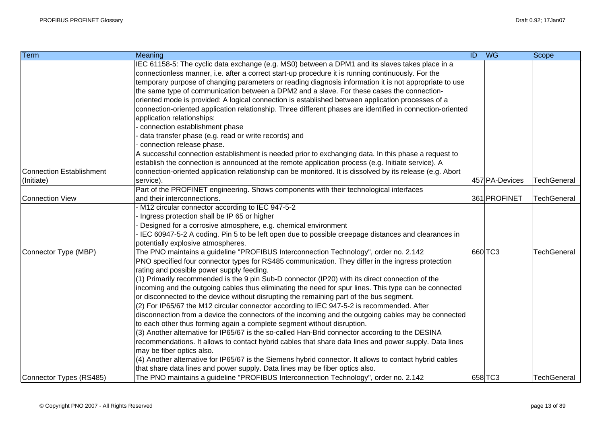| <b>Term</b>                     | Meaning                                                                                                    | <b>ID</b> WG |                | Scope              |
|---------------------------------|------------------------------------------------------------------------------------------------------------|--------------|----------------|--------------------|
|                                 | IEC 61158-5: The cyclic data exchange (e.g. MS0) between a DPM1 and its slaves takes place in a            |              |                |                    |
|                                 | connectionless manner, i.e. after a correct start-up procedure it is running continuously. For the         |              |                |                    |
|                                 | temporary purpose of changing parameters or reading diagnosis information it is not appropriate to use     |              |                |                    |
|                                 | the same type of communication between a DPM2 and a slave. For these cases the connection-                 |              |                |                    |
|                                 | oriented mode is provided: A logical connection is established between application processes of a          |              |                |                    |
|                                 | connection-oriented application relationship. Three different phases are identified in connection-oriented |              |                |                    |
|                                 | application relationships:                                                                                 |              |                |                    |
|                                 | connection establishment phase                                                                             |              |                |                    |
|                                 | data transfer phase (e.g. read or write records) and                                                       |              |                |                    |
|                                 | connection release phase.                                                                                  |              |                |                    |
|                                 | A successful connection establishment is needed prior to exchanging data. In this phase a request to       |              |                |                    |
|                                 | establish the connection is announced at the remote application process (e.g. Initiate service). A         |              |                |                    |
| <b>Connection Establishment</b> | connection-oriented application relationship can be monitored. It is dissolved by its release (e.g. Abort  |              |                |                    |
| (Initiate)                      | service).                                                                                                  |              | 457 PA-Devices | <b>TechGeneral</b> |
|                                 | Part of the PROFINET engineering. Shows components with their technological interfaces                     |              |                |                    |
| <b>Connection View</b>          | and their interconnections.                                                                                |              | 361 PROFINET   | <b>TechGeneral</b> |
|                                 | - M12 circular connector according to IEC 947-5-2                                                          |              |                |                    |
|                                 | Ingress protection shall be IP 65 or higher                                                                |              |                |                    |
|                                 | Designed for a corrosive atmosphere, e.g. chemical environment                                             |              |                |                    |
|                                 | IEC 60947-5-2 A coding. Pin 5 to be left open due to possible creepage distances and clearances in         |              |                |                    |
|                                 | potentially explosive atmospheres.                                                                         |              |                |                    |
| Connector Type (MBP)            | The PNO maintains a guideline "PROFIBUS Interconnection Technology", order no. 2.142                       |              | 660 TC3        | <b>TechGeneral</b> |
|                                 | PNO specified four connector types for RS485 communication. They differ in the ingress protection          |              |                |                    |
|                                 | rating and possible power supply feeding.                                                                  |              |                |                    |
|                                 | (1) Primarily recommended is the 9 pin Sub-D connector (IP20) with its direct connection of the            |              |                |                    |
|                                 | incoming and the outgoing cables thus eliminating the need for spur lines. This type can be connected      |              |                |                    |
|                                 | or disconnected to the device without disrupting the remaining part of the bus segment.                    |              |                |                    |
|                                 | (2) For IP65/67 the M12 circular connector according to IEC 947-5-2 is recommended. After                  |              |                |                    |
|                                 | disconnection from a device the connectors of the incoming and the outgoing cables may be connected        |              |                |                    |
|                                 | to each other thus forming again a complete segment without disruption.                                    |              |                |                    |
|                                 | (3) Another alternative for IP65/67 is the so-called Han-Brid connector according to the DESINA            |              |                |                    |
|                                 | recommendations. It allows to contact hybrid cables that share data lines and power supply. Data lines     |              |                |                    |
|                                 | may be fiber optics also.                                                                                  |              |                |                    |
|                                 | (4) Another alternative for IP65/67 is the Siemens hybrid connector. It allows to contact hybrid cables    |              |                |                    |
|                                 | that share data lines and power supply. Data lines may be fiber optics also.                               |              |                |                    |
| Connector Types (RS485)         | The PNO maintains a guideline "PROFIBUS Interconnection Technology", order no. 2.142                       |              | 658 TC3        | <b>TechGeneral</b> |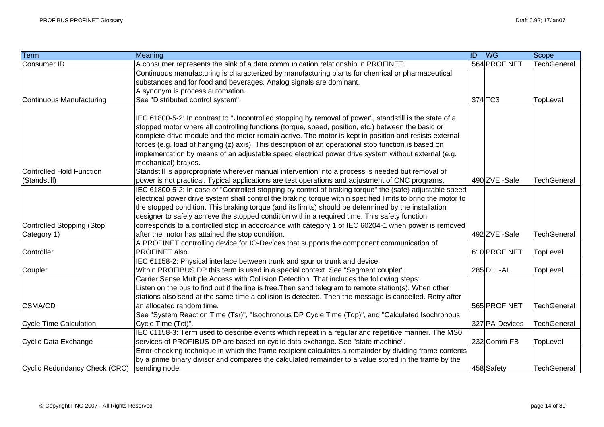| Term                          | Meaning                                                                                                      | ID WG          | Scope              |
|-------------------------------|--------------------------------------------------------------------------------------------------------------|----------------|--------------------|
| Consumer ID                   | A consumer represents the sink of a data communication relationship in PROFINET.                             | 564 PROFINET   | <b>TechGeneral</b> |
|                               | Continuous manufacturing is characterized by manufacturing plants for chemical or pharmaceutical             |                |                    |
|                               | substances and for food and beverages. Analog signals are dominant.                                          |                |                    |
|                               | A synonym is process automation.                                                                             |                |                    |
| Continuous Manufacturing      | See "Distributed control system".                                                                            | $374$ TC3      | TopLevel           |
|                               |                                                                                                              |                |                    |
|                               | IEC 61800-5-2: In contrast to "Uncontrolled stopping by removal of power", standstill is the state of a      |                |                    |
|                               | stopped motor where all controlling functions (torque, speed, position, etc.) between the basic or           |                |                    |
|                               | complete drive module and the motor remain active. The motor is kept in position and resists external        |                |                    |
|                               | forces (e.g. load of hanging (z) axis). This description of an operational stop function is based on         |                |                    |
|                               | implementation by means of an adjustable speed electrical power drive system without external (e.g.          |                |                    |
|                               | mechanical) brakes.                                                                                          |                |                    |
| Controlled Hold Function      | Standstill is appropropriate wherever manual intervention into a process is needed but removal of            |                |                    |
| (Standstill)                  | power is not practical. Typical applications are test operations and adjustment of CNC programs.             | 490 ZVEI-Safe  | <b>TechGeneral</b> |
|                               | IEC 61800-5-2: In case of "Controlled stopping by control of braking torque" the (safe) adjustable speed     |                |                    |
|                               | electrical power drive system shall control the braking torque within specified limits to bring the motor to |                |                    |
|                               | the stopped condition. This braking torque (and its limits) should be determined by the installation         |                |                    |
|                               | designer to safely achieve the stopped condition within a required time. This safety function                |                |                    |
| Controlled Stopping (Stop     | corresponds to a controlled stop in accordance with category 1 of IEC 60204-1 when power is removed          |                |                    |
| Category 1)                   | after the motor has attained the stop condition.                                                             | 492 ZVEI-Safe  | <b>TechGeneral</b> |
|                               | A PROFINET controlling device for IO-Devices that supports the component communication of                    |                |                    |
| Controller                    | PROFINET also.                                                                                               | 610 PROFINET   | TopLevel           |
|                               | IEC 61158-2: Physical interface between trunk and spur or trunk and device.                                  |                |                    |
| Coupler                       | Within PROFIBUS DP this term is used in a special context. See "Segment coupler".                            | 285 DLL-AL     | TopLevel           |
|                               | Carrier Sense Multiple Access with Collision Detection. That includes the following steps:                   |                |                    |
|                               | Listen on the bus to find out if the line is free. Then send telegram to remote station(s). When other       |                |                    |
|                               | stations also send at the same time a collision is detected. Then the message is cancelled. Retry after      |                |                    |
| <b>CSMA/CD</b>                | an allocated random time.                                                                                    | 565 PROFINET   | <b>TechGeneral</b> |
|                               | See "System Reaction Time (Tsr)", "Isochronous DP Cycle Time (Tdp)", and "Calculated Isochronous             |                |                    |
| Cycle Time Calculation        | Cycle Time (Tct)".                                                                                           | 327 PA-Devices | <b>TechGeneral</b> |
|                               | IEC 61158-3: Term used to describe events which repeat in a regular and repetitive manner. The MS0           |                |                    |
| Cyclic Data Exchange          | services of PROFIBUS DP are based on cyclic data exchange. See "state machine".                              | 232 Comm-FB    | TopLevel           |
|                               | Error-checking technique in which the frame recipient calculates a remainder by dividing frame contents      |                |                    |
|                               | by a prime binary divisor and compares the calculated remainder to a value stored in the frame by the        |                |                    |
| Cyclic Redundancy Check (CRC) | sending node.                                                                                                | 458 Safety     | <b>TechGeneral</b> |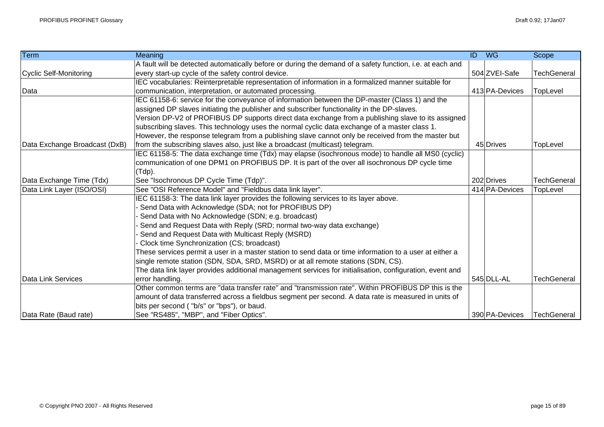| Term                          | Meaning                                                                                                   | $\overline{ID}$ | <b>WG</b>      | Scope              |
|-------------------------------|-----------------------------------------------------------------------------------------------------------|-----------------|----------------|--------------------|
|                               | A fault will be detected automatically before or during the demand of a safety function, i.e. at each and |                 |                |                    |
| Cyclic Self-Monitoring        | every start-up cycle of the safety control device.                                                        |                 | 504 ZVEI-Safe  | <b>TechGeneral</b> |
|                               | IEC vocabularies: Reinterpretable representation of information in a formalized manner suitable for       |                 |                |                    |
| Data                          | communication, interpretation, or automated processing.                                                   |                 | 413 PA-Devices | TopLevel           |
|                               | IEC 61158-6: service for the conveyance of information between the DP-master (Class 1) and the            |                 |                |                    |
|                               | assigned DP slaves initiating the publisher and subscriber functionality in the DP-slaves.                |                 |                |                    |
|                               | Version DP-V2 of PROFIBUS DP supports direct data exchange from a publishing slave to its assigned        |                 |                |                    |
|                               | subscribing slaves. This technology uses the normal cyclic data exchange of a master class 1.             |                 |                |                    |
|                               | However, the response telegram from a publishing slave cannot only be received from the master but        |                 |                |                    |
| Data Exchange Broadcast (DxB) | from the subscribing slaves also, just like a broadcast (multicast) telegram.                             |                 | 45 Drives      | TopLevel           |
|                               | IEC 61158-5: The data exchange time (Tdx) may elapse (isochronous mode) to handle all MS0 (cyclic)        |                 |                |                    |
|                               | communication of one DPM1 on PROFIBUS DP. It is part of the over all isochronous DP cycle time            |                 |                |                    |
|                               | $(Tdp)$ .                                                                                                 |                 |                |                    |
| Data Exchange Time (Tdx)      | See "Isochronous DP Cycle Time (Tdp)".                                                                    |                 | 202 Drives     | <b>TechGeneral</b> |
| Data Link Layer (ISO/OSI)     | See "OSI Reference Model" and "Fieldbus data link layer".                                                 |                 | 414 PA-Devices | TopLevel           |
|                               | IEC 61158-3: The data link layer provides the following services to its layer above.                      |                 |                |                    |
|                               | Send Data with Acknowledge (SDA; not for PROFIBUS DP)                                                     |                 |                |                    |
|                               | Send Data with No Acknowledge (SDN; e.g. broadcast)                                                       |                 |                |                    |
|                               | Send and Request Data with Reply (SRD; normal two-way data exchange)                                      |                 |                |                    |
|                               | Send and Request Data with Multicast Reply (MSRD)                                                         |                 |                |                    |
|                               | Clock time Synchronization (CS; broadcast)                                                                |                 |                |                    |
|                               | These services permit a user in a master station to send data or time information to a user at either a   |                 |                |                    |
|                               | single remote station (SDN, SDA, SRD, MSRD) or at all remote stations (SDN, CS).                          |                 |                |                    |
|                               | The data link layer provides additional management services for initialisation, configuration, event and  |                 |                |                    |
| Data Link Services            | error handling.                                                                                           |                 | 545 DLL-AL     | <b>TechGeneral</b> |
|                               | Other common terms are "data transfer rate" and "transmission rate". Within PROFIBUS DP this is the       |                 |                |                    |
|                               | amount of data transferred across a fieldbus segment per second. A data rate is measured in units of      |                 |                |                    |
|                               | bits per second ("b/s" or "bps"), or baud.                                                                |                 |                |                    |
| Data Rate (Baud rate)         | See "RS485", "MBP", and "Fiber Optics".                                                                   |                 | 390 PA-Devices | TechGeneral        |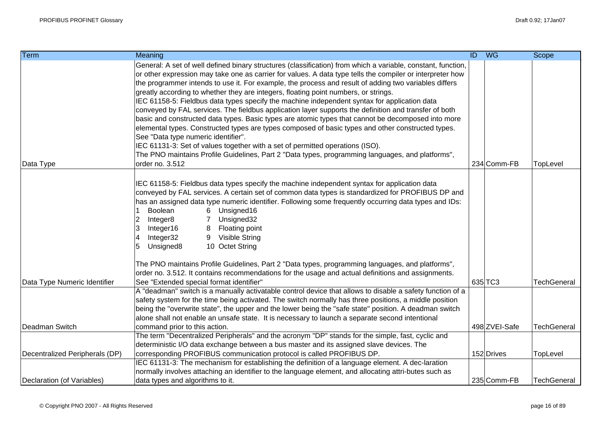| Term                           | <b>Meaning</b>                                                                                                                                                                                                                                                                                                                                                                                                                                                                                                                                                                                                                                                                                                                                                                                                                                                                                                                                                                                                                                                                               | ID WG         | Scope              |
|--------------------------------|----------------------------------------------------------------------------------------------------------------------------------------------------------------------------------------------------------------------------------------------------------------------------------------------------------------------------------------------------------------------------------------------------------------------------------------------------------------------------------------------------------------------------------------------------------------------------------------------------------------------------------------------------------------------------------------------------------------------------------------------------------------------------------------------------------------------------------------------------------------------------------------------------------------------------------------------------------------------------------------------------------------------------------------------------------------------------------------------|---------------|--------------------|
| Data Type                      | General: A set of well defined binary structures (classification) from which a variable, constant, function,<br>or other expression may take one as carrier for values. A data type tells the compiler or interpreter how<br>the programmer intends to use it. For example, the process and result of adding two variables differs<br>greatly according to whether they are integers, floating point numbers, or strings.<br>IEC 61158-5: Fieldbus data types specify the machine independent syntax for application data<br>conveyed by FAL services. The fieldbus application layer supports the definition and transfer of both<br>basic and constructed data types. Basic types are atomic types that cannot be decomposed into more<br>elemental types. Constructed types are types composed of basic types and other constructed types.<br>See "Data type numeric identifier".<br>IEC 61131-3: Set of values together with a set of permitted operations (ISO).<br>The PNO maintains Profile Guidelines, Part 2 "Data types, programming languages, and platforms",<br>order no. 3.512 | 234 Comm-FB   | TopLevel           |
|                                | IEC 61158-5: Fieldbus data types specify the machine independent syntax for application data<br>conveyed by FAL services. A certain set of common data types is standardized for PROFIBUS DP and<br>has an assigned data type numeric identifier. Following some frequently occurring data types and IDs:<br>Boolean<br>6 Unsigned16<br>$\overline{2}$<br>7 Unsigned32<br>Integer8<br>3<br>8 Floating point<br>Integer16<br>9 Visible String<br>4<br>Integer32<br>5<br>10 Octet String<br>Unsigned8                                                                                                                                                                                                                                                                                                                                                                                                                                                                                                                                                                                          |               |                    |
| Data Type Numeric Identifier   | The PNO maintains Profile Guidelines, Part 2 "Data types, programming languages, and platforms",<br>order no. 3.512. It contains recommendations for the usage and actual definitions and assignments.<br>See "Extended special format identifier"                                                                                                                                                                                                                                                                                                                                                                                                                                                                                                                                                                                                                                                                                                                                                                                                                                           | 635 TC3       | <b>TechGeneral</b> |
|                                | A "deadman" switch is a manually activatable control device that allows to disable a safety function of a<br>safety system for the time being activated. The switch normally has three positions, a middle position<br>being the "overwrite state", the upper and the lower being the "safe state" position. A deadman switch<br>alone shall not enable an unsafe state. It is necessary to launch a separate second intentional                                                                                                                                                                                                                                                                                                                                                                                                                                                                                                                                                                                                                                                             |               |                    |
| Deadman Switch                 | command prior to this action.                                                                                                                                                                                                                                                                                                                                                                                                                                                                                                                                                                                                                                                                                                                                                                                                                                                                                                                                                                                                                                                                | 498 ZVEI-Safe | <b>TechGeneral</b> |
|                                | The term "Decentralized Peripherals" and the acronym "DP" stands for the simple, fast, cyclic and                                                                                                                                                                                                                                                                                                                                                                                                                                                                                                                                                                                                                                                                                                                                                                                                                                                                                                                                                                                            |               |                    |
| Decentralized Peripherals (DP) | deterministic I/O data exchange between a bus master and its assigned slave devices. The<br>corresponding PROFIBUS communication protocol is called PROFIBUS DP.                                                                                                                                                                                                                                                                                                                                                                                                                                                                                                                                                                                                                                                                                                                                                                                                                                                                                                                             | 152 Drives    | TopLevel           |
|                                | IEC 61131-3: The mechanism for establishing the definition of a language element. A dec-laration                                                                                                                                                                                                                                                                                                                                                                                                                                                                                                                                                                                                                                                                                                                                                                                                                                                                                                                                                                                             |               |                    |
|                                | normally involves attaching an identifier to the language element, and allocating attri-butes such as                                                                                                                                                                                                                                                                                                                                                                                                                                                                                                                                                                                                                                                                                                                                                                                                                                                                                                                                                                                        |               |                    |
| Declaration (of Variables)     | data types and algorithms to it.                                                                                                                                                                                                                                                                                                                                                                                                                                                                                                                                                                                                                                                                                                                                                                                                                                                                                                                                                                                                                                                             | 235 Comm-FB   | <b>TechGeneral</b> |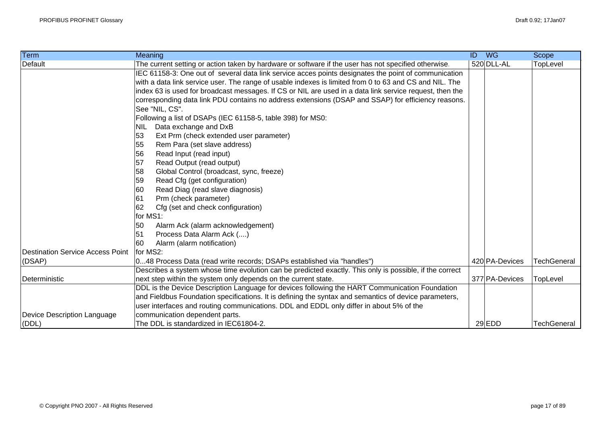| Term                                    | Meaning                                                                                                 | $W$ G<br>ID    | <b>Scope</b>       |
|-----------------------------------------|---------------------------------------------------------------------------------------------------------|----------------|--------------------|
| Default                                 | The current setting or action taken by hardware or software if the user has not specified otherwise.    | 520 DLL-AL     | TopLevel           |
|                                         | IEC 61158-3: One out of several data link service acces points designates the point of communication    |                |                    |
|                                         | with a data link service user. The range of usable indexes is limited from 0 to 63 and CS and NIL. The  |                |                    |
|                                         | index 63 is used for broadcast messages. If CS or NIL are used in a data link service request, then the |                |                    |
|                                         | corresponding data link PDU contains no address extensions (DSAP and SSAP) for efficiency reasons.      |                |                    |
|                                         | See "NIL, CS".                                                                                          |                |                    |
|                                         | Following a list of DSAPs (IEC 61158-5, table 398) for MS0:                                             |                |                    |
|                                         | Data exchange and DxB<br>NIL                                                                            |                |                    |
|                                         | Ext Prm (check extended user parameter)<br>53                                                           |                |                    |
|                                         | 55<br>Rem Para (set slave address)                                                                      |                |                    |
|                                         | 56<br>Read Input (read input)                                                                           |                |                    |
|                                         | 57<br>Read Output (read output)                                                                         |                |                    |
|                                         | 58<br>Global Control (broadcast, sync, freeze)                                                          |                |                    |
|                                         | 59<br>Read Cfg (get configuration)                                                                      |                |                    |
|                                         | Read Diag (read slave diagnosis)<br>60                                                                  |                |                    |
|                                         | Prm (check parameter)<br>61                                                                             |                |                    |
|                                         | 62<br>Cfg (set and check configuration)                                                                 |                |                    |
|                                         | for MS1:                                                                                                |                |                    |
|                                         | 50<br>Alarm Ack (alarm acknowledgement)                                                                 |                |                    |
|                                         | 51<br>Process Data Alarm Ack ()                                                                         |                |                    |
|                                         | 60<br>Alarm (alarm notification)                                                                        |                |                    |
| <b>Destination Service Access Point</b> | for MS2:                                                                                                |                |                    |
| (DSAP)                                  | 048 Process Data (read write records; DSAPs established via "handles")                                  | 420 PA-Devices | <b>TechGeneral</b> |
|                                         | Describes a system whose time evolution can be predicted exactly. This only is possible, if the correct |                |                    |
| Deterministic                           | next step within the system only depends on the current state.                                          | 377 PA-Devices | TopLevel           |
|                                         | DDL is the Device Description Language for devices following the HART Communication Foundation          |                |                    |
|                                         | and Fieldbus Foundation specifications. It is defining the syntax and semantics of device parameters,   |                |                    |
|                                         | user interfaces and routing communications. DDL and EDDL only differ in about 5% of the                 |                |                    |
| Device Description Language             | communication dependent parts.                                                                          |                |                    |
| (DDL)                                   | The DDL is standardized in IEC61804-2.                                                                  | 29 EDD         | <b>TechGeneral</b> |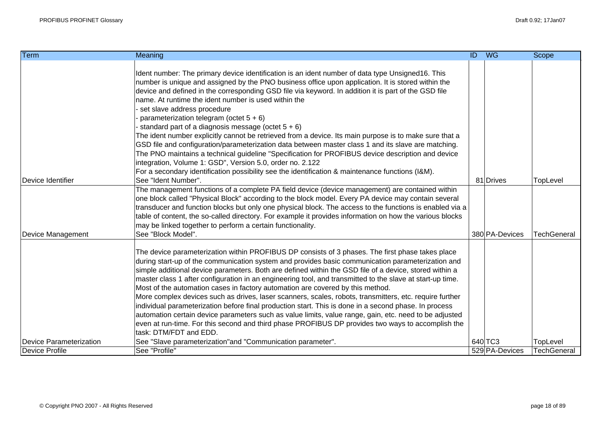| <b>Term</b>             | Meaning                                                                                                                                                                                                                                                                                                                                                                                                                                                                                                                                                                                                                                                                                                                                                                                                                                                                                                                                                                                                                    | ID WG |                | Scope              |
|-------------------------|----------------------------------------------------------------------------------------------------------------------------------------------------------------------------------------------------------------------------------------------------------------------------------------------------------------------------------------------------------------------------------------------------------------------------------------------------------------------------------------------------------------------------------------------------------------------------------------------------------------------------------------------------------------------------------------------------------------------------------------------------------------------------------------------------------------------------------------------------------------------------------------------------------------------------------------------------------------------------------------------------------------------------|-------|----------------|--------------------|
| Device Identifier       | Ident number: The primary device identification is an ident number of data type Unsigned16. This<br>number is unique and assigned by the PNO business office upon application. It is stored within the<br>device and defined in the corresponding GSD file via keyword. In addition it is part of the GSD file<br>name. At runtime the ident number is used within the<br>set slave address procedure<br>parameterization telegram (octet $5 + 6$ )<br>standard part of a diagnosis message (octet $5 + 6$ )<br>The ident number explicitly cannot be retrieved from a device. Its main purpose is to make sure that a<br>GSD file and configuration/parameterization data between master class 1 and its slave are matching.<br>The PNO maintains a technical guideline "Specification for PROFIBUS device description and device<br>integration, Volume 1: GSD", Version 5.0, order no. 2.122<br>For a secondary identification possibility see the identification & maintenance functions (I&M).<br>See "Ident Number". |       | 81 Drives      | TopLevel           |
| Device Management       | The management functions of a complete PA field device (device management) are contained within<br>one block called "Physical Block" according to the block model. Every PA device may contain several<br>transducer and function blocks but only one physical block. The access to the functions is enabled via a<br>table of content, the so-called directory. For example it provides information on how the various blocks<br>may be linked together to perform a certain functionality.<br>See "Block Model".                                                                                                                                                                                                                                                                                                                                                                                                                                                                                                         |       | 380 PA-Devices | TechGeneral        |
|                         | The device parameterization within PROFIBUS DP consists of 3 phases. The first phase takes place<br>during start-up of the communication system and provides basic communication parameterization and<br>simple additional device parameters. Both are defined within the GSD file of a device, stored within a<br>master class 1 after configuration in an engineering tool, and transmitted to the slave at start-up time.<br>Most of the automation cases in factory automation are covered by this method.<br>More complex devices such as drives, laser scanners, scales, robots, transmitters, etc. require further<br>individual parameterization before final production start. This is done in a second phase. In process<br>automation certain device parameters such as value limits, value range, gain, etc. need to be adjusted<br>even at run-time. For this second and third phase PROFIBUS DP provides two ways to accomplish the<br>task: DTM/FDT and EDD.                                                |       |                |                    |
| Device Parameterization | See "Slave parameterization"and "Communication parameter".                                                                                                                                                                                                                                                                                                                                                                                                                                                                                                                                                                                                                                                                                                                                                                                                                                                                                                                                                                 |       | 640 TC3        | TopLevel           |
| <b>Device Profile</b>   | See "Profile"                                                                                                                                                                                                                                                                                                                                                                                                                                                                                                                                                                                                                                                                                                                                                                                                                                                                                                                                                                                                              |       | 529 PA-Devices | <b>TechGeneral</b> |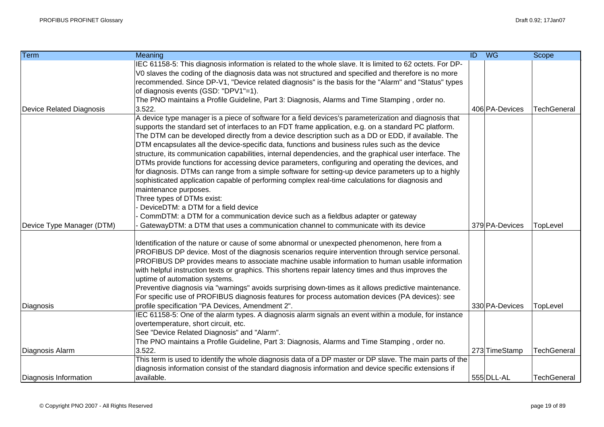| <b>Term</b>                     | Meaning                                                                                                    | $\overline{ID}$ | <b>WG</b>      | Scope              |
|---------------------------------|------------------------------------------------------------------------------------------------------------|-----------------|----------------|--------------------|
|                                 | IEC 61158-5: This diagnosis information is related to the whole slave. It is limited to 62 octets. For DP- |                 |                |                    |
|                                 | V0 slaves the coding of the diagnosis data was not structured and specified and therefore is no more       |                 |                |                    |
|                                 | recommended. Since DP-V1, "Device related diagnosis" is the basis for the "Alarm" and "Status" types       |                 |                |                    |
|                                 | of diagnosis events (GSD: "DPV1"=1).                                                                       |                 |                |                    |
|                                 | The PNO maintains a Profile Guideline, Part 3: Diagnosis, Alarms and Time Stamping, order no.              |                 |                |                    |
| <b>Device Related Diagnosis</b> | 3.522.                                                                                                     |                 | 406 PA-Devices | <b>TechGeneral</b> |
|                                 | A device type manager is a piece of software for a field devices's parameterization and diagnosis that     |                 |                |                    |
|                                 | supports the standard set of interfaces to an FDT frame application, e.g. on a standard PC platform.       |                 |                |                    |
|                                 | The DTM can be developed directly from a device description such as a DD or EDD, if available. The         |                 |                |                    |
|                                 | DTM encapsulates all the device-specific data, functions and business rules such as the device             |                 |                |                    |
|                                 | structure, its communication capabilities, internal dependencies, and the graphical user interface. The    |                 |                |                    |
|                                 | DTMs provide functions for accessing device parameters, configuring and operating the devices, and         |                 |                |                    |
|                                 | for diagnosis. DTMs can range from a simple software for setting-up device parameters up to a highly       |                 |                |                    |
|                                 | sophisticated application capable of performing complex real-time calculations for diagnosis and           |                 |                |                    |
|                                 | maintenance purposes.                                                                                      |                 |                |                    |
|                                 | Three types of DTMs exist:                                                                                 |                 |                |                    |
|                                 | DeviceDTM: a DTM for a field device                                                                        |                 |                |                    |
|                                 | CommDTM: a DTM for a communication device such as a fieldbus adapter or gateway                            |                 |                |                    |
| Device Type Manager (DTM)       | GatewayDTM: a DTM that uses a communication channel to communicate with its device                         |                 | 379 PA-Devices | TopLevel           |
|                                 |                                                                                                            |                 |                |                    |
|                                 | Identification of the nature or cause of some abnormal or unexpected phenomenon, here from a               |                 |                |                    |
|                                 | PROFIBUS DP device. Most of the diagnosis scenarios require intervention through service personal.         |                 |                |                    |
|                                 | PROFIBUS DP provides means to associate machine usable information to human usable information             |                 |                |                    |
|                                 | with helpful instruction texts or graphics. This shortens repair latency times and thus improves the       |                 |                |                    |
|                                 | uptime of automation systems.                                                                              |                 |                |                    |
|                                 | Preventive diagnosis via "warnings" avoids surprising down-times as it allows predictive maintenance.      |                 |                |                    |
|                                 | For specific use of PROFIBUS diagnosis features for process automation devices (PA devices): see           |                 |                |                    |
| Diagnosis                       | profile specification "PA Devices, Amendment 2".                                                           |                 | 330 PA-Devices | TopLevel           |
|                                 | IEC 61158-5: One of the alarm types. A diagnosis alarm signals an event within a module, for instance      |                 |                |                    |
|                                 | overtemperature, short circuit, etc.                                                                       |                 |                |                    |
|                                 | See "Device Related Diagnosis" and "Alarm".                                                                |                 |                |                    |
|                                 | The PNO maintains a Profile Guideline, Part 3: Diagnosis, Alarms and Time Stamping, order no.              |                 |                |                    |
| Diagnosis Alarm                 | 3.522.                                                                                                     |                 | 273 TimeStamp  | <b>TechGeneral</b> |
|                                 | This term is used to identify the whole diagnosis data of a DP master or DP slave. The main parts of the   |                 |                |                    |
|                                 | diagnosis information consist of the standard diagnosis information and device specific extensions if      |                 |                |                    |
| Diagnosis Information           | available.                                                                                                 |                 | 555 DLL-AL     | <b>TechGeneral</b> |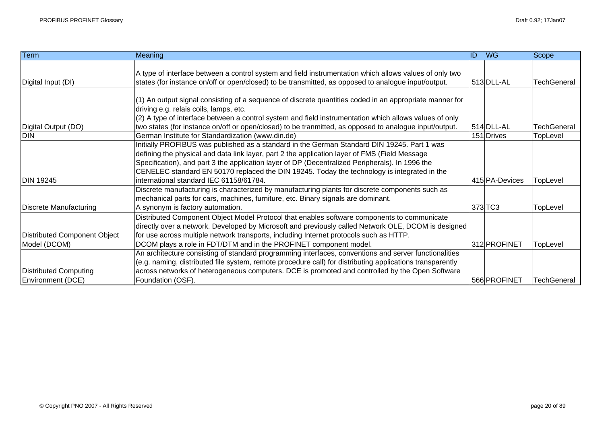| Term                          | <b>Meaning</b>                                                                                            | ID | <b>WG</b>      | Scope              |
|-------------------------------|-----------------------------------------------------------------------------------------------------------|----|----------------|--------------------|
|                               |                                                                                                           |    |                |                    |
|                               | A type of interface between a control system and field instrumentation which allows values of only two    |    |                |                    |
| Digital Input (DI)            | states (for instance on/off or open/closed) to be transmitted, as opposed to analogue input/output.       |    | 513 DLL-AL     | <b>TechGeneral</b> |
|                               | (1) An output signal consisting of a sequence of discrete quantities coded in an appropriate manner for   |    |                |                    |
|                               | driving e.g. relais coils, lamps, etc.                                                                    |    |                |                    |
|                               | (2) A type of interface between a control system and field instrumentation which allows values of only    |    |                |                    |
| Digital Output (DO)           | two states (for instance on/off or open/closed) to be tranmitted, as opposed to analogue input/output.    |    | 514 DLL-AL     | <b>TechGeneral</b> |
| <b>DIN</b>                    | German Institute for Standardization (www.din.de)                                                         |    | 151 Drives     | TopLevel           |
|                               | Initially PROFIBUS was published as a standard in the German Standard DIN 19245. Part 1 was               |    |                |                    |
|                               | defining the physical and data link layer, part 2 the application layer of FMS (Field Message             |    |                |                    |
|                               | Specification), and part 3 the application layer of DP (Decentralized Peripherals). In 1996 the           |    |                |                    |
|                               | CENELEC standard EN 50170 replaced the DIN 19245. Today the technology is integrated in the               |    |                |                    |
| <b>DIN 19245</b>              | international standard IEC 61158/61784.                                                                   |    | 415 PA-Devices | TopLevel           |
|                               | Discrete manufacturing is characterized by manufacturing plants for discrete components such as           |    |                |                    |
|                               | mechanical parts for cars, machines, furniture, etc. Binary signals are dominant.                         |    |                |                    |
| <b>Discrete Manufacturing</b> | A synonym is factory automation.                                                                          |    | $373$ TC3      | TopLevel           |
|                               | Distributed Component Object Model Protocol that enables software components to communicate               |    |                |                    |
|                               | directly over a network. Developed by Microsoft and previously called Network OLE, DCOM is designed       |    |                |                    |
| Distributed Component Object  | for use across multiple network transports, including Internet protocols such as HTTP.                    |    |                |                    |
| Model (DCOM)                  | DCOM plays a role in FDT/DTM and in the PROFINET component model.                                         |    | 312 PROFINET   | TopLevel           |
|                               | An architecture consisting of standard programming interfaces, conventions and server functionalities     |    |                |                    |
|                               | (e.g. naming, distributed file system, remote procedure call) for distributing applications transparently |    |                |                    |
| <b>Distributed Computing</b>  | across networks of heterogeneous computers. DCE is promoted and controlled by the Open Software           |    |                |                    |
| Environment (DCE)             | Foundation (OSF).                                                                                         |    | 566 PROFINET   | <b>TechGeneral</b> |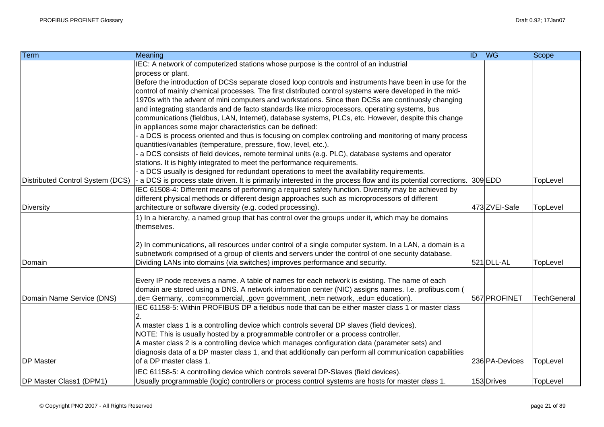| Term                             | Meaning                                                                                                                | <b>ID</b> WG   | Scope              |
|----------------------------------|------------------------------------------------------------------------------------------------------------------------|----------------|--------------------|
|                                  | IEC: A network of computerized stations whose purpose is the control of an industrial                                  |                |                    |
|                                  | process or plant.                                                                                                      |                |                    |
|                                  | Before the introduction of DCSs separate closed loop controls and instruments have been in use for the                 |                |                    |
|                                  | control of mainly chemical processes. The first distributed control systems were developed in the mid-                 |                |                    |
|                                  | 1970s with the advent of mini computers and workstations. Since then DCSs are continuosly changing                     |                |                    |
|                                  | and integrating standards and de facto standards like microprocessors, operating systems, bus                          |                |                    |
|                                  | communications (fieldbus, LAN, Internet), database systems, PLCs, etc. However, despite this change                    |                |                    |
|                                  | in appliances some major characteristics can be defined:                                                               |                |                    |
|                                  | a DCS is process oriented and thus is focusing on complex controling and monitoring of many process                    |                |                    |
|                                  | quantities/variables (temperature, pressure, flow, level, etc.).                                                       |                |                    |
|                                  | a DCS consists of field devices, remote terminal units (e.g. PLC), database systems and operator                       |                |                    |
|                                  | stations. It is highly integrated to meet the performance requirements.                                                |                |                    |
|                                  | - a DCS usually is designed for redundant operations to meet the availability requirements.                            |                |                    |
| Distributed Control System (DCS) | - a DCS is process state driven. It is primarily interested in the process flow and its potential corrections. 309 EDD |                | TopLevel           |
|                                  | IEC 61508-4: Different means of performing a required safety function. Diversity may be achieved by                    |                |                    |
|                                  | different physical methods or different design approaches such as microprocessors of different                         |                |                    |
| Diversity                        | architecture or software diversity (e.g. coded processing).                                                            | 473 ZVEI-Safe  | TopLevel           |
|                                  | 1) In a hierarchy, a named group that has control over the groups under it, which may be domains                       |                |                    |
|                                  | themselves.                                                                                                            |                |                    |
|                                  |                                                                                                                        |                |                    |
|                                  | 2) In communications, all resources under control of a single computer system. In a LAN, a domain is a                 |                |                    |
|                                  | subnetwork comprised of a group of clients and servers under the control of one security database.                     |                |                    |
| Domain                           | Dividing LANs into domains (via switches) improves performance and security.                                           | 521 DLL-AL     | TopLevel           |
|                                  |                                                                                                                        |                |                    |
|                                  | Every IP node receives a name. A table of names for each network is existing. The name of each                         |                |                    |
|                                  | domain are stored using a DNS. A network information center (NIC) assigns names. I.e. profibus.com (                   |                |                    |
| Domain Name Service (DNS)        | de= Germany, .com=commercial, .gov= government, .net= network, .edu= education).                                       | 567 PROFINET   | <b>TechGeneral</b> |
|                                  | IEC 61158-5: Within PROFIBUS DP a fieldbus node that can be either master class 1 or master class                      |                |                    |
|                                  | 2.                                                                                                                     |                |                    |
|                                  | A master class 1 is a controlling device which controls several DP slaves (field devices).                             |                |                    |
|                                  | NOTE: This is usually hosted by a programmable controller or a process controller.                                     |                |                    |
|                                  | A master class 2 is a controlling device which manages configuration data (parameter sets) and                         |                |                    |
|                                  | diagnosis data of a DP master class 1, and that additionally can perform all communication capabilities                |                |                    |
| <b>DP</b> Master                 | of a DP master class 1.                                                                                                | 236 PA-Devices | TopLevel           |
|                                  | IEC 61158-5: A controlling device which controls several DP-Slaves (field devices).                                    |                |                    |
| <b>DP Master Class1 (DPM1)</b>   | Usually programmable (logic) controllers or process control systems are hosts for master class 1.                      | 153 Drives     | TopLevel           |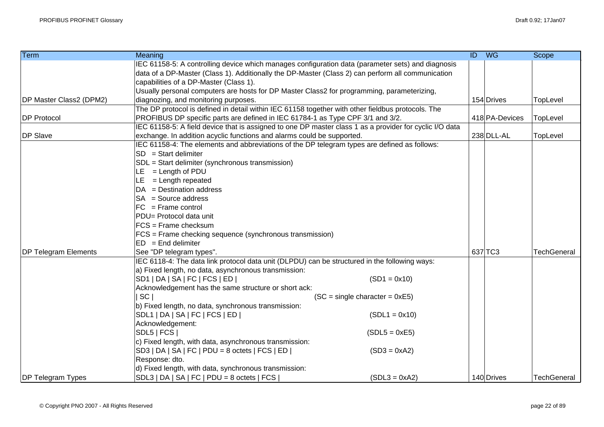| <b>Term</b>                 | Meaning                                                                                                 | ID WG          | Scope              |
|-----------------------------|---------------------------------------------------------------------------------------------------------|----------------|--------------------|
|                             | IEC 61158-5: A controlling device which manages configuration data (parameter sets) and diagnosis       |                |                    |
|                             | data of a DP-Master (Class 1). Additionally the DP-Master (Class 2) can perform all communication       |                |                    |
|                             | capabilities of a DP-Master (Class 1).                                                                  |                |                    |
|                             | Usually personal computers are hosts for DP Master Class2 for programming, parameterizing,              |                |                    |
| DP Master Class2 (DPM2)     | diagnozing, and monitoring purposes.                                                                    | 154 Drives     | TopLevel           |
|                             | The DP protocol is defined in detail within IEC 61158 together with other fieldbus protocols. The       |                |                    |
| <b>DP Protocol</b>          | PROFIBUS DP specific parts are defined in IEC 61784-1 as Type CPF 3/1 and 3/2.                          | 418 PA-Devices | TopLevel           |
|                             | IEC 61158-5: A field device that is assigned to one DP master class 1 as a provider for cyclic I/O data |                |                    |
| <b>DP Slave</b>             | exchange. In addition acyclic functions and alarms could be supported.                                  | 238 DLL-AL     | TopLevel           |
|                             | IEC 61158-4: The elements and abbreviations of the DP telegram types are defined as follows:            |                |                    |
|                             | $SD = Start$ delimiter                                                                                  |                |                    |
|                             | SDL = Start delimiter (synchronous transmission)                                                        |                |                    |
|                             | $LE = Length of PDU$                                                                                    |                |                    |
|                             | $LE = Length repeated$                                                                                  |                |                    |
|                             | $DA = Destination address$                                                                              |                |                    |
|                             | $SA = Source address$                                                                                   |                |                    |
|                             | $FC = Frame control$                                                                                    |                |                    |
|                             | PDU= Protocol data unit                                                                                 |                |                    |
|                             | $FCS = Frame checksum$                                                                                  |                |                    |
|                             | FCS = Frame checking sequence (synchronous transmission)                                                |                |                    |
|                             | $ED = End$ delimiter                                                                                    |                |                    |
| <b>DP Telegram Elements</b> | See "DP telegram types".                                                                                | 637 TC3        | <b>TechGeneral</b> |
|                             | IEC 6118-4: The data link protocol data unit (DLPDU) can be structured in the following ways:           |                |                    |
|                             | a) Fixed length, no data, asynchronous transmission:                                                    |                |                    |
|                             | SD1   DA   SA   FC   FCS   ED  <br>$(SD1 = 0x10)$                                                       |                |                    |
|                             | Acknowledgement has the same structure or short ack:                                                    |                |                    |
|                             | SC<br>$SC = single character = 0xE5$                                                                    |                |                    |
|                             | b) Fixed length, no data, synchronous transmission:                                                     |                |                    |
|                             | SDL1   DA   SA   FC   FCS   ED  <br>$(SDL1 = 0x10)$                                                     |                |                    |
|                             | Acknowledgement:                                                                                        |                |                    |
|                             | SDL5   FCS  <br>$(SDL5 = 0xE5)$                                                                         |                |                    |
|                             | c) Fixed length, with data, asynchronous transmission:                                                  |                |                    |
|                             | $ SD3   DA   SA   FC   PDU = 8 octets   FCS   ED  $<br>$(SD3 = 0xA2)$                                   |                |                    |
|                             | Response: dto.                                                                                          |                |                    |
|                             | d) Fixed length, with data, synchronous transmission:                                                   |                |                    |
| <b>DP Telegram Types</b>    | $SDL3   DA   SA   FC   PDU = 8 octets   FCS  $<br>$(SDL3 = 0xA2)$                                       | 140 Drives     | <b>TechGeneral</b> |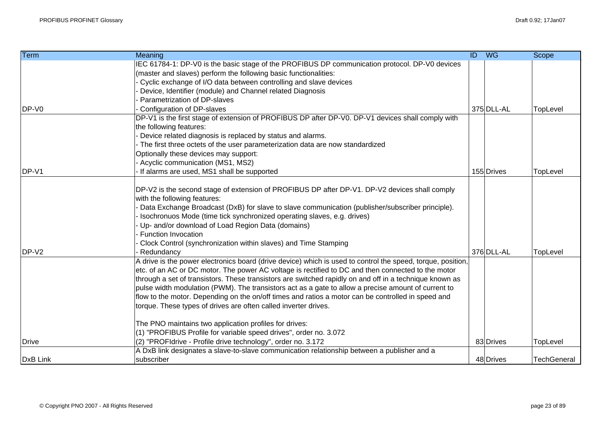| <b>Term</b>       | Meaning                                                                                                     | $\overline{ID}$<br><b>WG</b> | Scope              |
|-------------------|-------------------------------------------------------------------------------------------------------------|------------------------------|--------------------|
|                   | IEC 61784-1: DP-V0 is the basic stage of the PROFIBUS DP communication protocol. DP-V0 devices              |                              |                    |
|                   | (master and slaves) perform the following basic functionalities:                                            |                              |                    |
|                   | - Cyclic exchange of I/O data between controlling and slave devices                                         |                              |                    |
|                   | Device, Identifier (module) and Channel related Diagnosis                                                   |                              |                    |
|                   | - Parametrization of DP-slaves                                                                              |                              |                    |
| DP-V0             | Configuration of DP-slaves                                                                                  | 375 DLL-AL                   | TopLevel           |
|                   | DP-V1 is the first stage of extension of PROFIBUS DP after DP-V0. DP-V1 devices shall comply with           |                              |                    |
|                   | the following features:                                                                                     |                              |                    |
|                   | - Device related diagnosis is replaced by status and alarms.                                                |                              |                    |
|                   | - The first three octets of the user parameterization data are now standardized                             |                              |                    |
|                   | Optionally these devices may support:                                                                       |                              |                    |
|                   | - Acyclic communication (MS1, MS2)                                                                          |                              |                    |
| DP-V1             | If alarms are used, MS1 shall be supported                                                                  | 155 Drives                   | TopLevel           |
|                   |                                                                                                             |                              |                    |
|                   | DP-V2 is the second stage of extension of PROFIBUS DP after DP-V1. DP-V2 devices shall comply               |                              |                    |
|                   | with the following features:                                                                                |                              |                    |
|                   | Bata Exchange Broadcast (DxB) for slave to slave communication (publisher/subscriber principle).            |                              |                    |
|                   | - Isochronuos Mode (time tick synchronized operating slaves, e.g. drives)                                   |                              |                    |
|                   | - Up- and/or download of Load Region Data (domains)                                                         |                              |                    |
|                   | - Function Invocation                                                                                       |                              |                    |
|                   | Clock Control (synchronization within slaves) and Time Stamping                                             |                              |                    |
| DP-V <sub>2</sub> | Redundancy                                                                                                  | 376 DLL-AL                   | TopLevel           |
|                   | A drive is the power electronics board (drive device) which is used to control the speed, torque, position, |                              |                    |
|                   | etc. of an AC or DC motor. The power AC voltage is rectified to DC and then connected to the motor          |                              |                    |
|                   | through a set of transistors. These transistors are switched rapidly on and off in a technique known as     |                              |                    |
|                   | pulse width modulation (PWM). The transistors act as a gate to allow a precise amount of current to         |                              |                    |
|                   | flow to the motor. Depending on the on/off times and ratios a motor can be controlled in speed and          |                              |                    |
|                   | torque. These types of drives are often called inverter drives.                                             |                              |                    |
|                   | The PNO maintains two application profiles for drives:                                                      |                              |                    |
|                   | (1) "PROFIBUS Profile for variable speed drives", order no. 3.072                                           |                              |                    |
| <b>Drive</b>      | (2) "PROFIdrive - Profile drive technology", order no. 3.172                                                | 83 Drives                    | TopLevel           |
|                   | A DxB link designates a slave-to-slave communication relationship between a publisher and a                 |                              |                    |
| <b>DxB Link</b>   | subscriber                                                                                                  | 48 Drives                    | <b>TechGeneral</b> |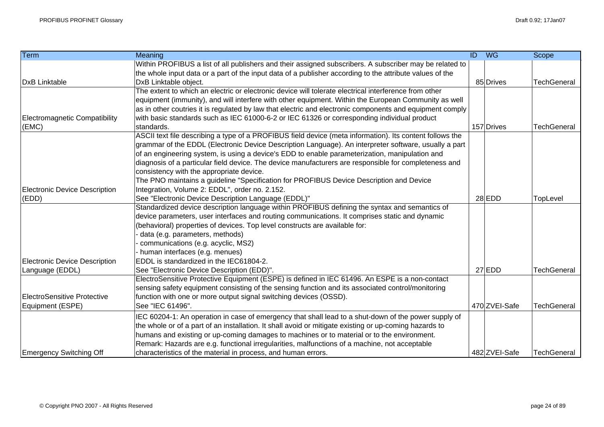| <b>Term</b>                   | Meaning                                                                                                  | $\overline{ID}$ | $W$ G         | Scope              |
|-------------------------------|----------------------------------------------------------------------------------------------------------|-----------------|---------------|--------------------|
|                               | Within PROFIBUS a list of all publishers and their assigned subscribers. A subscriber may be related to  |                 |               |                    |
|                               | the whole input data or a part of the input data of a publisher according to the attribute values of the |                 |               |                    |
| <b>DxB</b> Linktable          | DxB Linktable object.                                                                                    |                 | 85 Drives     | <b>TechGeneral</b> |
|                               | The extent to which an electric or electronic device will tolerate electrical interference from other    |                 |               |                    |
|                               | equipment (immunity), and will interfere with other equipment. Within the European Community as well     |                 |               |                    |
|                               | as in other coutries it is regulated by law that electric and electronic components and equipment comply |                 |               |                    |
| Electromagnetic Compatibility | with basic standards such as IEC 61000-6-2 or IEC 61326 or corresponding individual product              |                 |               |                    |
| (EMC)                         | standards.                                                                                               |                 | 157 Drives    | <b>TechGeneral</b> |
|                               | ASCII text file describing a type of a PROFIBUS field device (meta information). Its content follows the |                 |               |                    |
|                               | grammar of the EDDL (Electronic Device Description Language). An interpreter software, usually a part    |                 |               |                    |
|                               | of an engineering system, is using a device's EDD to enable parameterization, manipulation and           |                 |               |                    |
|                               | diagnosis of a particular field device. The device manufacturers are responsible for completeness and    |                 |               |                    |
|                               | consistency with the appropriate device.                                                                 |                 |               |                    |
|                               | The PNO maintains a guideline "Specification for PROFIBUS Device Description and Device                  |                 |               |                    |
| Electronic Device Description | Integration, Volume 2: EDDL", order no. 2.152.                                                           |                 |               |                    |
| (EDD)                         | See "Electronic Device Description Language (EDDL)"                                                      |                 | $28$ EDD      | TopLevel           |
|                               | Standardized device description language within PROFIBUS defining the syntax and semantics of            |                 |               |                    |
|                               | device parameters, user interfaces and routing communications. It comprises static and dynamic           |                 |               |                    |
|                               | (behavioral) properties of devices. Top level constructs are available for:                              |                 |               |                    |
|                               | data (e.g. parameters, methods)                                                                          |                 |               |                    |
|                               | communications (e.g. acyclic, MS2)                                                                       |                 |               |                    |
|                               | human interfaces (e.g. menues)                                                                           |                 |               |                    |
| Electronic Device Description | EDDL is standardized in the IEC61804-2.                                                                  |                 |               |                    |
| Language (EDDL)               | See "Electronic Device Description (EDD)".                                                               |                 | $27$ EDD      | <b>TechGeneral</b> |
|                               | ElectroSensitive Protective Equipment (ESPE) is defined in IEC 61496. An ESPE is a non-contact           |                 |               |                    |
|                               | sensing safety equipment consisting of the sensing function and its associated control/monitoring        |                 |               |                    |
| ElectroSensitive Protective   | function with one or more output signal switching devices (OSSD).                                        |                 |               |                    |
| Equipment (ESPE)              | See "IEC 61496".                                                                                         |                 | 470 ZVEI-Safe | <b>TechGeneral</b> |
|                               | IEC 60204-1: An operation in case of emergency that shall lead to a shut-down of the power supply of     |                 |               |                    |
|                               | the whole or of a part of an installation. It shall avoid or mitigate existing or up-coming hazards to   |                 |               |                    |
|                               | humans and existing or up-coming damages to machines or to material or to the environment.               |                 |               |                    |
|                               | Remark: Hazards are e.g. functional irregularities, malfunctions of a machine, not acceptable            |                 |               |                    |
| Emergency Switching Off       | characteristics of the material in process, and human errors.                                            |                 | 482 ZVEI-Safe | <b>TechGeneral</b> |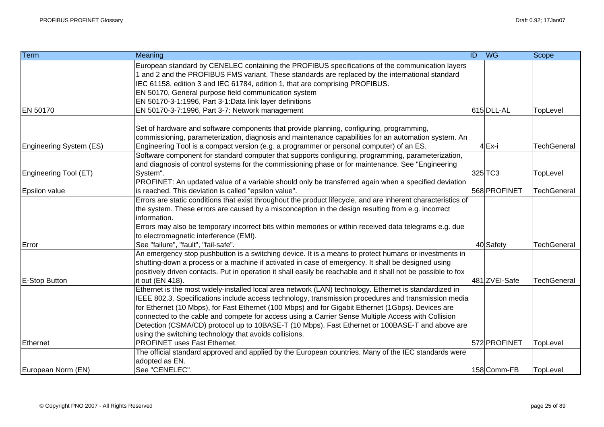| <b>Term</b>             | Meaning                                                                                                                                                                                                                                                                                                                                                                                                                                                                                                                                                                                 | $\overline{ID}$ | <b>WG</b>     | Scope              |
|-------------------------|-----------------------------------------------------------------------------------------------------------------------------------------------------------------------------------------------------------------------------------------------------------------------------------------------------------------------------------------------------------------------------------------------------------------------------------------------------------------------------------------------------------------------------------------------------------------------------------------|-----------------|---------------|--------------------|
| EN 50170                | European standard by CENELEC containing the PROFIBUS specifications of the communication layers<br>1 and 2 and the PROFIBUS FMS variant. These standards are replaced by the international standard<br>IEC 61158, edition 3 and IEC 61784, edition 1, that are comprising PROFIBUS.<br>EN 50170, General purpose field communication system<br>EN 50170-3-1:1996, Part 3-1:Data link layer definitions                                                                                                                                                                                  |                 | 615 DLL-AL    | TopLevel           |
|                         | EN 50170-3-7:1996, Part 3-7: Network management                                                                                                                                                                                                                                                                                                                                                                                                                                                                                                                                         |                 |               |                    |
| Engineering System (ES) | Set of hardware and software components that provide planning, configuring, programming,<br>commissioning, parameterization, diagnosis and maintenance capabilities for an automation system. An<br>Engineering Tool is a compact version (e.g. a programmer or personal computer) of an ES.                                                                                                                                                                                                                                                                                            |                 | $4$ Ex-i      | <b>TechGeneral</b> |
| Engineering Tool (ET)   | Software component for standard computer that supports configuring, programming, parameterization,<br>and diagnosis of control systems for the commissioning phase or for maintenance. See "Engineering<br>System".                                                                                                                                                                                                                                                                                                                                                                     |                 | $325$ TC3     | TopLevel           |
| <b>Epsilon value</b>    | PROFINET: An updated value of a variable should only be transferred again when a specified deviation<br>is reached. This deviation is called "epsilon value".                                                                                                                                                                                                                                                                                                                                                                                                                           |                 | 568 PROFINET  | TechGeneral        |
|                         | Errors are static conditions that exist throughout the product lifecycle, and are inherent characteristics of<br>the system. These errors are caused by a misconception in the design resulting from e.g. incorrect<br>information.<br>Errors may also be temporary incorrect bits within memories or within received data telegrams e.g. due                                                                                                                                                                                                                                           |                 |               |                    |
| Error                   | to electromagnetic interference (EMI).<br>See "failure", "fault", "fail-safe".                                                                                                                                                                                                                                                                                                                                                                                                                                                                                                          |                 | 40 Safety     | <b>TechGeneral</b> |
| <b>E-Stop Button</b>    | An emergency stop pushbutton is a switching device. It is a means to protect humans or investments in<br>shutting-down a process or a machine if activated in case of emergency. It shall be designed using<br>positively driven contacts. Put in operation it shall easily be reachable and it shall not be possible to fox<br>it out (EN 418).                                                                                                                                                                                                                                        |                 | 481 ZVEI-Safe | <b>TechGeneral</b> |
|                         | Ethernet is the most widely-installed local area network (LAN) technology. Ethernet is standardized in<br>IEEE 802.3. Specifications include access technology, transmission procedures and transmission media<br>for Ethernet (10 Mbps), for Fast Ethernet (100 Mbps) and for Gigabit Ethernet (1Gbps). Devices are<br>connected to the cable and compete for access using a Carrier Sense Multiple Access with Collision<br>Detection (CSMA/CD) protocol up to 10BASE-T (10 Mbps). Fast Ethernet or 100BASE-T and above are<br>using the switching technology that avoids collisions. |                 |               |                    |
| Ethernet                | PROFINET uses Fast Ethernet.                                                                                                                                                                                                                                                                                                                                                                                                                                                                                                                                                            |                 | 572 PROFINET  | TopLevel           |
|                         | The official standard approved and applied by the European countries. Many of the IEC standards were<br>adopted as EN.                                                                                                                                                                                                                                                                                                                                                                                                                                                                  |                 |               |                    |
| European Norm (EN)      | See "CENELEC".                                                                                                                                                                                                                                                                                                                                                                                                                                                                                                                                                                          |                 | 158 Comm-FB   | TopLevel           |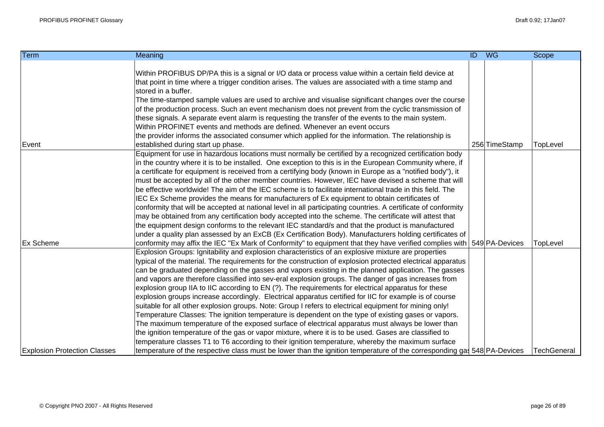| <b>Term</b>                         | Meaning                                                                                                                 | <b>ID</b> WG  | Scope              |
|-------------------------------------|-------------------------------------------------------------------------------------------------------------------------|---------------|--------------------|
|                                     |                                                                                                                         |               |                    |
|                                     | Within PROFIBUS DP/PA this is a signal or I/O data or process value within a certain field device at                    |               |                    |
|                                     | that point in time where a trigger condition arises. The values are associated with a time stamp and                    |               |                    |
|                                     | stored in a buffer.                                                                                                     |               |                    |
|                                     | The time-stamped sample values are used to archive and visualise significant changes over the course                    |               |                    |
|                                     | of the production process. Such an event mechanism does not prevent from the cyclic transmission of                     |               |                    |
|                                     | these signals. A separate event alarm is requesting the transfer of the events to the main system.                      |               |                    |
|                                     | Within PROFINET events and methods are defined. Whenever an event occurs                                                |               |                    |
|                                     | the provider informs the associated consumer which applied for the information. The relationship is                     |               |                    |
| Event                               | established during start up phase.                                                                                      | 256 TimeStamp | TopLevel           |
|                                     | Equipment for use in hazardous locations must normally be certified by a recognized certification body                  |               |                    |
|                                     | in the country where it is to be installed. One exception to this is in the European Community where, if                |               |                    |
|                                     | a certificate for equipment is received from a certifying body (known in Europe as a "notified body"), it               |               |                    |
|                                     | must be accepted by all of the other member countries. However, IEC have devised a scheme that will                     |               |                    |
|                                     | be effective worldwide! The aim of the IEC scheme is to facilitate international trade in this field. The               |               |                    |
|                                     | IEC Ex Scheme provides the means for manufacturers of Ex equipment to obtain certificates of                            |               |                    |
|                                     | conformity that will be accepted at national level in all participating countries. A certificate of conformity          |               |                    |
|                                     | may be obtained from any certification body accepted into the scheme. The certificate will attest that                  |               |                    |
|                                     | the equipment design conforms to the relevant IEC standard/s and that the product is manufactured                       |               |                    |
|                                     | under a quality plan assessed by an ExCB (Ex Certification Body). Manufacturers holding certificates of                 |               |                    |
| <b>Ex Scheme</b>                    | conformity may affix the IEC "Ex Mark of Conformity" to equipment that they have verified complies with 549 PA-Devices  |               | TopLevel           |
|                                     | Explosion Groups: Ignitability and explosion characteristics of an explosive mixture are properties                     |               |                    |
|                                     | typical of the material. The requirements for the construction of explosion protected electrical apparatus              |               |                    |
|                                     | can be graduated depending on the gasses and vapors existing in the planned application. The gasses                     |               |                    |
|                                     | and vapors are therefore classified into sev-eral explosion groups. The danger of gas increases from                    |               |                    |
|                                     | explosion group IIA to IIC according to EN (?). The requirements for electrical apparatus for these                     |               |                    |
|                                     | explosion groups increase accordingly. Electrical apparatus certified for IIC for example is of course                  |               |                    |
|                                     | suitable for all other explosion groups. Note: Group I refers to electrical equipment for mining only!                  |               |                    |
|                                     | Temperature Classes: The ignition temperature is dependent on the type of existing gases or vapors.                     |               |                    |
|                                     | The maximum temperature of the exposed surface of electrical apparatus must always be lower than                        |               |                    |
|                                     | the ignition temperature of the gas or vapor mixture, where it is to be used. Gases are classified to                   |               |                    |
|                                     | temperature classes T1 to T6 according to their ignition temperature, whereby the maximum surface                       |               |                    |
| <b>Explosion Protection Classes</b> | temperature of the respective class must be lower than the ignition temperature of the corresponding gas 548 PA-Devices |               | <b>TechGeneral</b> |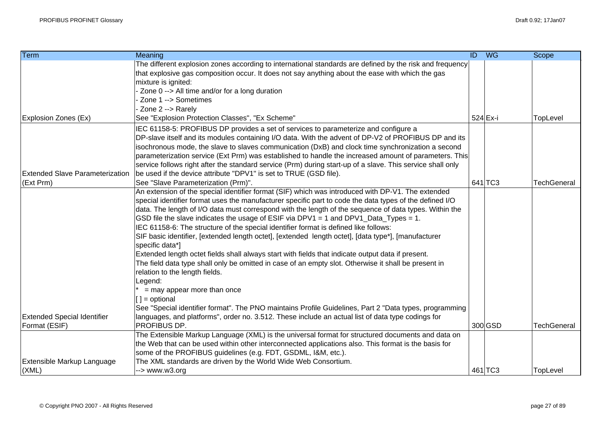| Term                                   | Meaning                                                                                                    | $\overline{ID}$ | <b>WG</b>  | Scope              |
|----------------------------------------|------------------------------------------------------------------------------------------------------------|-----------------|------------|--------------------|
|                                        | The different explosion zones according to international standards are defined by the risk and frequency   |                 |            |                    |
|                                        | that explosive gas composition occur. It does not say anything about the ease with which the gas           |                 |            |                    |
|                                        | mixture is ignited:                                                                                        |                 |            |                    |
|                                        | - Zone 0 --> All time and/or for a long duration                                                           |                 |            |                    |
|                                        | Zone 1 --> Sometimes                                                                                       |                 |            |                    |
|                                        | Zone 2 --> Rarely                                                                                          |                 |            |                    |
| Explosion Zones (Ex)                   | See "Explosion Protection Classes", "Ex Scheme"                                                            |                 | $524$ Ex-i | TopLevel           |
|                                        | IEC 61158-5: PROFIBUS DP provides a set of services to parameterize and configure a                        |                 |            |                    |
|                                        | DP-slave itself and its modules containing I/O data. With the advent of DP-V2 of PROFIBUS DP and its       |                 |            |                    |
|                                        | isochronous mode, the slave to slaves communication (DxB) and clock time synchronization a second          |                 |            |                    |
|                                        | parameterization service (Ext Prm) was established to handle the increased amount of parameters. This      |                 |            |                    |
|                                        | service follows right after the standard service (Prm) during start-up of a slave. This service shall only |                 |            |                    |
| <b>Extended Slave Parameterization</b> | be used if the device attribute "DPV1" is set to TRUE (GSD file).                                          |                 |            |                    |
| (Ext Prm)                              | See "Slave Parameterization (Prm)".                                                                        |                 | 641 TC3    | <b>TechGeneral</b> |
|                                        | An extension of the special identifier format (SIF) which was introduced with DP-V1. The extended          |                 |            |                    |
|                                        | special identifier format uses the manufacturer specific part to code the data types of the defined I/O    |                 |            |                    |
|                                        | data. The length of I/O data must correspond with the length of the sequence of data types. Within the     |                 |            |                    |
|                                        | GSD file the slave indicates the usage of ESIF via DPV1 = 1 and DPV1_Data_Types = 1.                       |                 |            |                    |
|                                        | IEC 61158-6: The structure of the special identifier format is defined like follows:                       |                 |            |                    |
|                                        | SIF basic identifier, [extended length octet], [extended length octet], [data type*], [manufacturer        |                 |            |                    |
|                                        | specific data*]                                                                                            |                 |            |                    |
|                                        | Extended length octet fields shall always start with fields that indicate output data if present.          |                 |            |                    |
|                                        | The field data type shall only be omitted in case of an empty slot. Otherwise it shall be present in       |                 |            |                    |
|                                        | relation to the length fields.                                                                             |                 |            |                    |
|                                        | Legend:                                                                                                    |                 |            |                    |
|                                        | $=$ may appear more than once                                                                              |                 |            |                    |
|                                        | $\vert$ [] = optional                                                                                      |                 |            |                    |
|                                        | See "Special identifier format". The PNO maintains Profile Guidelines, Part 2 "Data types, programming     |                 |            |                    |
| <b>Extended Special Identifier</b>     | languages, and platforms", order no. 3.512. These include an actual list of data type codings for          |                 |            |                    |
| Format (ESIF)                          | PROFIBUS DP.                                                                                               |                 | 300 GSD    | <b>TechGeneral</b> |
|                                        | The Extensible Markup Language (XML) is the universal format for structured documents and data on          |                 |            |                    |
|                                        | the Web that can be used within other interconnected applications also. This format is the basis for       |                 |            |                    |
|                                        | some of the PROFIBUS guidelines (e.g. FDT, GSDML, I&M, etc.).                                              |                 |            |                    |
| Extensible Markup Language             | The XML standards are driven by the World Wide Web Consortium.                                             |                 |            |                    |
| (XML)                                  | --> www.w3.org                                                                                             |                 | 461 TC3    | TopLevel           |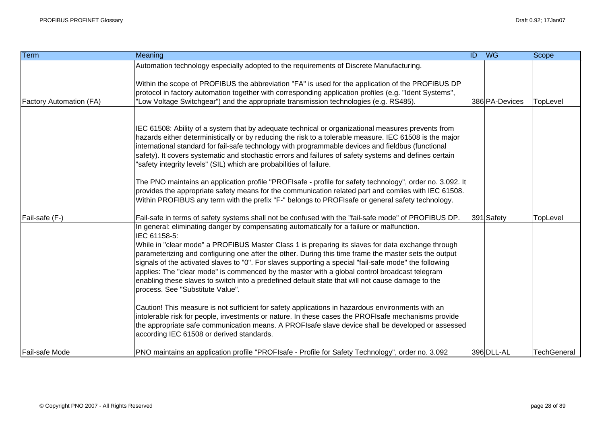| <b>Term</b>                    | Meaning                                                                                                                                                                                                                                                                                                                                                                                                                                                                                                                                                                                                                                                                      | $\overline{ID}$ | $W$ G          | Scope              |
|--------------------------------|------------------------------------------------------------------------------------------------------------------------------------------------------------------------------------------------------------------------------------------------------------------------------------------------------------------------------------------------------------------------------------------------------------------------------------------------------------------------------------------------------------------------------------------------------------------------------------------------------------------------------------------------------------------------------|-----------------|----------------|--------------------|
|                                | Automation technology especially adopted to the requirements of Discrete Manufacturing.<br>Within the scope of PROFIBUS the abbreviation "FA" is used for the application of the PROFIBUS DP<br>protocol in factory automation together with corresponding application profiles (e.g. "Ident Systems",                                                                                                                                                                                                                                                                                                                                                                       |                 |                |                    |
| <b>Factory Automation (FA)</b> | "Low Voltage Switchgear") and the appropriate transmission technologies (e.g. RS485).                                                                                                                                                                                                                                                                                                                                                                                                                                                                                                                                                                                        |                 | 386 PA-Devices | TopLevel           |
|                                | IEC 61508: Ability of a system that by adequate technical or organizational measures prevents from<br>hazards either deterministically or by reducing the risk to a tolerable measure. IEC 61508 is the major<br>international standard for fail-safe technology with programmable devices and fieldbus (functional<br>safety). It covers systematic and stochastic errors and failures of safety systems and defines certain<br>"safety integrity levels" (SIL) which are probabilities of failure.                                                                                                                                                                         |                 |                |                    |
|                                | The PNO maintains an application profile "PROFIsafe - profile for safety technology", order no. 3.092. It<br>provides the appropriate safety means for the communication related part and comlies with IEC 61508.<br>Within PROFIBUS any term with the prefix "F-" belongs to PROFIsafe or general safety technology.                                                                                                                                                                                                                                                                                                                                                        |                 |                |                    |
| Fail-safe (F-)                 | Fail-safe in terms of safety systems shall not be confused with the "fail-safe mode" of PROFIBUS DP.                                                                                                                                                                                                                                                                                                                                                                                                                                                                                                                                                                         |                 | 391 Safety     | TopLevel           |
|                                | In general: eliminating danger by compensating automatically for a failure or malfunction.<br>IEC 61158-5:<br>While in "clear mode" a PROFIBUS Master Class 1 is preparing its slaves for data exchange through<br>parameterizing and configuring one after the other. During this time frame the master sets the output<br>signals of the activated slaves to "0". For slaves supporting a special "fail-safe mode" the following<br>applies: The "clear mode" is commenced by the master with a global control broadcast telegram<br>enabling these slaves to switch into a predefined default state that will not cause damage to the<br>process. See "Substitute Value". |                 |                |                    |
|                                | Caution! This measure is not sufficient for safety applications in hazardous environments with an<br>intolerable risk for people, investments or nature. In these cases the PROFIsafe mechanisms provide<br>the appropriate safe communication means. A PROFIsafe slave device shall be developed or assessed<br>according IEC 61508 or derived standards.                                                                                                                                                                                                                                                                                                                   |                 |                |                    |
| Fail-safe Mode                 | PNO maintains an application profile "PROFIsafe - Profile for Safety Technology", order no. 3.092                                                                                                                                                                                                                                                                                                                                                                                                                                                                                                                                                                            |                 | 396 DLL-AL     | <b>TechGeneral</b> |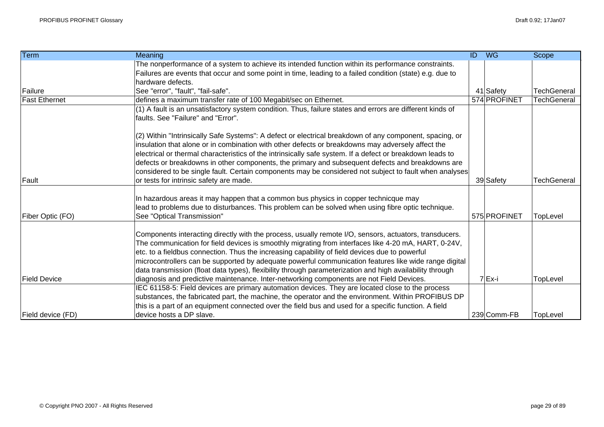| Term                 | Meaning                                                                                                   | $\overline{ID}$ | <b>WG</b>    | Scope              |
|----------------------|-----------------------------------------------------------------------------------------------------------|-----------------|--------------|--------------------|
|                      | The nonperformance of a system to achieve its intended function within its performance constraints.       |                 |              |                    |
|                      | Failures are events that occur and some point in time, leading to a failed condition (state) e.g. due to  |                 |              |                    |
|                      | hardware defects.                                                                                         |                 |              |                    |
| Failure              | See "error", "fault", "fail-safe".                                                                        |                 | 41 Safety    | <b>TechGeneral</b> |
| <b>Fast Ethernet</b> | defines a maximum transfer rate of 100 Megabit/sec on Ethernet.                                           |                 | 574 PROFINET | <b>TechGeneral</b> |
|                      | (1) A fault is an unsatisfactory system condition. Thus, failure states and errors are different kinds of |                 |              |                    |
|                      | faults. See "Failure" and "Error".                                                                        |                 |              |                    |
|                      | (2) Within "Intrinsically Safe Systems": A defect or electrical breakdown of any component, spacing, or   |                 |              |                    |
|                      | insulation that alone or in combination with other defects or breakdowns may adversely affect the         |                 |              |                    |
|                      | electrical or thermal characteristics of the intrinsically safe system. If a defect or breakdown leads to |                 |              |                    |
|                      | defects or breakdowns in other components, the primary and subsequent defects and breakdowns are          |                 |              |                    |
|                      | considered to be single fault. Certain components may be considered not subject to fault when analyses    |                 |              |                    |
| Fault                | or tests for intrinsic safety are made.                                                                   |                 | 39 Safety    | <b>TechGeneral</b> |
|                      |                                                                                                           |                 |              |                    |
|                      | In hazardous areas it may happen that a common bus physics in copper technicque may                       |                 |              |                    |
|                      | lead to problems due to disturbances. This problem can be solved when using fibre optic technique.        |                 |              |                    |
| Fiber Optic (FO)     | See "Optical Transmission"                                                                                |                 | 575 PROFINET | <b>TopLevel</b>    |
|                      |                                                                                                           |                 |              |                    |
|                      | Components interacting directly with the process, usually remote I/O, sensors, actuators, transducers.    |                 |              |                    |
|                      | The communication for field devices is smoothly migrating from interfaces like 4-20 mA, HART, 0-24V,      |                 |              |                    |
|                      | etc. to a fieldbus connection. Thus the increasing capability of field devices due to powerful            |                 |              |                    |
|                      | microcontrollers can be supported by adequate powerful communication features like wide range digital     |                 |              |                    |
|                      | data transmission (float data types), flexibility through parameterization and high availability through  |                 |              |                    |
| <b>Field Device</b>  | diagnosis and predictive maintenance. Inter-networking components are not Field Devices.                  |                 | 7 Ex-i       | TopLevel           |
|                      | IEC 61158-5: Field devices are primary automation devices. They are located close to the process          |                 |              |                    |
|                      | substances, the fabricated part, the machine, the operator and the environment. Within PROFIBUS DP        |                 |              |                    |
|                      | this is a part of an equipment connected over the field bus and used for a specific function. A field     |                 |              |                    |
| Field device (FD)    | device hosts a DP slave.                                                                                  |                 | 239 Comm-FB  | TopLevel           |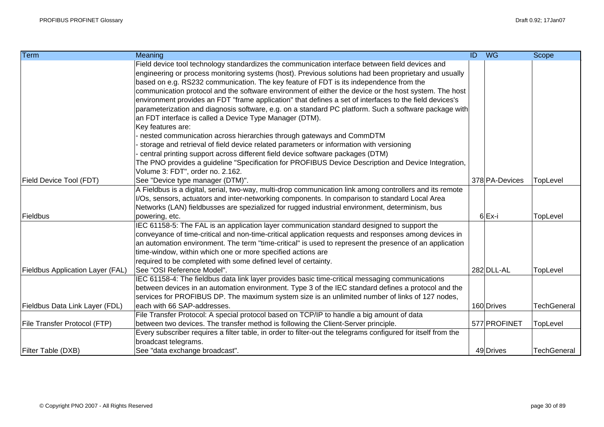| <b>Term</b>                             | Meaning                                                                                                       | $\overline{ID}$ | $W$ G          | Scope              |
|-----------------------------------------|---------------------------------------------------------------------------------------------------------------|-----------------|----------------|--------------------|
|                                         | Field device tool technology standardizes the communication interface between field devices and               |                 |                |                    |
|                                         | engineering or process monitoring systems (host). Previous solutions had been proprietary and usually         |                 |                |                    |
|                                         | based on e.g. RS232 communication. The key feature of FDT is its independence from the                        |                 |                |                    |
|                                         | communication protocol and the software environment of either the device or the host system. The host         |                 |                |                    |
|                                         | environment provides an FDT "frame application" that defines a set of interfaces to the field devices's       |                 |                |                    |
|                                         | parameterization and diagnosis software, e.g. on a standard PC platform. Such a software package with         |                 |                |                    |
|                                         | an FDT interface is called a Device Type Manager (DTM).                                                       |                 |                |                    |
|                                         | Key features are:                                                                                             |                 |                |                    |
|                                         | - nested communication across hierarchies through gateways and CommDTM                                        |                 |                |                    |
|                                         | storage and retrieval of field device related parameters or information with versioning                       |                 |                |                    |
|                                         | - central printing support across different field device software packages (DTM)                              |                 |                |                    |
|                                         | The PNO provides a guideline "Specification for PROFIBUS Device Description and Device Integration,           |                 |                |                    |
|                                         | Volume 3: FDT", order no. 2.162.                                                                              |                 |                |                    |
| <b>Field Device Tool (FDT)</b>          | See "Device type manager (DTM)".                                                                              |                 | 378 PA-Devices | TopLevel           |
|                                         | A Fieldbus is a digital, serial, two-way, multi-drop communication link among controllers and its remote      |                 |                |                    |
|                                         | I/Os, sensors, actuators and inter-networking components. In comparison to standard Local Area                |                 |                |                    |
|                                         | Networks (LAN) fieldbusses are spezialized for rugged industrial environment, determinism, bus                |                 |                |                    |
| Fieldbus                                | powering, etc.                                                                                                |                 | 6 Ex-i         | TopLevel           |
|                                         | IEC 61158-5: The FAL is an application layer communication standard designed to support the                   |                 |                |                    |
|                                         | conveyance of time-critical and non-time-critical application requests and responses among devices in         |                 |                |                    |
|                                         | an automation environment. The term "time-critical" is used to represent the presence of an application       |                 |                |                    |
|                                         | time-window, within which one or more specified actions are                                                   |                 |                |                    |
|                                         | required to be completed with some defined level of certainty.                                                |                 |                |                    |
| <b>Fieldbus Application Layer (FAL)</b> | See "OSI Reference Model".                                                                                    |                 | 282 DLL-AL     | TopLevel           |
|                                         | IEC 61158-4: The fieldbus data link layer provides basic time-critical messaging communications               |                 |                |                    |
|                                         | between devices in an automation environment. Type 3 of the IEC standard defines a protocol and the           |                 |                |                    |
|                                         | services for PROFIBUS DP. The maximum system size is an unlimited number of links of 127 nodes,               |                 |                |                    |
| Fieldbus Data Link Layer (FDL)          | each with 66 SAP-addresses.                                                                                   |                 | 160 Drives     | <b>TechGeneral</b> |
|                                         | File Transfer Protocol: A special protocol based on TCP/IP to handle a big amount of data                     |                 |                |                    |
| File Transfer Protocol (FTP)            | between two devices. The transfer method is following the Client-Server principle.                            |                 | 577 PROFINET   | TopLevel           |
|                                         | Every subscriber requires a filter table, in order to filter-out the telegrams configured for itself from the |                 |                |                    |
|                                         | broadcast telegrams.                                                                                          |                 |                |                    |
| Filter Table (DXB)                      | See "data exchange broadcast".                                                                                |                 | 49 Drives      | <b>TechGeneral</b> |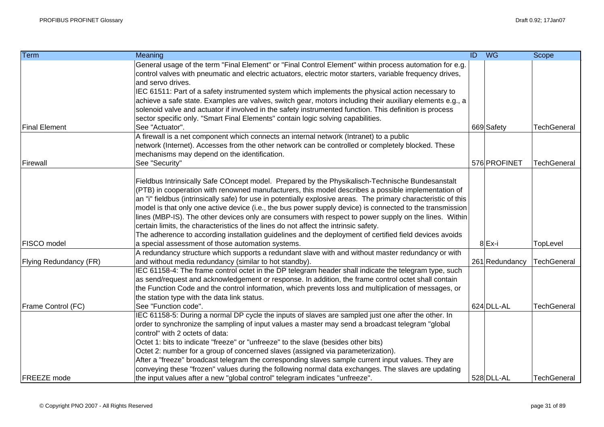| Term                          | Meaning                                                                                                                                                                                                                                   | $\overline{ID}$ | $W$ G          | Scope              |
|-------------------------------|-------------------------------------------------------------------------------------------------------------------------------------------------------------------------------------------------------------------------------------------|-----------------|----------------|--------------------|
|                               | General usage of the term "Final Element" or "Final Control Element" within process automation for e.g.<br>control valves with pneumatic and electric actuators, electric motor starters, variable frequency drives,<br>and servo drives. |                 |                |                    |
|                               | IEC 61511: Part of a safety instrumented system which implements the physical action necessary to                                                                                                                                         |                 |                |                    |
|                               | achieve a safe state. Examples are valves, switch gear, motors including their auxiliary elements e.g., a                                                                                                                                 |                 |                |                    |
|                               | solenoid valve and actuator if involved in the safety instrumented function. This definition is process                                                                                                                                   |                 |                |                    |
|                               | sector specific only. "Smart Final Elements" contain logic solving capabilities.                                                                                                                                                          |                 |                |                    |
| <b>Final Element</b>          | See "Actuator".                                                                                                                                                                                                                           |                 | 669 Safety     | <b>TechGeneral</b> |
|                               | A firewall is a net component which connects an internal network (Intranet) to a public                                                                                                                                                   |                 |                |                    |
|                               | network (Internet). Accesses from the other network can be controlled or completely blocked. These                                                                                                                                        |                 |                |                    |
|                               | mechanisms may depend on the identification.                                                                                                                                                                                              |                 |                |                    |
| <b>Firewall</b>               | See "Security"                                                                                                                                                                                                                            |                 | 576 PROFINET   | <b>TechGeneral</b> |
|                               |                                                                                                                                                                                                                                           |                 |                |                    |
|                               | Fieldbus Intrinsically Safe COncept model. Prepared by the Physikalisch-Technische Bundesanstalt                                                                                                                                          |                 |                |                    |
|                               | (PTB) in cooperation with renowned manufacturers, this model describes a possible implementation of                                                                                                                                       |                 |                |                    |
|                               | an "i" fieldbus (intrinsically safe) for use in potentially explosive areas. The primary characteristic of this                                                                                                                           |                 |                |                    |
|                               | model is that only one active device (i.e., the bus power supply device) is connected to the transmission                                                                                                                                 |                 |                |                    |
|                               | lines (MBP-IS). The other devices only are consumers with respect to power supply on the lines. Within                                                                                                                                    |                 |                |                    |
|                               | certain limits, the characteristics of the lines do not affect the intrinsic safety.                                                                                                                                                      |                 |                |                    |
|                               | The adherence to according installation guidelines and the deployment of certified field devices avoids                                                                                                                                   |                 |                |                    |
| <b>FISCO</b> model            | a special assessment of those automation systems.                                                                                                                                                                                         |                 | $8$ Ex-i       | TopLevel           |
|                               | A redundancy structure which supports a redundant slave with and without master redundancy or with                                                                                                                                        |                 |                |                    |
| <b>Flying Redundancy (FR)</b> | and without media redundancy (similar to hot standby).                                                                                                                                                                                    |                 | 261 Redundancy | <b>TechGeneral</b> |
|                               | IEC 61158-4: The frame control octet in the DP telegram header shall indicate the telegram type, such                                                                                                                                     |                 |                |                    |
|                               | as send/request and acknowledgement or response. In addition, the frame control octet shall contain                                                                                                                                       |                 |                |                    |
|                               | the Function Code and the control information, which prevents loss and multiplication of messages, or                                                                                                                                     |                 |                |                    |
| Frame Control (FC)            | the station type with the data link status.                                                                                                                                                                                               |                 | 624 DLL-AL     | <b>TechGeneral</b> |
|                               | See "Function code".                                                                                                                                                                                                                      |                 |                |                    |
|                               | IEC 61158-5: During a normal DP cycle the inputs of slaves are sampled just one after the other. In                                                                                                                                       |                 |                |                    |
|                               | order to synchronize the sampling of input values a master may send a broadcast telegram "global<br>control" with 2 octets of data:                                                                                                       |                 |                |                    |
|                               |                                                                                                                                                                                                                                           |                 |                |                    |
|                               | Octet 1: bits to indicate "freeze" or "unfreeze" to the slave (besides other bits)                                                                                                                                                        |                 |                |                    |
|                               | Octet 2: number for a group of concerned slaves (assigned via parameterization).<br>After a "freeze" broadcast telegram the corresponding slaves sample current input values. They are                                                    |                 |                |                    |
|                               | conveying these "frozen" values during the following normal data exchanges. The slaves are updating                                                                                                                                       |                 |                |                    |
| <b>IFREEZE</b> mode           | the input values after a new "global control" telegram indicates "unfreeze".                                                                                                                                                              |                 | 528 DLL-AL     | TechGeneral        |
|                               |                                                                                                                                                                                                                                           |                 |                |                    |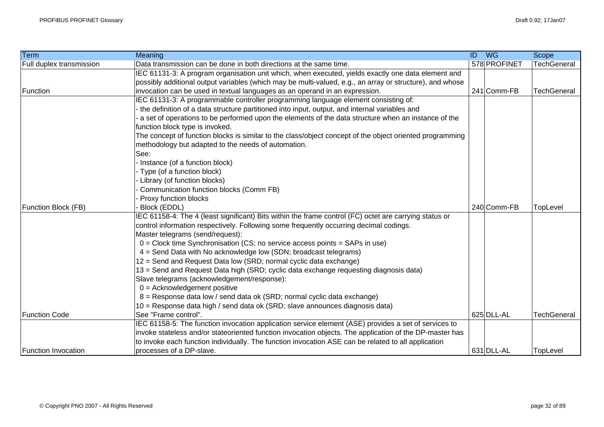| <b>Term</b>                | Meaning                                                                                                  | ID WG        | Scope              |
|----------------------------|----------------------------------------------------------------------------------------------------------|--------------|--------------------|
| Full duplex transmission   | Data transmission can be done in both directions at the same time.                                       | 578 PROFINET | <b>TechGeneral</b> |
|                            | IEC 61131-3: A program organisation unit which, when executed, yields exactly one data element and       |              |                    |
|                            | possibly additional output variables (which may be multi-valued, e.g., an array or structure), and whose |              |                    |
| Function                   | invocation can be used in textual languages as an operand in an expression.                              | 241 Comm-FB  | <b>TechGeneral</b> |
|                            | IEC 61131-3: A programmable controller programming language element consisting of:                       |              |                    |
|                            | the definition of a data structure partitioned into input, output, and internal variables and            |              |                    |
|                            | a set of operations to be performed upon the elements of the data structure when an instance of the      |              |                    |
|                            | function block type is invoked.                                                                          |              |                    |
|                            | The concept of function blocks is similar to the class/object concept of the object oriented programming |              |                    |
|                            | methodology but adapted to the needs of automation.                                                      |              |                    |
|                            | See:                                                                                                     |              |                    |
|                            | - Instance (of a function block)                                                                         |              |                    |
|                            | - Type (of a function block)                                                                             |              |                    |
|                            | - Library (of function blocks)                                                                           |              |                    |
|                            | Communication function blocks (Comm FB)                                                                  |              |                    |
|                            | Proxy function blocks                                                                                    |              |                    |
| <b>Function Block (FB)</b> | Block (EDDL)                                                                                             | 240 Comm-FB  | TopLevel           |
|                            | IEC 61158-4: The 4 (least significant) Bits within the frame control (FC) octet are carrying status or   |              |                    |
|                            | control information respectively. Following some frequently occurring decimal codings.                   |              |                    |
|                            | Master telegrams (send/request):                                                                         |              |                    |
|                            | $0 =$ Clock time Synchronisation (CS; no service access points = SAPs in use)                            |              |                    |
|                            | 4 = Send Data with No acknowledge low (SDN; broadcast telegrams)                                         |              |                    |
|                            | 12 = Send and Request Data low (SRD; normal cyclic data exchange)                                        |              |                    |
|                            | 13 = Send and Request Data high (SRD; cyclic data exchange requesting diagnosis data)                    |              |                    |
|                            | Slave telegrams (acknowledgement/response):                                                              |              |                    |
|                            | $0 =$ Acknowledgement positive                                                                           |              |                    |
|                            | 8 = Response data low / send data ok (SRD; normal cyclic data exchange)                                  |              |                    |
|                            | 10 = Response data high / send data ok (SRD; slave announces diagnosis data)                             |              |                    |
| <b>Function Code</b>       | See "Frame control".                                                                                     | 625 DLL-AL   | <b>TechGeneral</b> |
|                            | IEC 61158-5: The function invocation application service element (ASE) provides a set of services to     |              |                    |
|                            | invoke stateless and/or stateoriented function invocation objects. The application of the DP-master has  |              |                    |
|                            | to invoke each function individually. The function invocation ASE can be related to all application      |              |                    |
| <b>Function Invocation</b> | processes of a DP-slave.                                                                                 | 631 DLL-AL   | TopLevel           |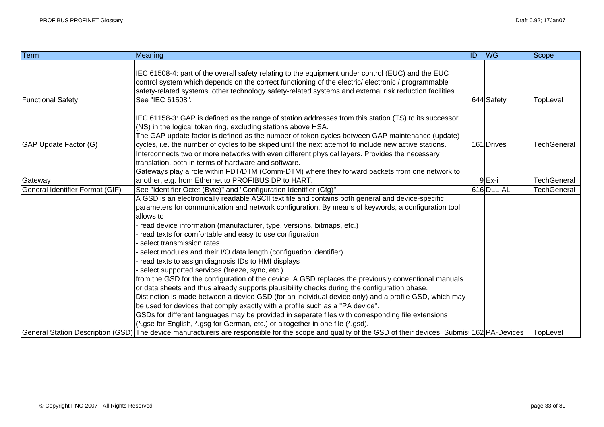| Term                            | Meaning                                                                                                                                                                                                                                                                                                                                                                                                                                                                                                                                                                                                                                                                                                                                                                                                                                                                               | $\overline{ID}$ | <b>WG</b>  | Scope              |
|---------------------------------|---------------------------------------------------------------------------------------------------------------------------------------------------------------------------------------------------------------------------------------------------------------------------------------------------------------------------------------------------------------------------------------------------------------------------------------------------------------------------------------------------------------------------------------------------------------------------------------------------------------------------------------------------------------------------------------------------------------------------------------------------------------------------------------------------------------------------------------------------------------------------------------|-----------------|------------|--------------------|
| <b>Functional Safety</b>        | IEC 61508-4: part of the overall safety relating to the equipment under control (EUC) and the EUC<br>control system which depends on the correct functioning of the electric/electronic / programmable<br>safety-related systems, other technology safety-related systems and external risk reduction facilities.<br>See "IEC 61508".                                                                                                                                                                                                                                                                                                                                                                                                                                                                                                                                                 |                 | 644 Safety | TopLevel           |
| GAP Update Factor (G)           | IEC 61158-3: GAP is defined as the range of station addresses from this station (TS) to its successor<br>(NS) in the logical token ring, excluding stations above HSA.<br>The GAP update factor is defined as the number of token cycles between GAP maintenance (update)<br>cycles, i.e. the number of cycles to be skiped until the next attempt to include new active stations.                                                                                                                                                                                                                                                                                                                                                                                                                                                                                                    |                 | 161 Drives | <b>TechGeneral</b> |
| Gateway                         | Interconnects two or more networks with even different physical layers. Provides the necessary<br>translation, both in terms of hardware and software.<br>Gateways play a role within FDT/DTM (Comm-DTM) where they forward packets from one network to<br>another, e.g. from Ethernet to PROFIBUS DP to HART.                                                                                                                                                                                                                                                                                                                                                                                                                                                                                                                                                                        |                 | $9$ Ex-i   | <b>TechGeneral</b> |
| General Identifier Format (GIF) | See "Identifier Octet (Byte)" and "Configuration Identifier (Cfg)".                                                                                                                                                                                                                                                                                                                                                                                                                                                                                                                                                                                                                                                                                                                                                                                                                   |                 | 616 DLL-AL | <b>TechGeneral</b> |
|                                 | A GSD is an electronically readable ASCII text file and contains both general and device-specific<br>parameters for communication and network configuration. By means of keywords, a configuration tool<br>allows to<br>read device information (manufacturer, type, versions, bitmaps, etc.)<br>read texts for comfortable and easy to use configuration<br>select transmission rates<br>select modules and their I/O data length (configuation identifier)<br>read texts to assign diagnosis IDs to HMI displays<br>select supported services (freeze, sync, etc.)<br>from the GSD for the configuration of the device. A GSD replaces the previously conventional manuals<br>or data sheets and thus already supports plausibility checks during the configuration phase.<br>Distinction is made between a device GSD (for an individual device only) and a profile GSD, which may |                 |            |                    |
|                                 | be used for devices that comply exactly with a profile such as a "PA device".<br>GSDs for different languages may be provided in separate files with corresponding file extensions<br>(*.gse for English, *.gsg for German, etc.) or altogether in one file (*.gsd).<br>General Station Description (GSD) The device manufacturers are responsible for the scope and quality of the GSD of their devices. Submis 162 PA-Devices                                                                                                                                                                                                                                                                                                                                                                                                                                                       |                 |            | TopLevel           |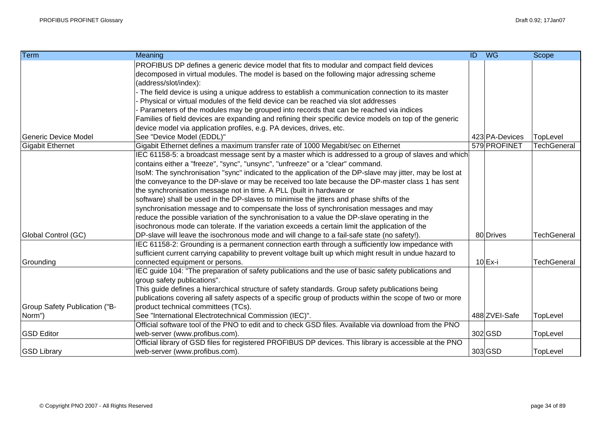| Term                          | Meaning                                                                                                  | $\overline{ID}$ | $W$ G          | Scope              |
|-------------------------------|----------------------------------------------------------------------------------------------------------|-----------------|----------------|--------------------|
|                               | PROFIBUS DP defines a generic device model that fits to modular and compact field devices                |                 |                |                    |
|                               | decomposed in virtual modules. The model is based on the following major adressing scheme                |                 |                |                    |
|                               | (address/slot/index):                                                                                    |                 |                |                    |
|                               | The field device is using a unique address to establish a communication connection to its master         |                 |                |                    |
|                               | Physical or virtual modules of the field device can be reached via slot addresses                        |                 |                |                    |
|                               | Parameters of the modules may be grouped into records that can be reached via indices                    |                 |                |                    |
|                               | Families of field devices are expanding and refining their specific device models on top of the generic  |                 |                |                    |
|                               | device model via application profiles, e.g. PA devices, drives, etc.                                     |                 |                |                    |
| <b>Generic Device Model</b>   | See "Device Model (EDDL)"                                                                                |                 | 423 PA-Devices | TopLevel           |
| <b>Gigabit Ethernet</b>       | Gigabit Ethernet defines a maximum transfer rate of 1000 Megabit/sec on Ethernet                         |                 | 579 PROFINET   | <b>TechGeneral</b> |
|                               | IEC 61158-5: a broadcast message sent by a master which is addressed to a group of slaves and which      |                 |                |                    |
|                               | contains either a "freeze", "sync", "unsync", "unfreeze" or a "clear" command.                           |                 |                |                    |
|                               | IsoM: The synchronisation "sync" indicated to the application of the DP-slave may jitter, may be lost at |                 |                |                    |
|                               | the conveyance to the DP-slave or may be received too late because the DP-master class 1 has sent        |                 |                |                    |
|                               | the synchronisation message not in time. A PLL (built in hardware or                                     |                 |                |                    |
|                               | software) shall be used in the DP-slaves to minimise the jitters and phase shifts of the                 |                 |                |                    |
|                               | synchronisation message and to compensate the loss of synchronisation messages and may                   |                 |                |                    |
|                               | reduce the possible variation of the synchronisation to a value the DP-slave operating in the            |                 |                |                    |
|                               | isochronous mode can tolerate. If the variation exceeds a certain limit the application of the           |                 |                |                    |
| Global Control (GC)           | DP-slave will leave the isochronous mode and will change to a fail-safe state (no safety!).              |                 | 80 Drives      | <b>TechGeneral</b> |
|                               | IEC 61158-2: Grounding is a permanent connection earth through a sufficiently low impedance with         |                 |                |                    |
|                               | sufficient current carrying capability to prevent voltage built up which might result in undue hazard to |                 |                |                    |
| Grounding                     | connected equipment or persons.                                                                          |                 | $10$ Ex-i      | <b>TechGeneral</b> |
|                               | IEC guide 104: "The preparation of safety publications and the use of basic safety publications and      |                 |                |                    |
|                               | group safety publications".                                                                              |                 |                |                    |
|                               | This guide defines a hierarchical structure of safety standards. Group safety publications being         |                 |                |                    |
|                               | publications covering all safety aspects of a specific group of products within the scope of two or more |                 |                |                    |
| Group Safety Publication ("B- | product technical committees (TCs).                                                                      |                 |                |                    |
| Norm")                        | See "International Electrotechnical Commission (IEC)".                                                   |                 | 488 ZVEI-Safe  | TopLevel           |
|                               | Official software tool of the PNO to edit and to check GSD files. Available via download from the PNO    |                 |                |                    |
| <b>GSD Editor</b>             | web-server (www.profibus.com).                                                                           |                 | 302 GSD        | TopLevel           |
|                               | Official library of GSD files for registered PROFIBUS DP devices. This library is accessible at the PNO  |                 |                |                    |
| <b>GSD Library</b>            | web-server (www.profibus.com).                                                                           |                 | 303 GSD        | TopLevel           |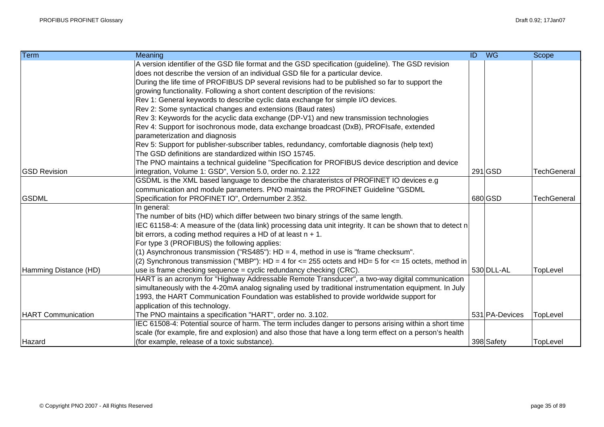| Term                      | Meaning                                                                                                      | <b>ID</b> WG   | Scope              |
|---------------------------|--------------------------------------------------------------------------------------------------------------|----------------|--------------------|
|                           | A version identifier of the GSD file format and the GSD specification (guideline). The GSD revision          |                |                    |
|                           | does not describe the version of an individual GSD file for a particular device.                             |                |                    |
|                           | During the life time of PROFIBUS DP several revisions had to be published so far to support the              |                |                    |
|                           | growing functionality. Following a short content description of the revisions:                               |                |                    |
|                           | Rev 1: General keywords to describe cyclic data exchange for simple I/O devices.                             |                |                    |
|                           | Rev 2: Some syntactical changes and extensions (Baud rates)                                                  |                |                    |
|                           | Rev 3: Keywords for the acyclic data exchange (DP-V1) and new transmission technologies                      |                |                    |
|                           | Rev 4: Support for isochronous mode, data exchange broadcast (DxB), PROFIsafe, extended                      |                |                    |
|                           | parameterization and diagnosis                                                                               |                |                    |
|                           | Rev 5: Support for publisher-subscriber tables, redundancy, comfortable diagnosis (help text)                |                |                    |
|                           | The GSD definitions are standardized within ISO 15745.                                                       |                |                    |
|                           | The PNO maintains a technical guideline "Specification for PROFIBUS device description and device            |                |                    |
| <b>GSD Revision</b>       | integration, Volume 1: GSD", Version 5.0, order no. 2.122                                                    | 291 GSD        | <b>TechGeneral</b> |
|                           | GSDML is the XML based language to describe the charateristcs of PROFINET IO devices e.g                     |                |                    |
|                           | communication and module parameters. PNO maintais the PROFINET Guideline "GSDML                              |                |                    |
| <b>GSDML</b>              | Specification for PROFINET IO", Ordernumber 2.352.                                                           | 680 GSD        | <b>TechGeneral</b> |
|                           | In general:                                                                                                  |                |                    |
|                           | The number of bits (HD) which differ between two binary strings of the same length.                          |                |                    |
|                           | IEC 61158-4: A measure of the (data link) processing data unit integrity. It can be shown that to detect n   |                |                    |
|                           | bit errors, a coding method requires a HD of at least $n + 1$ .                                              |                |                    |
|                           | For type 3 (PROFIBUS) the following applies:                                                                 |                |                    |
|                           | (1) Asynchronous transmission ("RS485"): $HD = 4$ , method in use is "frame checksum".                       |                |                    |
|                           | (2) Synchronous transmission ("MBP"): HD = 4 for $\lt=$ 255 octets and HD= 5 for $\lt=$ 15 octets, method in |                |                    |
| Hamming Distance (HD)     | use is frame checking sequence = cyclic redundancy checking (CRC).                                           | 530 DLL-AL     | TopLevel           |
|                           | HART is an acronym for "Highway Addressable Remote Transducer", a two-way digital communication              |                |                    |
|                           | simultaneously with the 4-20mA analog signaling used by traditional instrumentation equipment. In July       |                |                    |
|                           | 1993, the HART Communication Foundation was established to provide worldwide support for                     |                |                    |
|                           | application of this technology.                                                                              |                |                    |
| <b>HART Communication</b> | The PNO maintains a specification "HART", order no. 3.102.                                                   | 531 PA-Devices | TopLevel           |
|                           | IEC 61508-4: Potential source of harm. The term includes danger to persons arising within a short time       |                |                    |
|                           | scale (for example, fire and explosion) and also those that have a long term effect on a person's health     |                |                    |
| Hazard                    | (for example, release of a toxic substance).                                                                 | 398 Safety     | TopLevel           |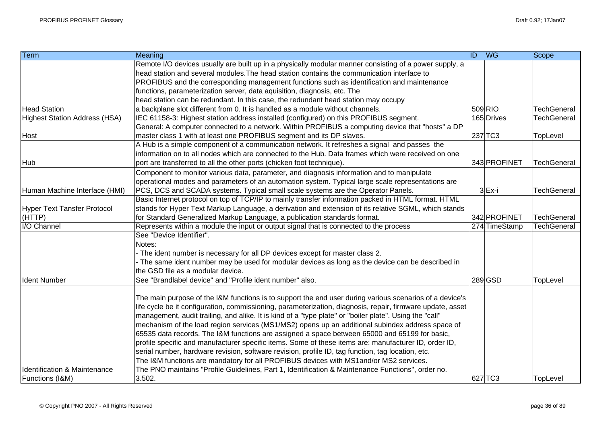| Term                                 | Meaning                                                                                                    | ID WG |               | Scope              |
|--------------------------------------|------------------------------------------------------------------------------------------------------------|-------|---------------|--------------------|
|                                      | Remote I/O devices usually are built up in a physically modular manner consisting of a power supply, a     |       |               |                    |
|                                      | head station and several modules. The head station contains the communication interface to                 |       |               |                    |
|                                      | PROFIBUS and the corresponding management functions such as identification and maintenance                 |       |               |                    |
|                                      | functions, parameterization server, data aquisition, diagnosis, etc. The                                   |       |               |                    |
|                                      | head station can be redundant. In this case, the redundant head station may occupy                         |       |               |                    |
| <b>Head Station</b>                  | a backplane slot different from 0. It is handled as a module without channels.                             |       | 509 RIO       | <b>TechGeneral</b> |
| <b>Highest Station Address (HSA)</b> | IEC 61158-3: Highest station address installed (configured) on this PROFIBUS segment.                      |       | 165 Drives    | <b>TechGeneral</b> |
|                                      | General: A computer connected to a network. Within PROFIBUS a computing device that "hosts" a DP           |       |               |                    |
| Host                                 | master class 1 with at least one PROFIBUS segment and its DP slaves.                                       |       | $237$ TC3     | TopLevel           |
|                                      | A Hub is a simple component of a communication network. It refreshes a signal and passes the               |       |               |                    |
|                                      | information on to all nodes which are connected to the Hub. Data frames which were received on one         |       |               |                    |
| <b>Hub</b>                           | port are transferred to all the other ports (chicken foot technique).                                      |       | 343 PROFINET  | <b>TechGeneral</b> |
|                                      | Component to monitor various data, parameter, and diagnosis information and to manipulate                  |       |               |                    |
|                                      | operational modes and parameters of an automation system. Typical large scale representations are          |       |               |                    |
| Human Machine Interface (HMI)        | PCS, DCS and SCADA systems. Typical small scale systems are the Operator Panels.                           |       | $3$ $Ex-i$    | <b>TechGeneral</b> |
|                                      | Basic Internet protocol on top of TCP/IP to mainly transfer information packed in HTML format. HTML        |       |               |                    |
| <b>Hyper Text Tansfer Protocol</b>   | stands for Hyper Text Markup Language, a derivation and extension of its relative SGML, which stands       |       |               |                    |
| (HTTP)                               | for Standard Generalized Markup Language, a publication standards format.                                  |       | 342 PROFINET  | TechGeneral        |
| I/O Channel                          | Represents within a module the input or output signal that is connected to the process.                    |       | 274 TimeStamp | <b>TechGeneral</b> |
|                                      | See "Device Identifier".                                                                                   |       |               |                    |
|                                      | Notes:                                                                                                     |       |               |                    |
|                                      | - The ident number is necessary for all DP devices except for master class 2.                              |       |               |                    |
|                                      | - The same ident number may be used for modular devices as long as the device can be described in          |       |               |                    |
|                                      | the GSD file as a modular device.                                                                          |       |               |                    |
| <b>Ident Number</b>                  | See "Brandlabel device" and "Profile ident number" also.                                                   |       | $289$ GSD     | TopLevel           |
|                                      |                                                                                                            |       |               |                    |
|                                      | The main purpose of the I&M functions is to support the end user during various scenarios of a device's    |       |               |                    |
|                                      | life cycle be it configuration, commissioning, parameterization, diagnosis, repair, firmware update, asset |       |               |                    |
|                                      | management, audit trailing, and alike. It is kind of a "type plate" or "boiler plate". Using the "call"    |       |               |                    |
|                                      | mechanism of the load region services (MS1/MS2) opens up an additional subindex address space of           |       |               |                    |
|                                      | 65535 data records. The I&M functions are assigned a space between 65000 and 65199 for basic,              |       |               |                    |
|                                      | profile specific and manufacturer specific items. Some of these items are: manufacturer ID, order ID,      |       |               |                    |
|                                      | serial number, hardware revision, software revision, profile ID, tag function, tag location, etc.          |       |               |                    |
|                                      | The I&M functions are mandatory for all PROFIBUS devices with MS1and/or MS2 services.                      |       |               |                    |
| Identification & Maintenance         | The PNO maintains "Profile Guidelines, Part 1, Identification & Maintenance Functions", order no.          |       |               |                    |
| Functions (I&M)                      | 3.502.                                                                                                     |       | 627 TC3       | TopLevel           |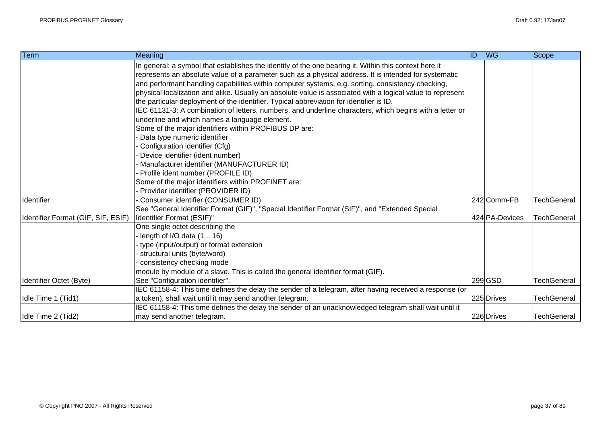| <b>Term</b>                        | Meaning                                                                                                    | <b>WG</b><br>ID | Scope              |
|------------------------------------|------------------------------------------------------------------------------------------------------------|-----------------|--------------------|
|                                    | In general: a symbol that establishes the identity of the one bearing it. Within this context here it      |                 |                    |
|                                    | represents an absolute value of a parameter such as a physical address. It is intended for systematic      |                 |                    |
|                                    | and performant handling capabilities within computer systems, e.g. sorting, consistency checking,          |                 |                    |
|                                    | physical localization and alike. Usually an absolute value is associated with a logical value to represent |                 |                    |
|                                    | the particular deployment of the identifier. Typical abbreviation for identifier is ID.                    |                 |                    |
|                                    | IEC 61131-3: A combination of letters, numbers, and underline characters, which begins with a letter or    |                 |                    |
|                                    | underline and which names a language element.                                                              |                 |                    |
|                                    | Some of the major identifiers within PROFIBUS DP are:                                                      |                 |                    |
|                                    | Data type numeric identifier                                                                               |                 |                    |
|                                    | Configuration identifier (Cfg)                                                                             |                 |                    |
|                                    | Device identifier (ident number)                                                                           |                 |                    |
|                                    | Manufacturer identifier (MANUFACTURER ID)                                                                  |                 |                    |
|                                    | - Profile ident number (PROFILE ID)                                                                        |                 |                    |
|                                    | Some of the major identifiers within PROFINET are:                                                         |                 |                    |
|                                    | - Provider identifier (PROVIDER ID)                                                                        |                 |                    |
| Identifier                         | Consumer identifier (CONSUMER ID)                                                                          | 242 Comm-FB     | <b>TechGeneral</b> |
|                                    | See "General Identifier Format (GIF)", "Special Identifier Format (SIF)", and "Extended Special            |                 |                    |
| Identifier Format (GIF, SIF, ESIF) | Identifier Format (ESIF)"                                                                                  | 424 PA-Devices  | <b>TechGeneral</b> |
|                                    | One single octet describing the                                                                            |                 |                    |
|                                    | length of I/O data $(116)$                                                                                 |                 |                    |
|                                    | type (input/output) or format extension                                                                    |                 |                    |
|                                    | structural units (byte/word)                                                                               |                 |                    |
|                                    | consistency checking mode                                                                                  |                 |                    |
|                                    | module by module of a slave. This is called the general identifier format (GIF).                           |                 |                    |
| Identifier Octet (Byte)            | See "Configuration identifier".                                                                            | 299 GSD         | <b>TechGeneral</b> |
|                                    | IEC 61158-4: This time defines the delay the sender of a telegram, after having received a response (or    |                 |                    |
| Idle Time 1 (Tid1)                 | a token), shall wait until it may send another telegram.                                                   | 225 Drives      | <b>TechGeneral</b> |
|                                    | IEC 61158-4: This time defines the delay the sender of an unacknowledged telegram shall wait until it      |                 |                    |
| Idle Time 2 (Tid2)                 | may send another telegram.                                                                                 | 226 Drives      | TechGeneral        |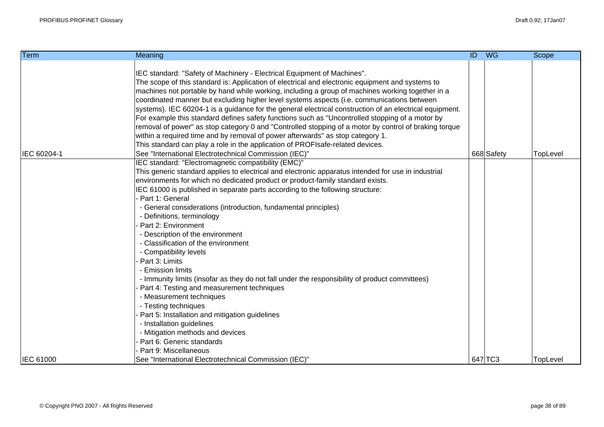| <b>Term</b>      | Meaning                                                                                                                                                                                                                                                                                                                                                                                                                                                                                                                                                                                                                                                                                                                                                                                                                                                                  | ID WG      | Scope    |
|------------------|--------------------------------------------------------------------------------------------------------------------------------------------------------------------------------------------------------------------------------------------------------------------------------------------------------------------------------------------------------------------------------------------------------------------------------------------------------------------------------------------------------------------------------------------------------------------------------------------------------------------------------------------------------------------------------------------------------------------------------------------------------------------------------------------------------------------------------------------------------------------------|------------|----------|
|                  | IEC standard: "Safety of Machinery - Electrical Equipment of Machines".<br>The scope of this standard is: Application of electrical and electronic equipment and systems to<br>machines not portable by hand while working, including a group of machines working together in a<br>coordinated manner but excluding higher level systems aspects (i.e. communications between<br>systems). IEC 60204-1 is a guidance for the general electrical construction of an electrical equipment.<br>For example this standard defines safety functions such as "Uncontrolled stopping of a motor by<br>removal of power" as stop category 0 and "Controlled stopping of a motor by control of braking torque<br>within a required time and by removal of power afterwards" as stop category 1.<br>This standard can play a role in the application of PROFIsafe-related devices. |            |          |
|                  | See "International Electrotechnical Commission (IEC)"<br>IEC standard: "Electromagnetic compatibility (EMC)"<br>This generic standard applies to electrical and electronic apparatus intended for use in industrial                                                                                                                                                                                                                                                                                                                                                                                                                                                                                                                                                                                                                                                      | 668 Safety | TopLevel |
|                  | environments for which no dedicated product or product-family standard exists.                                                                                                                                                                                                                                                                                                                                                                                                                                                                                                                                                                                                                                                                                                                                                                                           |            |          |
|                  | IEC 61000 is published in separate parts according to the following structure:                                                                                                                                                                                                                                                                                                                                                                                                                                                                                                                                                                                                                                                                                                                                                                                           |            |          |
|                  | Part 1: General                                                                                                                                                                                                                                                                                                                                                                                                                                                                                                                                                                                                                                                                                                                                                                                                                                                          |            |          |
|                  | - General considerations (introduction, fundamental principles)                                                                                                                                                                                                                                                                                                                                                                                                                                                                                                                                                                                                                                                                                                                                                                                                          |            |          |
|                  | - Definitions, terminology                                                                                                                                                                                                                                                                                                                                                                                                                                                                                                                                                                                                                                                                                                                                                                                                                                               |            |          |
|                  | Part 2: Environment                                                                                                                                                                                                                                                                                                                                                                                                                                                                                                                                                                                                                                                                                                                                                                                                                                                      |            |          |
|                  | - Description of the environment                                                                                                                                                                                                                                                                                                                                                                                                                                                                                                                                                                                                                                                                                                                                                                                                                                         |            |          |
|                  | - Classification of the environment                                                                                                                                                                                                                                                                                                                                                                                                                                                                                                                                                                                                                                                                                                                                                                                                                                      |            |          |
|                  | - Compatibility levels                                                                                                                                                                                                                                                                                                                                                                                                                                                                                                                                                                                                                                                                                                                                                                                                                                                   |            |          |
|                  | - Part 3: Limits                                                                                                                                                                                                                                                                                                                                                                                                                                                                                                                                                                                                                                                                                                                                                                                                                                                         |            |          |
|                  | - Emission limits                                                                                                                                                                                                                                                                                                                                                                                                                                                                                                                                                                                                                                                                                                                                                                                                                                                        |            |          |
|                  | - Immunity limits (insofar as they do not fall under the responsibility of product committees)                                                                                                                                                                                                                                                                                                                                                                                                                                                                                                                                                                                                                                                                                                                                                                           |            |          |
|                  | Part 4: Testing and measurement techniques                                                                                                                                                                                                                                                                                                                                                                                                                                                                                                                                                                                                                                                                                                                                                                                                                               |            |          |
|                  | - Measurement techniques                                                                                                                                                                                                                                                                                                                                                                                                                                                                                                                                                                                                                                                                                                                                                                                                                                                 |            |          |
|                  | - Testing techniques                                                                                                                                                                                                                                                                                                                                                                                                                                                                                                                                                                                                                                                                                                                                                                                                                                                     |            |          |
|                  | Part 5: Installation and mitigation guidelines                                                                                                                                                                                                                                                                                                                                                                                                                                                                                                                                                                                                                                                                                                                                                                                                                           |            |          |
|                  | - Installation guidelines                                                                                                                                                                                                                                                                                                                                                                                                                                                                                                                                                                                                                                                                                                                                                                                                                                                |            |          |
|                  | - Mitigation methods and devices                                                                                                                                                                                                                                                                                                                                                                                                                                                                                                                                                                                                                                                                                                                                                                                                                                         |            |          |
| IEC 60204-1      | Part 6: Generic standards                                                                                                                                                                                                                                                                                                                                                                                                                                                                                                                                                                                                                                                                                                                                                                                                                                                |            |          |
|                  | - Part 9: Miscellaneous                                                                                                                                                                                                                                                                                                                                                                                                                                                                                                                                                                                                                                                                                                                                                                                                                                                  |            |          |
| <b>IEC 61000</b> | See "International Electrotechnical Commission (IEC)"                                                                                                                                                                                                                                                                                                                                                                                                                                                                                                                                                                                                                                                                                                                                                                                                                    | 647 TC3    | TopLevel |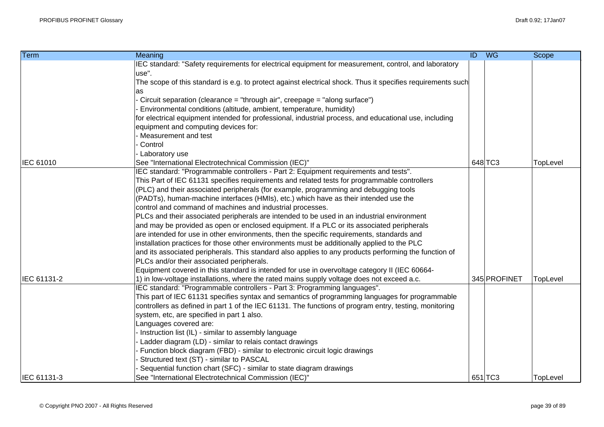| <b>Term</b>      | <b>ID</b> WG<br>Meaning                                                                                     |              |          |  |
|------------------|-------------------------------------------------------------------------------------------------------------|--------------|----------|--|
|                  | IEC standard: "Safety requirements for electrical equipment for measurement, control, and laboratory        |              |          |  |
|                  | use".                                                                                                       |              |          |  |
|                  | The scope of this standard is e.g. to protect against electrical shock. Thus it specifies requirements such |              |          |  |
|                  | as                                                                                                          |              |          |  |
|                  | Circuit separation (clearance = "through air", creepage = "along surface")                                  |              |          |  |
|                  | Environmental conditions (altitude, ambient, temperature, humidity)                                         |              |          |  |
|                  | for electrical equipment intended for professional, industrial process, and educational use, including      |              |          |  |
|                  | equipment and computing devices for:                                                                        |              |          |  |
|                  | Measurement and test                                                                                        |              |          |  |
|                  | Control                                                                                                     |              |          |  |
|                  | Laboratory use                                                                                              |              |          |  |
| <b>IEC 61010</b> | See "International Electrotechnical Commission (IEC)"                                                       | 648 TC3      | TopLevel |  |
|                  | IEC standard: "Programmable controllers - Part 2: Equipment requirements and tests".                        |              |          |  |
|                  | This Part of IEC 61131 specifies requirements and related tests for programmable controllers                |              |          |  |
|                  | (PLC) and their associated peripherals (for example, programming and debugging tools                        |              |          |  |
|                  | (PADTs), human-machine interfaces (HMIs), etc.) which have as their intended use the                        |              |          |  |
|                  | control and command of machines and industrial processes.                                                   |              |          |  |
|                  | PLCs and their associated peripherals are intended to be used in an industrial environment                  |              |          |  |
|                  | and may be provided as open or enclosed equipment. If a PLC or its associated peripherals                   |              |          |  |
|                  | are intended for use in other environments, then the specific requirements, standards and                   |              |          |  |
|                  | installation practices for those other environments must be additionally applied to the PLC                 |              |          |  |
|                  | and its associated peripherals. This standard also applies to any products performing the function of       |              |          |  |
|                  | PLCs and/or their associated peripherals.                                                                   |              |          |  |
|                  | Equipment covered in this standard is intended for use in overvoltage category II (IEC 60664-               |              |          |  |
| IEC 61131-2      | 1) in low-voltage installations, where the rated mains supply voltage does not exceed a.c.                  | 345 PROFINET | TopLevel |  |
|                  | IEC standard: "Programmable controllers - Part 3: Programming languages".                                   |              |          |  |
|                  | This part of IEC 61131 specifies syntax and semantics of programming languages for programmable             |              |          |  |
|                  | controllers as defined in part 1 of the IEC 61131. The functions of program entry, testing, monitoring      |              |          |  |
|                  | system, etc, are specified in part 1 also.                                                                  |              |          |  |
|                  | Languages covered are:                                                                                      |              |          |  |
|                  | Instruction list (IL) - similar to assembly language                                                        |              |          |  |
|                  | Ladder diagram (LD) - similar to relais contact drawings                                                    |              |          |  |
|                  | Function block diagram (FBD) - similar to electronic circuit logic drawings                                 |              |          |  |
|                  | Structured text (ST) - similar to PASCAL                                                                    |              |          |  |
|                  | Sequential function chart (SFC) - similar to state diagram drawings                                         |              |          |  |
| IEC 61131-3      | See "International Electrotechnical Commission (IEC)"                                                       | 651 TC3      | TopLevel |  |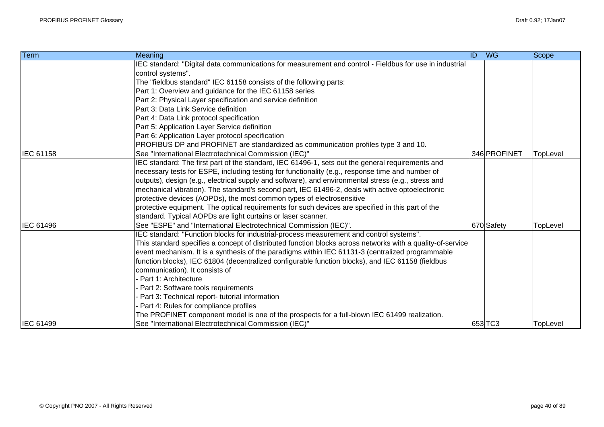| <b>Term</b>      | Meaning                                                                                                    | ID | <b>WG</b>    | Scope    |
|------------------|------------------------------------------------------------------------------------------------------------|----|--------------|----------|
|                  | IEC standard: "Digital data communications for measurement and control - Fieldbus for use in industrial    |    |              |          |
|                  | control systems".                                                                                          |    |              |          |
|                  | The "fieldbus standard" IEC 61158 consists of the following parts:                                         |    |              |          |
|                  | Part 1: Overview and guidance for the IEC 61158 series                                                     |    |              |          |
|                  | Part 2: Physical Layer specification and service definition                                                |    |              |          |
|                  | Part 3: Data Link Service definition                                                                       |    |              |          |
|                  | Part 4: Data Link protocol specification                                                                   |    |              |          |
|                  | Part 5: Application Layer Service definition                                                               |    |              |          |
|                  | Part 6: Application Layer protocol specification                                                           |    |              |          |
|                  | PROFIBUS DP and PROFINET are standardized as communication profiles type 3 and 10.                         |    |              |          |
| IEC 61158        | See "International Electrotechnical Commission (IEC)"                                                      |    | 346 PROFINET | TopLevel |
|                  | IEC standard: The first part of the standard, IEC 61496-1, sets out the general requirements and           |    |              |          |
|                  | necessary tests for ESPE, including testing for functionality (e.g., response time and number of           |    |              |          |
|                  | outputs), design (e.g., electrical supply and software), and environmental stress (e.g., stress and        |    |              |          |
|                  | mechanical vibration). The standard's second part, IEC 61496-2, deals with active optoelectronic           |    |              |          |
|                  | protective devices (AOPDs), the most common types of electrosensitive                                      |    |              |          |
|                  | protective equipment. The optical requirements for such devices are specified in this part of the          |    |              |          |
|                  | standard. Typical AOPDs are light curtains or laser scanner.                                               |    |              |          |
| <b>IEC 61496</b> | See "ESPE" and "International Electrotechnical Commission (IEC)".                                          |    | 670 Safety   | TopLevel |
|                  | IEC standard: "Function blocks for industrial-process measurement and control systems".                    |    |              |          |
|                  | This standard specifies a concept of distributed function blocks across networks with a quality-of-service |    |              |          |
|                  | event mechanism. It is a synthesis of the paradigms within IEC 61131-3 (centralized programmable           |    |              |          |
|                  | function blocks), IEC 61804 (decentralized configurable function blocks), and IEC 61158 (fieldbus          |    |              |          |
|                  | communication). It consists of                                                                             |    |              |          |
|                  | Part 1: Architecture                                                                                       |    |              |          |
|                  | Part 2: Software tools requirements                                                                        |    |              |          |
|                  | Part 3: Technical report- tutorial information                                                             |    |              |          |
|                  | Part 4: Rules for compliance profiles                                                                      |    |              |          |
|                  | The PROFINET component model is one of the prospects for a full-blown IEC 61499 realization.               |    |              |          |
| IEC 61499        | See "International Electrotechnical Commission (IEC)"                                                      |    | 653 TC3      | TopLevel |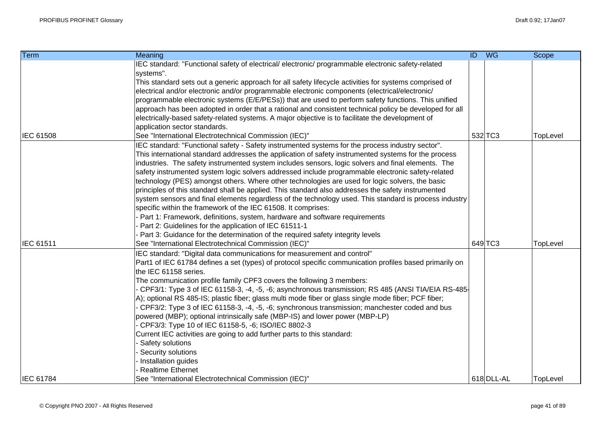| <b>Term</b>      | Meaning                                                                                                 | ID WG |            | Scope    |
|------------------|---------------------------------------------------------------------------------------------------------|-------|------------|----------|
|                  | IEC standard: "Functional safety of electrical/ electronic/ programmable electronic safety-related      |       |            |          |
|                  | systems".                                                                                               |       |            |          |
|                  | This standard sets out a generic approach for all safety lifecycle activities for systems comprised of  |       |            |          |
|                  | electrical and/or electronic and/or programmable electronic components (electrical/electronic/          |       |            |          |
|                  | programmable electronic systems (E/E/PESs)) that are used to perform safety functions. This unified     |       |            |          |
|                  | approach has been adopted in order that a rational and consistent technical policy be developed for all |       |            |          |
|                  | electrically-based safety-related systems. A major objective is to facilitate the development of        |       |            |          |
|                  | application sector standards.                                                                           |       |            |          |
| <b>IEC 61508</b> | See "International Electrotechnical Commission (IEC)"                                                   |       | 532 TC3    | TopLevel |
|                  | IEC standard: "Functional safety - Safety instrumented systems for the process industry sector".        |       |            |          |
|                  | This international standard addresses the application of safety instrumented systems for the process    |       |            |          |
|                  | industries. The safety instrumented system includes sensors, logic solvers and final elements. The      |       |            |          |
|                  | safety instrumented system logic solvers addressed include programmable electronic safety-related       |       |            |          |
|                  | technology (PES) amongst others. Where other technologies are used for logic solvers, the basic         |       |            |          |
|                  | principles of this standard shall be applied. This standard also addresses the safety instrumented      |       |            |          |
|                  | system sensors and final elements regardless of the technology used. This standard is process industry  |       |            |          |
|                  | specific within the framework of the IEC 61508. It comprises:                                           |       |            |          |
|                  | Part 1: Framework, definitions, system, hardware and software requirements                              |       |            |          |
|                  | Part 2: Guidelines for the application of IEC 61511-1                                                   |       |            |          |
|                  | Part 3: Guidance for the determination of the required safety integrity levels                          |       |            |          |
| <b>IEC 61511</b> | See "International Electrotechnical Commission (IEC)"                                                   |       | 649 TC3    | TopLevel |
|                  | IEC standard: "Digital data communications for measurement and control"                                 |       |            |          |
|                  | Part1 of IEC 61784 defines a set (types) of protocol specific communication profiles based primarily on |       |            |          |
|                  | the IEC 61158 series.                                                                                   |       |            |          |
|                  | The communication profile family CPF3 covers the following 3 members:                                   |       |            |          |
|                  | GPF3/1: Type 3 of IEC 61158-3, -4, -5, -6; asynchronous transmission; RS 485 (ANSI TIA/EIA RS-485-      |       |            |          |
|                  | A); optional RS 485-IS; plastic fiber; glass multi mode fiber or glass single mode fiber; PCF fiber;    |       |            |          |
|                  | CPF3/2: Type 3 of IEC 61158-3, -4, -5, -6; synchronous transmission; manchester coded and bus           |       |            |          |
|                  | powered (MBP); optional intrinsically safe (MBP-IS) and lower power (MBP-LP)                            |       |            |          |
|                  | CPF3/3: Type 10 of IEC 61158-5, -6; ISO/IEC 8802-3                                                      |       |            |          |
|                  | Current IEC activities are going to add further parts to this standard:                                 |       |            |          |
|                  | Safety solutions                                                                                        |       |            |          |
|                  | Security solutions                                                                                      |       |            |          |
|                  | Installation guides                                                                                     |       |            |          |
|                  | Realtime Ethernet                                                                                       |       |            |          |
| <b>IEC 61784</b> | See "International Electrotechnical Commission (IEC)"                                                   |       | 618 DLL-AL | TopLevel |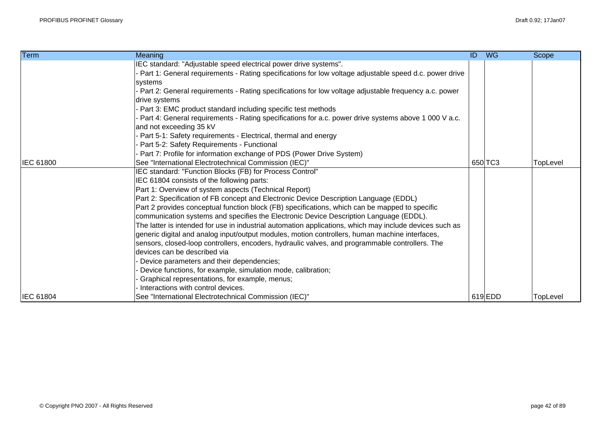| Term             | <b>Meaning</b>                                                                                          | ID. | <b>WG</b> | Scope    |
|------------------|---------------------------------------------------------------------------------------------------------|-----|-----------|----------|
|                  | IEC standard: "Adjustable speed electrical power drive systems".                                        |     |           |          |
|                  | Part 1: General requirements - Rating specifications for low voltage adjustable speed d.c. power drive  |     |           |          |
|                  | systems                                                                                                 |     |           |          |
|                  | - Part 2: General requirements - Rating specifications for low voltage adjustable frequency a.c. power  |     |           |          |
|                  | drive systems                                                                                           |     |           |          |
|                  | Part 3: EMC product standard including specific test methods                                            |     |           |          |
|                  | - Part 4: General requirements - Rating specifications for a.c. power drive systems above 1 000 V a.c.  |     |           |          |
|                  | and not exceeding 35 kV                                                                                 |     |           |          |
|                  | - Part 5-1: Safety requirements - Electrical, thermal and energy                                        |     |           |          |
|                  | Part 5-2: Safety Requirements - Functional                                                              |     |           |          |
|                  | - Part 7: Profile for information exchange of PDS (Power Drive System)                                  |     |           |          |
| <b>IEC 61800</b> | See "International Electrotechnical Commission (IEC)"                                                   |     | 650 TC3   | TopLevel |
|                  | IEC standard: "Function Blocks (FB) for Process Control"                                                |     |           |          |
|                  | IEC 61804 consists of the following parts:                                                              |     |           |          |
|                  | Part 1: Overview of system aspects (Technical Report)                                                   |     |           |          |
|                  | Part 2: Specification of FB concept and Electronic Device Description Language (EDDL)                   |     |           |          |
|                  | Part 2 provides conceptual function block (FB) specifications, which can be mapped to specific          |     |           |          |
|                  | communication systems and specifies the Electronic Device Description Language (EDDL).                  |     |           |          |
|                  | The latter is intended for use in industrial automation applications, which may include devices such as |     |           |          |
|                  | generic digital and analog input/output modules, motion controllers, human machine interfaces,          |     |           |          |
|                  | sensors, closed-loop controllers, encoders, hydraulic valves, and programmable controllers. The         |     |           |          |
|                  | devices can be described via                                                                            |     |           |          |
|                  | Device parameters and their dependencies;                                                               |     |           |          |
|                  | Device functions, for example, simulation mode, calibration;                                            |     |           |          |
|                  | Graphical representations, for example, menus;                                                          |     |           |          |
|                  | Interactions with control devices.                                                                      |     |           |          |
| <b>IEC 61804</b> | See "International Electrotechnical Commission (IEC)"                                                   |     | $619$ EDD | TopLevel |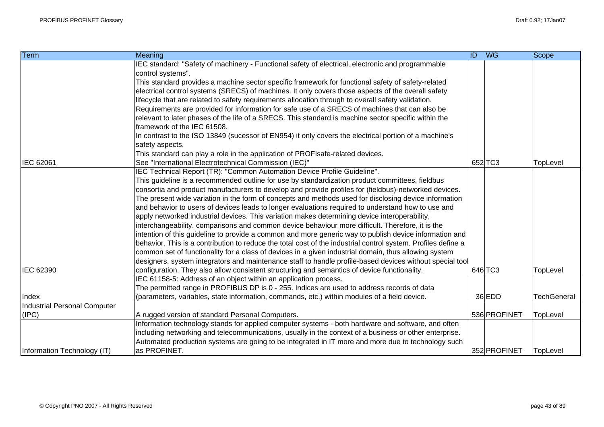| Term                                | <b>Meaning</b>                                                                                                         | ID WG        | Scope              |
|-------------------------------------|------------------------------------------------------------------------------------------------------------------------|--------------|--------------------|
|                                     | IEC standard: "Safety of machinery - Functional safety of electrical, electronic and programmable<br>control systems". |              |                    |
|                                     | This standard provides a machine sector specific framework for functional safety of safety-related                     |              |                    |
|                                     | electrical control systems (SRECS) of machines. It only covers those aspects of the overall safety                     |              |                    |
|                                     | lifecycle that are related to safety requirements allocation through to overall safety validation.                     |              |                    |
|                                     | Requirements are provided for information for safe use of a SRECS of machines that can also be                         |              |                    |
|                                     | relevant to later phases of the life of a SRECS. This standard is machine sector specific within the                   |              |                    |
|                                     | framework of the IEC 61508.                                                                                            |              |                    |
|                                     | In contrast to the ISO 13849 (sucessor of EN954) it only covers the electrical portion of a machine's                  |              |                    |
|                                     | safety aspects.                                                                                                        |              |                    |
|                                     | This standard can play a role in the application of PROFIsafe-related devices.                                         |              |                    |
| IEC 62061                           | See "International Electrotechnical Commission (IEC)"                                                                  | 652 TC3      | TopLevel           |
|                                     | IEC Technical Report (TR): "Common Automation Device Profile Guideline".                                               |              |                    |
|                                     | This guideline is a recommended outline for use by standardization product committees, fieldbus                        |              |                    |
|                                     | consortia and product manufacturers to develop and provide profiles for (fieldbus)-networked devices.                  |              |                    |
|                                     | The present wide variation in the form of concepts and methods used for disclosing device information                  |              |                    |
|                                     | and behavior to users of devices leads to longer evaluations required to understand how to use and                     |              |                    |
|                                     | apply networked industrial devices. This variation makes determining device interoperability,                          |              |                    |
|                                     | interchangeability, comparisons and common device behaviour more difficult. Therefore, it is the                       |              |                    |
|                                     | intention of this guideline to provide a common and more generic way to publish device information and                 |              |                    |
|                                     | behavior. This is a contribution to reduce the total cost of the industrial control system. Profiles define a          |              |                    |
|                                     | common set of functionality for a class of devices in a given industrial domain, thus allowing system                  |              |                    |
|                                     | designers, system integrators and maintenance staff to handle profile-based devices without special tool               |              |                    |
| IEC 62390                           | configuration. They also allow consistent structuring and semantics of device functionality.                           | 646 TC3      | TopLevel           |
|                                     | IEC 61158-5: Address of an object within an application process.                                                       |              |                    |
|                                     | The permitted range in PROFIBUS DP is 0 - 255. Indices are used to address records of data                             |              |                    |
| Index                               | (parameters, variables, state information, commands, etc.) within modules of a field device.                           | 36 EDD       | <b>TechGeneral</b> |
| <b>Industrial Personal Computer</b> |                                                                                                                        |              |                    |
| (IPC)                               | A rugged version of standard Personal Computers.                                                                       | 536 PROFINET | TopLevel           |
|                                     | Information technology stands for applied computer systems - both hardware and software, and often                     |              |                    |
|                                     | including networking and telecommunications, usually in the context of a business or other enterprise.                 |              |                    |
|                                     | Automated production systems are going to be integrated in IT more and more due to technology such                     |              |                    |
| Information Technology (IT)         | as PROFINET.                                                                                                           | 352 PROFINET | TopLevel           |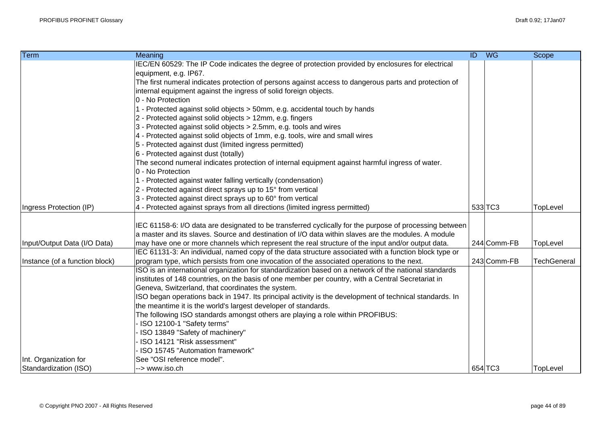| Term                           | Meaning                                                                                                 |                                                           |         | Scope              |
|--------------------------------|---------------------------------------------------------------------------------------------------------|-----------------------------------------------------------|---------|--------------------|
|                                | IEC/EN 60529: The IP Code indicates the degree of protection provided by enclosures for electrical      |                                                           |         |                    |
|                                | equipment, e.g. IP67.                                                                                   |                                                           |         |                    |
|                                | The first numeral indicates protection of persons against access to dangerous parts and protection of   | <b>ID</b> WG<br>$533$ $TC3$<br>244 Comm-FB<br>243 Comm-FB |         |                    |
|                                | internal equipment against the ingress of solid foreign objects.                                        |                                                           |         |                    |
|                                | 0 - No Protection                                                                                       |                                                           |         |                    |
|                                | 1 - Protected against solid objects > 50mm, e.g. accidental touch by hands                              |                                                           |         |                    |
|                                | 2 - Protected against solid objects > 12mm, e.g. fingers                                                |                                                           |         |                    |
|                                | 3 - Protected against solid objects > 2.5mm, e.g. tools and wires                                       |                                                           |         |                    |
|                                | 4 - Protected against solid objects of 1mm, e.g. tools, wire and small wires                            |                                                           |         |                    |
|                                | 5 - Protected against dust (limited ingress permitted)                                                  |                                                           |         |                    |
|                                | 6 - Protected against dust (totally)                                                                    |                                                           |         |                    |
|                                | The second numeral indicates protection of internal equipment against harmful ingress of water.         |                                                           |         |                    |
|                                | 0 - No Protection                                                                                       |                                                           |         |                    |
|                                | 1 - Protected against water falling vertically (condensation)                                           |                                                           |         |                    |
|                                | 2 - Protected against direct sprays up to 15° from vertical                                             |                                                           |         |                    |
|                                | 3 - Protected against direct sprays up to 60° from vertical                                             |                                                           |         |                    |
| Ingress Protection (IP)        | 4 - Protected against sprays from all directions (limited ingress permitted)                            |                                                           |         | TopLevel           |
|                                |                                                                                                         |                                                           |         |                    |
|                                | IEC 61158-6: I/O data are designated to be transferred cyclically for the purpose of processing between |                                                           |         |                    |
|                                | a master and its slaves. Source and destination of I/O data within slaves are the modules. A module     |                                                           |         |                    |
| Input/Output Data (I/O Data)   | may have one or more channels which represent the real structure of the input and/or output data.       |                                                           |         | TopLevel           |
|                                | IEC 61131-3: An individual, named copy of the data structure associated with a function block type or   |                                                           |         |                    |
| Instance (of a function block) | program type, which persists from one invocation of the associated operations to the next.              |                                                           |         | <b>TechGeneral</b> |
|                                | ISO is an international organization for standardization based on a network of the national standards   |                                                           |         |                    |
|                                | institutes of 148 countries, on the basis of one member per country, with a Central Secretariat in      |                                                           |         |                    |
|                                | Geneva, Switzerland, that coordinates the system.                                                       |                                                           |         |                    |
|                                | ISO began operations back in 1947. Its principal activity is the development of technical standards. In |                                                           |         |                    |
|                                | the meantime it is the world's largest developer of standards.                                          |                                                           |         |                    |
|                                | The following ISO standards amongst others are playing a role within PROFIBUS:                          |                                                           |         |                    |
|                                | - ISO 12100-1 "Safety terms"                                                                            |                                                           |         |                    |
|                                | ISO 13849 "Safety of machinery"                                                                         |                                                           |         |                    |
|                                | ISO 14121 "Risk assessment"                                                                             |                                                           |         |                    |
|                                | ISO 15745 "Automation framework"                                                                        |                                                           |         |                    |
| Int. Organization for          | See "OSI reference model".                                                                              |                                                           |         |                    |
| Standardization (ISO)          | --> www.iso.ch                                                                                          |                                                           | 654 TC3 | TopLevel           |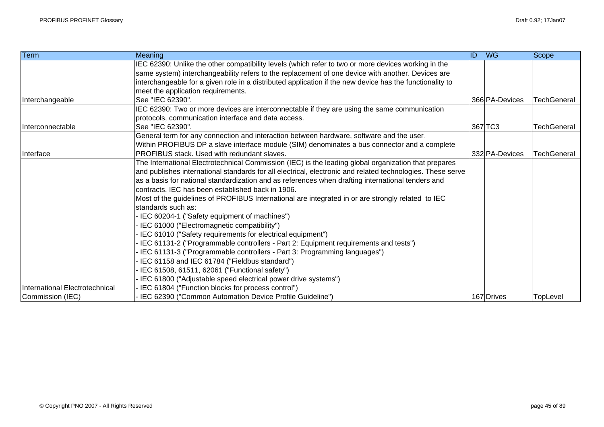| <b>Term</b>                    | Meaning                                                                                                    | $\overline{ID}$ | <b>WG</b>      | Scope              |
|--------------------------------|------------------------------------------------------------------------------------------------------------|-----------------|----------------|--------------------|
|                                | IEC 62390: Unlike the other compatibility levels (which refer to two or more devices working in the        |                 |                |                    |
|                                | same system) interchangeability refers to the replacement of one device with another. Devices are          |                 |                |                    |
|                                | interchangeable for a given role in a distributed application if the new device has the functionality to   |                 |                |                    |
|                                | meet the application requirements.                                                                         |                 |                |                    |
| Interchangeable                | See "IEC 62390".                                                                                           |                 | 366 PA-Devices | TechGeneral        |
|                                | IEC 62390: Two or more devices are interconnectable if they are using the same communication               |                 |                |                    |
|                                | protocols, communication interface and data access.                                                        |                 |                |                    |
| Interconnectable               | See "IEC 62390".                                                                                           |                 | 367 TC3        | <b>TechGeneral</b> |
|                                | General term for any connection and interaction between hardware, software and the user.                   |                 |                |                    |
|                                | Within PROFIBUS DP a slave interface module (SIM) denominates a bus connector and a complete               |                 |                |                    |
| Interface                      | PROFIBUS stack. Used with redundant slaves.                                                                |                 | 332 PA-Devices | TechGeneral        |
|                                | The International Electrotechnical Commission (IEC) is the leading global organization that prepares       |                 |                |                    |
|                                | and publishes international standards for all electrical, electronic and related technologies. These serve |                 |                |                    |
|                                | as a basis for national standardization and as references when drafting international tenders and          |                 |                |                    |
|                                | contracts. IEC has been established back in 1906.                                                          |                 |                |                    |
|                                | Most of the guidelines of PROFIBUS International are integrated in or are strongly related to IEC          |                 |                |                    |
|                                | standards such as:                                                                                         |                 |                |                    |
|                                | - IEC 60204-1 ("Safety equipment of machines")                                                             |                 |                |                    |
|                                | - IEC 61000 ("Electromagnetic compatibility")                                                              |                 |                |                    |
|                                | - IEC 61010 ("Safety requirements for electrical equipment")                                               |                 |                |                    |
|                                | - IEC 61131-2 ("Programmable controllers - Part 2: Equipment requirements and tests")                      |                 |                |                    |
|                                | - IEC 61131-3 ("Programmable controllers - Part 3: Programming languages")                                 |                 |                |                    |
|                                | IEC 61158 and IEC 61784 ("Fieldbus standard")                                                              |                 |                |                    |
|                                | - IEC 61508, 61511, 62061 ("Functional safety")                                                            |                 |                |                    |
|                                | - IEC 61800 ("Adjustable speed electrical power drive systems")                                            |                 |                |                    |
| International Electrotechnical | IEC 61804 ("Function blocks for process control")                                                          |                 |                |                    |
| Commission (IEC)               | IEC 62390 ("Common Automation Device Profile Guideline")                                                   |                 | 167 Drives     | TopLevel           |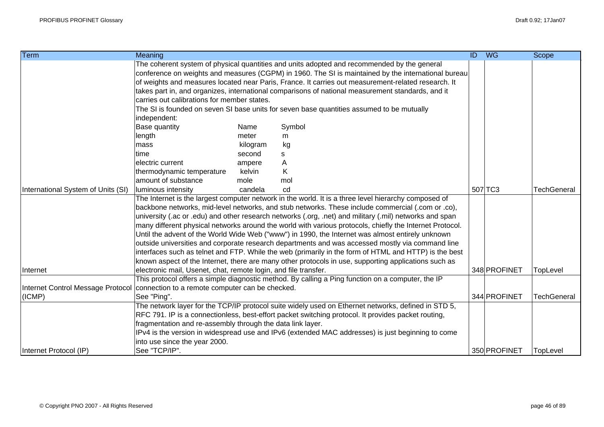| Term                                           | Meaning                                                         |          |                                                                                                          | ID<br><b>WG</b> | Scope              |
|------------------------------------------------|-----------------------------------------------------------------|----------|----------------------------------------------------------------------------------------------------------|-----------------|--------------------|
|                                                |                                                                 |          | The coherent system of physical quantities and units adopted and recommended by the general              |                 |                    |
| International System of Units (SI)<br>Internet |                                                                 |          | conference on weights and measures (CGPM) in 1960. The SI is maintained by the international bureau      |                 |                    |
|                                                |                                                                 |          | of weights and measures located near Paris, France. It carries out measurement-related research. It      |                 |                    |
|                                                |                                                                 |          | takes part in, and organizes, international comparisons of national measurement standards, and it        |                 |                    |
|                                                | carries out calibrations for member states.                     |          |                                                                                                          |                 |                    |
|                                                |                                                                 |          | The SI is founded on seven SI base units for seven base quantities assumed to be mutually                |                 |                    |
|                                                | independent:                                                    |          |                                                                                                          |                 |                    |
|                                                | <b>Base quantity</b>                                            | Name     | Symbol                                                                                                   |                 |                    |
|                                                | length                                                          | meter    | m                                                                                                        |                 |                    |
|                                                | mass                                                            | kilogram | kg                                                                                                       |                 |                    |
|                                                | time                                                            | second   | s                                                                                                        |                 |                    |
|                                                | electric current                                                | ampere   | Α                                                                                                        |                 |                    |
|                                                | thermodynamic temperature                                       | kelvin   | Κ                                                                                                        |                 |                    |
|                                                | amount of substance                                             | mole     | mol                                                                                                      |                 |                    |
|                                                | luminous intensity                                              | candela  | cd                                                                                                       | 507 TC3         | <b>TechGeneral</b> |
|                                                |                                                                 |          | The Internet is the largest computer network in the world. It is a three level hierarchy composed of     |                 |                    |
|                                                |                                                                 |          | backbone networks, mid-level networks, and stub networks. These include commercial (.com or .co),        |                 |                    |
|                                                |                                                                 |          | university (.ac or .edu) and other research networks (.org, .net) and military (.mil) networks and span  |                 |                    |
|                                                |                                                                 |          | many different physical networks around the world with various protocols, chiefly the Internet Protocol. |                 |                    |
|                                                |                                                                 |          | Until the advent of the World Wide Web ("www") in 1990, the Internet was almost entirely unknown         |                 |                    |
|                                                |                                                                 |          | outside universities and corporate research departments and was accessed mostly via command line         |                 |                    |
|                                                |                                                                 |          | interfaces such as telnet and FTP. While the web (primarily in the form of HTML and HTTP) is the best    |                 |                    |
|                                                |                                                                 |          | known aspect of the Internet, there are many other protocols in use, supporting applications such as     |                 |                    |
|                                                | electronic mail, Usenet, chat, remote login, and file transfer. |          |                                                                                                          | 348 PROFINET    | TopLevel           |
|                                                |                                                                 |          | This protocol offers a simple diagnostic method. By calling a Ping function on a computer, the IP        |                 |                    |
| Internet Control Message Protocol              | connection to a remote computer can be checked.                 |          |                                                                                                          |                 |                    |
| (ICMP)                                         | See "Ping".                                                     |          |                                                                                                          | 344 PROFINET    | <b>TechGeneral</b> |
|                                                |                                                                 |          | The network layer for the TCP/IP protocol suite widely used on Ethernet networks, defined in STD 5,      |                 |                    |
|                                                |                                                                 |          | RFC 791. IP is a connectionless, best-effort packet switching protocol. It provides packet routing,      |                 |                    |
|                                                | fragmentation and re-assembly through the data link layer.      |          |                                                                                                          |                 |                    |
|                                                |                                                                 |          | IPv4 is the version in widespread use and IPv6 (extended MAC addresses) is just beginning to come        |                 |                    |
|                                                | into use since the year 2000.                                   |          |                                                                                                          |                 |                    |
| Internet Protocol (IP)                         | See "TCP/IP".                                                   |          |                                                                                                          | 350 PROFINET    | TopLevel           |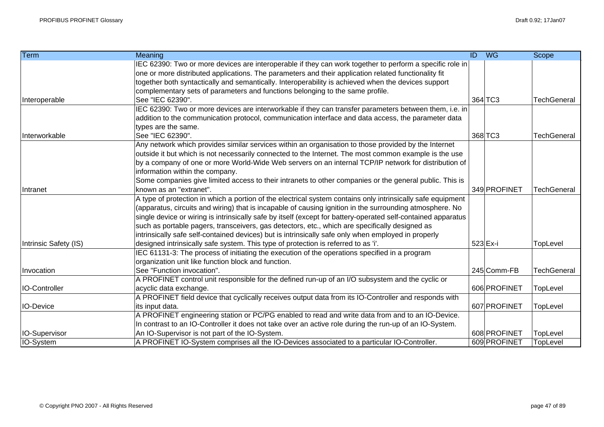| <b>Term</b>           | Meaning                                                                                                       | $\overline{ID}$ | <b>WG</b>    | Scope              |
|-----------------------|---------------------------------------------------------------------------------------------------------------|-----------------|--------------|--------------------|
|                       | IEC 62390: Two or more devices are interoperable if they can work together to perform a specific role in      |                 |              |                    |
|                       | one or more distributed applications. The parameters and their application related functionality fit          |                 |              |                    |
|                       | together both syntactically and semantically. Interoperability is achieved when the devices support           |                 |              |                    |
|                       | complementary sets of parameters and functions belonging to the same profile.                                 |                 |              |                    |
| Interoperable         | See "IEC 62390".                                                                                              |                 | 364 TC3      | <b>TechGeneral</b> |
|                       | IEC 62390: Two or more devices are interworkable if they can transfer parameters between them, i.e. in        |                 |              |                    |
|                       | addition to the communication protocol, communication interface and data access, the parameter data           |                 |              |                    |
|                       | types are the same.                                                                                           |                 |              |                    |
| Interworkable         | See "IEC 62390".                                                                                              |                 | 368 TC3      | <b>TechGeneral</b> |
|                       | Any network which provides similar services within an organisation to those provided by the Internet          |                 |              |                    |
|                       | outside it but which is not necessarily connected to the Internet. The most common example is the use         |                 |              |                    |
|                       | by a company of one or more World-Wide Web servers on an internal TCP/IP network for distribution of          |                 |              |                    |
|                       | information within the company.                                                                               |                 |              |                    |
|                       | Some companies give limited access to their intranets to other companies or the general public. This is       |                 |              |                    |
| Intranet              | known as an "extranet".                                                                                       |                 | 349 PROFINET | <b>TechGeneral</b> |
|                       | A type of protection in which a portion of the electrical system contains only intrinsically safe equipment   |                 |              |                    |
|                       | (apparatus, circuits and wiring) that is incapable of causing ignition in the surrounding atmosphere. No      |                 |              |                    |
|                       | single device or wiring is intrinsically safe by itself (except for battery-operated self-contained apparatus |                 |              |                    |
|                       | such as portable pagers, transceivers, gas detectors, etc., which are specifically designed as                |                 |              |                    |
|                       | intrinsically safe self-contained devices) but is intrinsically safe only when employed in properly           |                 |              |                    |
| Intrinsic Safety (IS) | designed intrinsically safe system. This type of protection is referred to as 'i'.                            |                 | 523 Ex-i     | TopLevel           |
|                       | IEC 61131-3: The process of initiating the execution of the operations specified in a program                 |                 |              |                    |
|                       | organization unit like function block and function.                                                           |                 |              |                    |
| Invocation            | See "Function invocation".                                                                                    |                 | 245 Comm-FB  | <b>TechGeneral</b> |
|                       | A PROFINET control unit responsible for the defined run-up of an I/O subsystem and the cyclic or              |                 |              |                    |
| <b>IO-Controller</b>  | acyclic data exchange.                                                                                        |                 | 606 PROFINET | TopLevel           |
|                       | A PROFINET field device that cyclically receives output data from its IO-Controller and responds with         |                 |              |                    |
| <b>IO-Device</b>      | its input data.                                                                                               |                 | 607 PROFINET | TopLevel           |
|                       | A PROFINET engineering station or PC/PG enabled to read and write data from and to an IO-Device.              |                 |              |                    |
|                       | In contrast to an IO-Controller it does not take over an active role during the run-up of an IO-System.       |                 |              |                    |
| IO-Supervisor         | An IO-Supervisor is not part of the IO-System.                                                                |                 | 608 PROFINET | TopLevel           |
| IO-System             | A PROFINET IO-System comprises all the IO-Devices associated to a particular IO-Controller.                   |                 | 609 PROFINET | TopLevel           |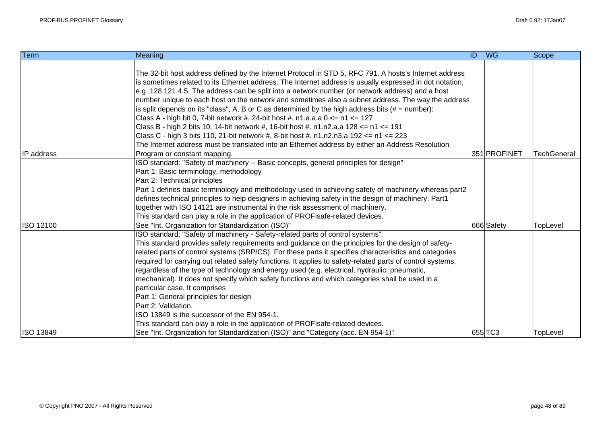| Term       | Meaning                                                                                                    | ID | $W$ G        | Scope              |
|------------|------------------------------------------------------------------------------------------------------------|----|--------------|--------------------|
|            |                                                                                                            |    |              |                    |
|            | The 32-bit host address defined by the Internet Protocol in STD 5, RFC 791. A hosts's Internet address     |    |              |                    |
|            | is sometimes related to its Ethernet address. The Internet address is usually expressed in dot notation,   |    |              |                    |
|            | e.g. 128.121.4.5. The address can be split into a network number (or network address) and a host           |    |              |                    |
|            | number unique to each host on the network and sometimes also a subnet address. The way the address         |    |              |                    |
|            | is split depends on its "class", A, B or C as determined by the high address bits $(H = number)$ :         |    |              |                    |
|            | Class A - high bit 0, 7-bit network #, 24-bit host #. n1.a.a.a $0 \le n1 \le 127$                          |    |              |                    |
|            | Class B - high 2 bits 10, 14-bit network #, 16-bit host #. n1.n2.a.a 128 $\leq$ n1 $\leq$ 191              |    |              |                    |
|            | Class C - high 3 bits 110, 21-bit network #, 8-bit host #. n1.n2.n3.a 192 <= n1 <= 223                     |    |              |                    |
|            | The Internet address must be translated into an Ethernet address by either an Address Resolution           |    |              |                    |
| IP address | Program or constant mapping.                                                                               |    | 351 PROFINET | <b>TechGeneral</b> |
|            | ISO standard: "Safety of machinery -- Basic concepts, general principles for design"                       |    |              |                    |
|            | Part 1: Basic terminology, methodology                                                                     |    |              |                    |
|            | Part 2: Technical principles                                                                               |    |              |                    |
|            | Part 1 defines basic terminology and methodology used in achieving safety of machinery whereas part2       |    |              |                    |
|            | defines technical principles to help designers in achieving safety in the design of machinery. Part1       |    |              |                    |
|            | together with ISO 14121 are instrumental in the risk assessment of machinery.                              |    |              |                    |
|            | This standard can play a role in the application of PROFIsafe-related devices.                             |    |              |                    |
| ISO 12100  | See "Int. Organization for Standardization (ISO)"                                                          |    | 666 Safety   | TopLevel           |
|            | ISO standard: "Safety of machinery - Safety-related parts of control systems".                             |    |              |                    |
|            | This standard provides safety requirements and guidance on the principles for the design of safety-        |    |              |                    |
|            | related parts of control systems (SRP/CS). For these parts it specifies characteristics and categories     |    |              |                    |
|            | required for carrying out related safety functions. It applies to safety-related parts of control systems, |    |              |                    |
|            | regardless of the type of technology and energy used (e.g. electrical, hydraulic, pneumatic,               |    |              |                    |
|            | mechanical). It does not specify which safety functions and which categories shall be used in a            |    |              |                    |
|            | particular case. It comprises                                                                              |    |              |                    |
|            | Part 1: General principles for design                                                                      |    |              |                    |
|            | Part 2: Validation.                                                                                        |    |              |                    |
|            | ISO 13849 is the successor of the EN 954-1.                                                                |    |              |                    |
|            | This standard can play a role in the application of PROFIsafe-related devices.                             |    |              |                    |
| ISO 13849  | See "Int. Organization for Standardization (ISO)" and "Category (acc. EN 954-1)"                           |    | 655 TC3      | TopLevel           |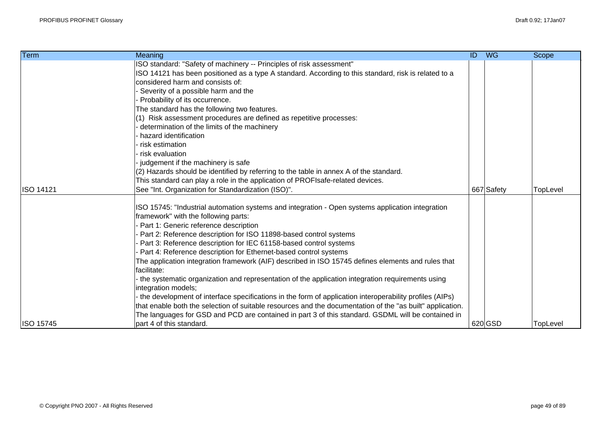| Term             | Meaning                                                                                                   | <b>WG</b><br>ID | Scope           |
|------------------|-----------------------------------------------------------------------------------------------------------|-----------------|-----------------|
|                  | ISO standard: "Safety of machinery -- Principles of risk assessment"                                      |                 |                 |
|                  | ISO 14121 has been positioned as a type A standard. According to this standard, risk is related to a      |                 |                 |
|                  | considered harm and consists of:                                                                          |                 |                 |
|                  | - Severity of a possible harm and the                                                                     |                 |                 |
|                  | Probability of its occurrence.                                                                            |                 |                 |
|                  | The standard has the following two features.                                                              |                 |                 |
|                  | (1) Risk assessment procedures are defined as repetitive processes:                                       |                 |                 |
|                  | determination of the limits of the machinery                                                              |                 |                 |
|                  | - hazard identification                                                                                   |                 |                 |
|                  | - risk estimation                                                                                         |                 |                 |
|                  | - risk evaluation                                                                                         |                 |                 |
|                  | judgement if the machinery is safe                                                                        |                 |                 |
|                  | (2) Hazards should be identified by referring to the table in annex A of the standard.                    |                 |                 |
|                  | This standard can play a role in the application of PROFIsafe-related devices.                            |                 |                 |
| <b>ISO 14121</b> | See "Int. Organization for Standardization (ISO)".                                                        | 667 Safety      | TopLevel        |
|                  |                                                                                                           |                 |                 |
|                  | ISO 15745: "Industrial automation systems and integration - Open systems application integration          |                 |                 |
|                  | framework" with the following parts:                                                                      |                 |                 |
|                  | Part 1: Generic reference description                                                                     |                 |                 |
|                  | Part 2: Reference description for ISO 11898-based control systems                                         |                 |                 |
|                  | Part 3: Reference description for IEC 61158-based control systems                                         |                 |                 |
|                  | Part 4: Reference description for Ethernet-based control systems                                          |                 |                 |
|                  | The application integration framework (AIF) described in ISO 15745 defines elements and rules that        |                 |                 |
|                  | facilitate:                                                                                               |                 |                 |
|                  | - the systematic organization and representation of the application integration requirements using        |                 |                 |
|                  | integration models;                                                                                       |                 |                 |
|                  | the development of interface specifications in the form of application interoperability profiles (AIPs)   |                 |                 |
|                  | that enable both the selection of suitable resources and the documentation of the "as built" application. |                 |                 |
|                  | The languages for GSD and PCD are contained in part 3 of this standard. GSDML will be contained in        |                 |                 |
| ISO 15745        | part 4 of this standard.                                                                                  | 620 GSD         | <b>TopLevel</b> |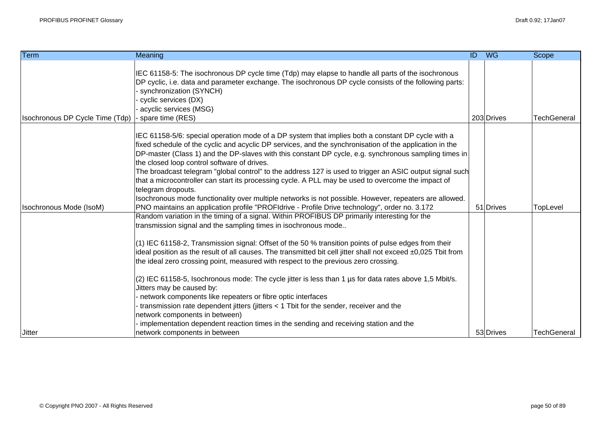| Term                            | Meaning                                                                                                                                                                                                                                                                                                                                                                                                                                                                                                                                                                                                                                                                                                                                                                                                                                                                                                                                                                                                          | ID | $W$ G      | Scope              |
|---------------------------------|------------------------------------------------------------------------------------------------------------------------------------------------------------------------------------------------------------------------------------------------------------------------------------------------------------------------------------------------------------------------------------------------------------------------------------------------------------------------------------------------------------------------------------------------------------------------------------------------------------------------------------------------------------------------------------------------------------------------------------------------------------------------------------------------------------------------------------------------------------------------------------------------------------------------------------------------------------------------------------------------------------------|----|------------|--------------------|
| Isochronous DP Cycle Time (Tdp) | IEC 61158-5: The isochronous DP cycle time (Tdp) may elapse to handle all parts of the isochronous<br>DP cyclic, i.e. data and parameter exchange. The isochronous DP cycle consists of the following parts:<br>Synchronization (SYNCH)<br>cyclic services (DX)<br>acyclic services (MSG)<br>- spare time (RES)                                                                                                                                                                                                                                                                                                                                                                                                                                                                                                                                                                                                                                                                                                  |    | 203 Drives | <b>TechGeneral</b> |
|                                 | IEC 61158-5/6: special operation mode of a DP system that implies both a constant DP cycle with a<br>fixed schedule of the cyclic and acyclic DP services, and the synchronisation of the application in the<br>DP-master (Class 1) and the DP-slaves with this constant DP cycle, e.g. synchronous sampling times in<br>the closed loop control software of drives.<br>The broadcast telegram "global control" to the address 127 is used to trigger an ASIC output signal such<br>that a microcontroller can start its processing cycle. A PLL may be used to overcome the impact of<br>telegram dropouts.<br>Isochronous mode functionality over multiple networks is not possible. However, repeaters are allowed.                                                                                                                                                                                                                                                                                           |    |            |                    |
| Isochronous Mode (IsoM)         | PNO maintains an application profile "PROFIdrive - Profile Drive technology", order no. 3.172<br>Random variation in the timing of a signal. Within PROFIBUS DP primarily interesting for the<br>transmission signal and the sampling times in isochronous mode<br>(1) IEC 61158-2, Transmission signal: Offset of the 50 % transition points of pulse edges from their<br>ideal position as the result of all causes. The transmitted bit cell jitter shall not exceed $\pm 0.025$ Tbit from<br>the ideal zero crossing point, measured with respect to the previous zero crossing.<br>(2) IEC 61158-5, Isochronous mode: The cycle jitter is less than 1 us for data rates above 1,5 Mbit/s.<br>Jitters may be caused by:<br>network components like repeaters or fibre optic interfaces<br>- transmission rate dependent jitters (jitters < 1 Tbit for the sender, receiver and the<br>network components in between)<br>implementation dependent reaction times in the sending and receiving station and the |    | 51 Drives  | TopLevel           |
| <b>Jitter</b>                   | network components in between                                                                                                                                                                                                                                                                                                                                                                                                                                                                                                                                                                                                                                                                                                                                                                                                                                                                                                                                                                                    |    | 53 Drives  | <b>TechGeneral</b> |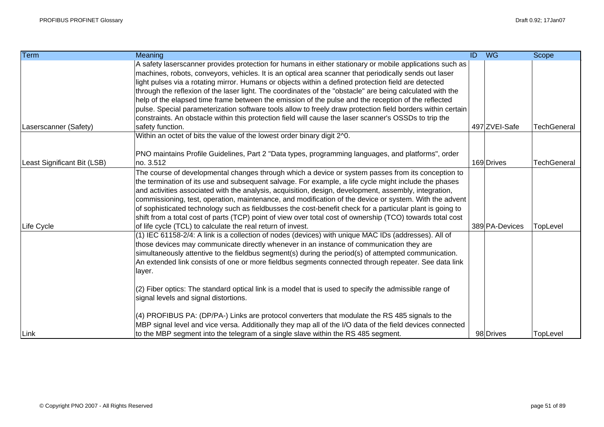| Term                        | Meaning                                                                                                                                                                                                                                                                                                                                                                                                                                                                                                                                                                                                                                                   | $\overline{ID}$<br><b>WG</b> | Scope              |
|-----------------------------|-----------------------------------------------------------------------------------------------------------------------------------------------------------------------------------------------------------------------------------------------------------------------------------------------------------------------------------------------------------------------------------------------------------------------------------------------------------------------------------------------------------------------------------------------------------------------------------------------------------------------------------------------------------|------------------------------|--------------------|
|                             | A safety laserscanner provides protection for humans in either stationary or mobile applications such as<br>machines, robots, conveyors, vehicles. It is an optical area scanner that periodically sends out laser<br>light pulses via a rotating mirror. Humans or objects within a defined protection field are detected<br>through the reflexion of the laser light. The coordinates of the "obstacle" are being calculated with the<br>help of the elapsed time frame between the emission of the pulse and the reception of the reflected                                                                                                            |                              |                    |
|                             | pulse. Special parameterization software tools allow to freely draw protection field borders within certain                                                                                                                                                                                                                                                                                                                                                                                                                                                                                                                                               |                              |                    |
|                             | constraints. An obstacle within this protection field will cause the laser scanner's OSSDs to trip the                                                                                                                                                                                                                                                                                                                                                                                                                                                                                                                                                    |                              |                    |
| Laserscanner (Safety)       | safety function.                                                                                                                                                                                                                                                                                                                                                                                                                                                                                                                                                                                                                                          | 497 ZVEI-Safe                | <b>TechGeneral</b> |
|                             | Within an octet of bits the value of the lowest order binary digit 2^0.                                                                                                                                                                                                                                                                                                                                                                                                                                                                                                                                                                                   |                              |                    |
| Least Significant Bit (LSB) | PNO maintains Profile Guidelines, Part 2 "Data types, programming languages, and platforms", order<br>no. 3.512                                                                                                                                                                                                                                                                                                                                                                                                                                                                                                                                           | 169 Drives                   | <b>TechGeneral</b> |
|                             | The course of developmental changes through which a device or system passes from its conception to<br>the termination of its use and subsequent salvage. For example, a life cycle might include the phases<br>and activities associated with the analysis, acquisition, design, development, assembly, integration,<br>commissioning, test, operation, maintenance, and modification of the device or system. With the advent<br>of sophisticated technology such as fieldbusses the cost-benefit check for a particular plant is going to<br>shift from a total cost of parts (TCP) point of view over total cost of ownership (TCO) towards total cost |                              |                    |
| Life Cycle                  | of life cycle (TCL) to calculate the real return of invest.                                                                                                                                                                                                                                                                                                                                                                                                                                                                                                                                                                                               | 389 PA-Devices               | TopLevel           |
|                             | (1) IEC 61158-2/4: A link is a collection of nodes (devices) with unique MAC IDs (addresses). All of<br>those devices may communicate directly whenever in an instance of communication they are<br>simultaneously attentive to the fieldbus segment(s) during the period(s) of attempted communication.<br>An extended link consists of one or more fieldbus segments connected through repeater. See data link<br>layer.                                                                                                                                                                                                                                |                              |                    |
|                             | (2) Fiber optics: The standard optical link is a model that is used to specify the admissible range of<br>signal levels and signal distortions.                                                                                                                                                                                                                                                                                                                                                                                                                                                                                                           |                              |                    |
|                             | (4) PROFIBUS PA: (DP/PA-) Links are protocol converters that modulate the RS 485 signals to the<br>MBP signal level and vice versa. Additionally they map all of the I/O data of the field devices connected                                                                                                                                                                                                                                                                                                                                                                                                                                              |                              |                    |
| Link                        | to the MBP segment into the telegram of a single slave within the RS 485 segment.                                                                                                                                                                                                                                                                                                                                                                                                                                                                                                                                                                         | 98 Drives                    | TopLevel           |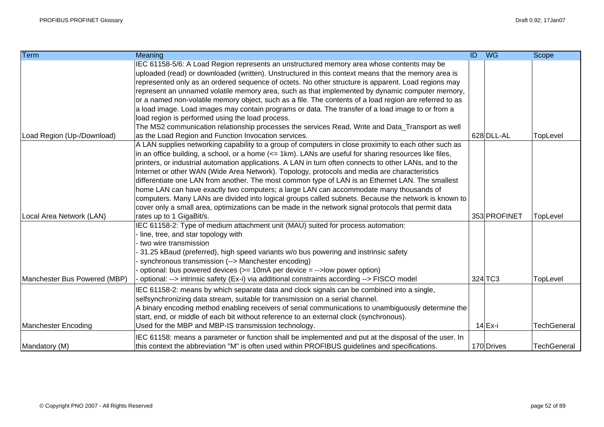| <b>Term</b>                  | Meaning                                                                                                                                                                                                                                                                                                                                                                                                                                                                                                                                                                                                                                                                                                                                                                                                                                                                | <b>ID</b> WG |              | Scope              |
|------------------------------|------------------------------------------------------------------------------------------------------------------------------------------------------------------------------------------------------------------------------------------------------------------------------------------------------------------------------------------------------------------------------------------------------------------------------------------------------------------------------------------------------------------------------------------------------------------------------------------------------------------------------------------------------------------------------------------------------------------------------------------------------------------------------------------------------------------------------------------------------------------------|--------------|--------------|--------------------|
| Load Region (Up-/Download)   | IEC 61158-5/6: A Load Region represents an unstructured memory area whose contents may be<br>uploaded (read) or downloaded (written). Unstructured in this context means that the memory area is<br>represented only as an ordered sequence of octets. No other structure is apparent. Load regions may<br>represent an unnamed volatile memory area, such as that implemented by dynamic computer memory,<br>or a named non-volatile memory object, such as a file. The contents of a load region are referred to as<br>a load image. Load images may contain programs or data. The transfer of a load image to or from a<br>load region is performed using the load process.<br>The MS2 communication relationship processes the services Read, Write and Data_Transport as well<br>as the Load Region and Function Invocation services.                             |              | 628 DLL-AL   | TopLevel           |
| Local Area Network (LAN)     | A LAN supplies networking capability to a group of computers in close proximity to each other such as<br>in an office building, a school, or a home $(<= 1km)$ . LANs are useful for sharing resources like files,<br>printers, or industrial automation applications. A LAN in turn often connects to other LANs, and to the<br>Internet or other WAN (Wide Area Network). Topology, protocols and media are characteristics<br>differentiate one LAN from another. The most common type of LAN is an Ethernet LAN. The smallest<br>home LAN can have exactly two computers; a large LAN can accommodate many thousands of<br>computers. Many LANs are divided into logical groups called subnets. Because the network is known to<br>cover only a small area, optimizations can be made in the network signal protocols that permit data<br>rates up to 1 GigaBit/s. |              | 353 PROFINET | TopLevel           |
| Manchester Bus Powered (MBP) | IEC 61158-2: Type of medium attachment unit (MAU) suited for process automation:<br>- line, tree, and star topology with<br>two wire transmission<br>31.25 kBaud (preferred), high speed variants w/o bus powering and instrinsic safety<br>synchronous transmission (--> Manchester encoding)<br>optional: bus powered devices (>= 10mA per device = -->low power option)<br>optional: --> intrinsic safety (Ex-i) via additional constraints according --> FISCO model                                                                                                                                                                                                                                                                                                                                                                                               |              | 324 TC3      | TopLevel           |
| <b>Manchester Encoding</b>   | IEC 61158-2: means by which separate data and clock signals can be combined into a single,<br>selfsynchronizing data stream, suitable for transmission on a serial channel.<br>A binary encoding method enabling receivers of serial communications to unambiguously determine the<br>start, end, or middle of each bit without reference to an external clock (synchronous).<br>Used for the MBP and MBP-IS transmission technology.                                                                                                                                                                                                                                                                                                                                                                                                                                  |              | $14$ Ex-i    | <b>TechGeneral</b> |
| Mandatory (M)                | IEC 61158: means a parameter or function shall be implemented and put at the disposal of the user. In<br>this context the abbreviation "M" is often used within PROFIBUS guidelines and specifications.                                                                                                                                                                                                                                                                                                                                                                                                                                                                                                                                                                                                                                                                |              | 170 Drives   | <b>TechGeneral</b> |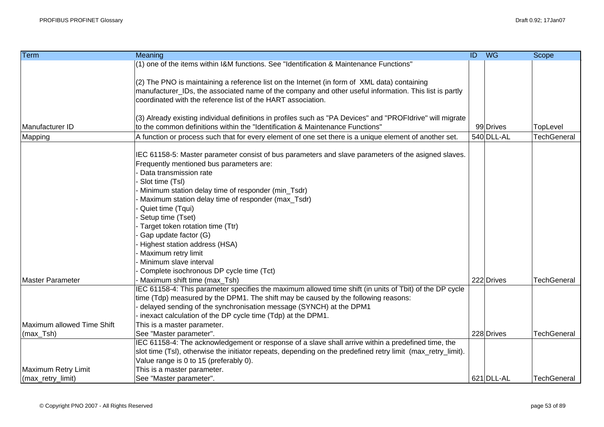| Term                       | Meaning                                                                                                      | ID WG |            | Scope              |
|----------------------------|--------------------------------------------------------------------------------------------------------------|-------|------------|--------------------|
|                            | (1) one of the items within I&M functions. See "Identification & Maintenance Functions"                      |       |            |                    |
|                            |                                                                                                              |       |            |                    |
|                            | (2) The PNO is maintaining a reference list on the Internet (in form of XML data) containing                 |       |            |                    |
|                            | manufacturer_IDs, the associated name of the company and other useful information. This list is partly       |       |            |                    |
|                            | coordinated with the reference list of the HART association.                                                 |       |            |                    |
|                            |                                                                                                              |       |            |                    |
|                            | (3) Already existing individual definitions in profiles such as "PA Devices" and "PROFIdrive" will migrate   |       |            |                    |
| Manufacturer ID            | to the common definitions within the "Identification & Maintenance Functions"                                |       | 99 Drives  | TopLevel           |
| Mapping                    | A function or process such that for every element of one set there is a unique element of another set.       |       | 540 DLL-AL | <b>TechGeneral</b> |
|                            |                                                                                                              |       |            |                    |
|                            | IEC 61158-5: Master parameter consist of bus parameters and slave parameters of the asigned slaves.          |       |            |                    |
|                            | Frequently mentioned bus parameters are:                                                                     |       |            |                    |
|                            | Data transmission rate                                                                                       |       |            |                    |
|                            | Slot time (TsI)                                                                                              |       |            |                    |
|                            | Minimum station delay time of responder (min_Tsdr)                                                           |       |            |                    |
|                            | Maximum station delay time of responder (max_Tsdr)                                                           |       |            |                    |
|                            | Quiet time (Tqui)                                                                                            |       |            |                    |
|                            | Setup time (Tset)                                                                                            |       |            |                    |
|                            | Target token rotation time (Ttr)                                                                             |       |            |                    |
|                            | Gap update factor (G)                                                                                        |       |            |                    |
|                            | Highest station address (HSA)                                                                                |       |            |                    |
|                            | Maximum retry limit                                                                                          |       |            |                    |
|                            | Minimum slave interval                                                                                       |       |            |                    |
|                            | Complete isochronous DP cycle time (Tct)                                                                     |       |            |                    |
| <b>Master Parameter</b>    | Maximum shift time (max_Tsh)                                                                                 |       | 222 Drives | <b>TechGeneral</b> |
|                            | IEC 61158-4: This parameter specifies the maximum allowed time shift (in units of Tbit) of the DP cycle      |       |            |                    |
|                            | time (Tdp) measured by the DPM1. The shift may be caused by the following reasons:                           |       |            |                    |
|                            | delayed sending of the synchronisation message (SYNCH) at the DPM1                                           |       |            |                    |
|                            | - inexact calculation of the DP cycle time (Tdp) at the DPM1.                                                |       |            |                    |
| Maximum allowed Time Shift | This is a master parameter.                                                                                  |       |            |                    |
| (max_Tsh)                  | See "Master parameter".                                                                                      |       | 228 Drives | <b>TechGeneral</b> |
|                            | IEC 61158-4: The acknowledgement or response of a slave shall arrive within a predefined time, the           |       |            |                    |
|                            | slot time (TsI), otherwise the initiator repeats, depending on the predefined retry limit (max_retry_limit). |       |            |                    |
|                            | Value range is 0 to 15 (preferably 0).                                                                       |       |            |                    |
| Maximum Retry Limit        | This is a master parameter.                                                                                  |       |            |                    |
| (max retry limit)          | See "Master parameter".                                                                                      |       | 621 DLL-AL | <b>TechGeneral</b> |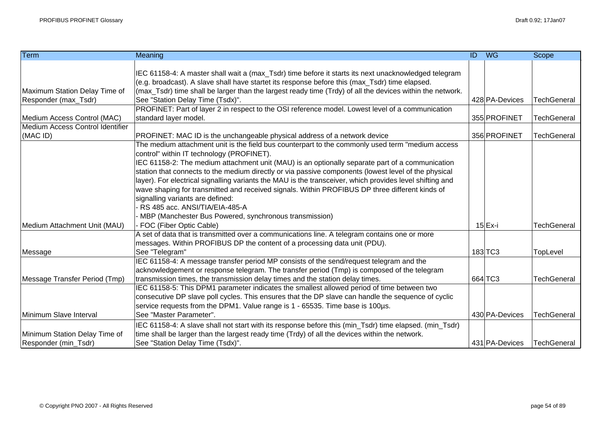| <b>Term</b>                      | Meaning                                                                                                   | $\overline{ID}$<br>$W$ G | Scope              |
|----------------------------------|-----------------------------------------------------------------------------------------------------------|--------------------------|--------------------|
|                                  |                                                                                                           |                          |                    |
|                                  | IEC 61158-4: A master shall wait a (max_Tsdr) time before it starts its next unacknowledged telegram      |                          |                    |
|                                  | (e.g. broadcast). A slave shall have startet its response before this (max_Tsdr) time elapsed.            |                          |                    |
| Maximum Station Delay Time of    | (max_Tsdr) time shall be larger than the largest ready time (Trdy) of all the devices within the network. |                          |                    |
| Responder (max_Tsdr)             | See "Station Delay Time (Tsdx)".                                                                          | 428 PA-Devices           | <b>TechGeneral</b> |
|                                  | PROFINET: Part of layer 2 in respect to the OSI reference model. Lowest level of a communication          |                          |                    |
| Medium Access Control (MAC)      | standard layer model.                                                                                     | 355 PROFINET             | <b>TechGeneral</b> |
| Medium Access Control Identifier |                                                                                                           |                          |                    |
| (MAC ID)                         | PROFINET: MAC ID is the unchangeable physical address of a network device                                 | 356 PROFINET             | <b>TechGeneral</b> |
|                                  | The medium attachment unit is the field bus counterpart to the commonly used term "medium access          |                          |                    |
|                                  | control" within IT technology (PROFINET).                                                                 |                          |                    |
|                                  | IEC 61158-2: The medium attachment unit (MAU) is an optionally separate part of a communication           |                          |                    |
|                                  | station that connects to the medium directly or via passive components (lowest level of the physical      |                          |                    |
|                                  | layer). For electrical signalling variants the MAU is the transceiver, which provides level shifting and  |                          |                    |
|                                  | wave shaping for transmitted and received signals. Within PROFIBUS DP three different kinds of            |                          |                    |
|                                  | signalling variants are defined:                                                                          |                          |                    |
|                                  | RS 485 acc. ANSI/TIA/EIA-485-A                                                                            |                          |                    |
|                                  | - MBP (Manchester Bus Powered, synchronous transmission)                                                  |                          |                    |
| Medium Attachment Unit (MAU)     | FOC (Fiber Optic Cable)                                                                                   | $15$ Ex-i                | <b>TechGeneral</b> |
|                                  | A set of data that is transmitted over a communications line. A telegram contains one or more             |                          |                    |
|                                  | messages. Within PROFIBUS DP the content of a processing data unit (PDU).                                 |                          |                    |
| Message                          | See "Telegram"                                                                                            | $183$ TC $3$             | TopLevel           |
|                                  | IEC 61158-4: A message transfer period MP consists of the send/request telegram and the                   |                          |                    |
|                                  | acknowledgement or response telegram. The transfer period (Tmp) is composed of the telegram               |                          |                    |
| Message Transfer Period (Tmp)    | transmission times, the transmission delay times and the station delay times.                             | 664 TC3                  | <b>TechGeneral</b> |
|                                  | IEC 61158-5: This DPM1 parameter indicates the smallest allowed period of time between two                |                          |                    |
|                                  | consecutive DP slave poll cycles. This ensures that the DP slave can handle the sequence of cyclic        |                          |                    |
|                                  | service requests from the DPM1. Value range is 1 - 65535. Time base is 100µs.                             |                          |                    |
| Minimum Slave Interval           | See "Master Parameter".                                                                                   | 430 PA-Devices           | <b>TechGeneral</b> |
|                                  | IEC 61158-4: A slave shall not start with its response before this (min_Tsdr) time elapsed. (min_Tsdr)    |                          |                    |
| Minimum Station Delay Time of    | time shall be larger than the largest ready time (Trdy) of all the devices within the network.            |                          |                    |
| Responder (min_Tsdr)             | See "Station Delay Time (Tsdx)".                                                                          | 431 PA-Devices           | TechGeneral        |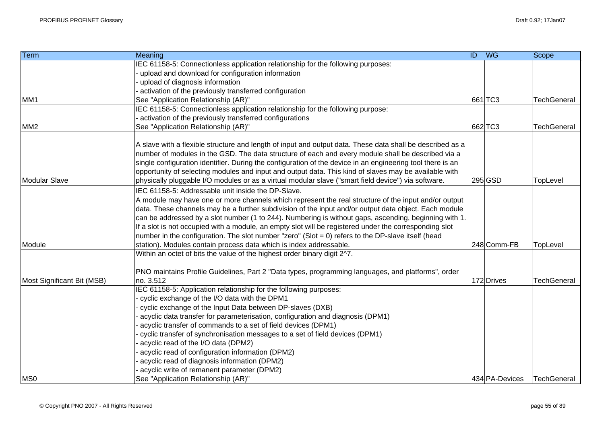| <b>Term</b>                | Meaning                                                                                                    | $\overline{ID}$ | $W$ G          | Scope              |
|----------------------------|------------------------------------------------------------------------------------------------------------|-----------------|----------------|--------------------|
|                            | IEC 61158-5: Connectionless application relationship for the following purposes:                           |                 |                |                    |
|                            | upload and download for configuration information                                                          |                 |                |                    |
|                            | upload of diagnosis information                                                                            |                 |                |                    |
|                            | activation of the previously transferred configuration                                                     |                 |                |                    |
| MM1                        | See "Application Relationship (AR)"                                                                        |                 | 661 TC3        | <b>TechGeneral</b> |
|                            | IEC 61158-5: Connectionless application relationship for the following purpose:                            |                 |                |                    |
|                            | activation of the previously transferred configurations                                                    |                 |                |                    |
| MM <sub>2</sub>            | See "Application Relationship (AR)"                                                                        |                 | 662 TC3        | <b>TechGeneral</b> |
|                            | A slave with a flexible structure and length of input and output data. These data shall be described as a  |                 |                |                    |
|                            | number of modules in the GSD. The data structure of each and every module shall be described via a         |                 |                |                    |
|                            | single configuration identifier. During the configuration of the device in an engineering tool there is an |                 |                |                    |
|                            | opportunity of selecting modules and input and output data. This kind of slaves may be available with      |                 |                |                    |
| Modular Slave              | physically pluggable I/O modules or as a virtual modular slave ("smart field device") via software.        |                 | 295 GSD        | TopLevel           |
|                            | IEC 61158-5: Addressable unit inside the DP-Slave.                                                         |                 |                |                    |
|                            | A module may have one or more channels which represent the real structure of the input and/or output       |                 |                |                    |
|                            | data. These channels may be a further subdivision of the input and/or output data object. Each module      |                 |                |                    |
|                            | can be addressed by a slot number (1 to 244). Numbering is without gaps, ascending, beginning with 1.      |                 |                |                    |
|                            | If a slot is not occupied with a module, an empty slot will be registered under the corresponding slot     |                 |                |                    |
|                            | number in the configuration. The slot number "zero" (Slot = 0) refers to the DP-slave itself (head         |                 |                |                    |
| Module                     | station). Modules contain process data which is index addressable.                                         |                 | 248 Comm-FB    | TopLevel           |
|                            | Within an octet of bits the value of the highest order binary digit 2^7.                                   |                 |                |                    |
|                            | PNO maintains Profile Guidelines, Part 2 "Data types, programming languages, and platforms", order         |                 |                |                    |
| Most Significant Bit (MSB) | no. 3.512                                                                                                  |                 | 172 Drives     | <b>TechGeneral</b> |
|                            | IEC 61158-5: Application relationship for the following purposes:                                          |                 |                |                    |
|                            | cyclic exchange of the I/O data with the DPM1                                                              |                 |                |                    |
|                            | cyclic exchange of the Input Data between DP-slaves (DXB)                                                  |                 |                |                    |
|                            | acyclic data transfer for parameterisation, configuration and diagnosis (DPM1)                             |                 |                |                    |
|                            | acyclic transfer of commands to a set of field devices (DPM1)                                              |                 |                |                    |
|                            | cyclic transfer of synchronisation messages to a set of field devices (DPM1)                               |                 |                |                    |
|                            | acyclic read of the I/O data (DPM2)                                                                        |                 |                |                    |
|                            | acyclic read of configuration information (DPM2)                                                           |                 |                |                    |
|                            | acyclic read of diagnosis information (DPM2)                                                               |                 |                |                    |
|                            | acyclic write of remanent parameter (DPM2)                                                                 |                 |                |                    |
| MS <sub>0</sub>            | See "Application Relationship (AR)"                                                                        |                 | 434 PA-Devices | TechGeneral        |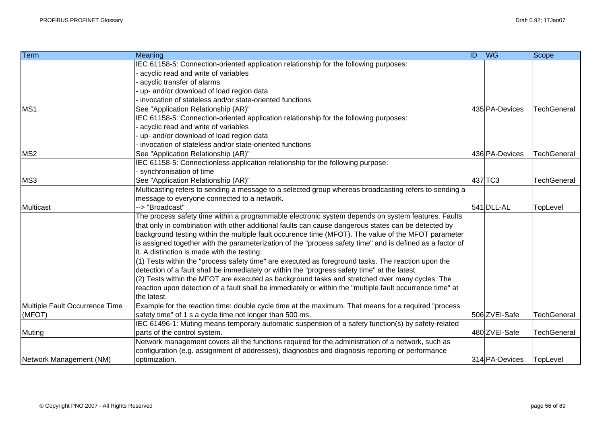| <b>Term</b>                    | Meaning                                                                                                   | $\overline{ID}$ | $W$ G          | Scope              |
|--------------------------------|-----------------------------------------------------------------------------------------------------------|-----------------|----------------|--------------------|
|                                | IEC 61158-5: Connection-oriented application relationship for the following purposes:                     |                 |                |                    |
|                                | acyclic read and write of variables                                                                       |                 |                |                    |
|                                | acyclic transfer of alarms                                                                                |                 |                |                    |
|                                | up- and/or download of load region data                                                                   |                 |                |                    |
|                                | invocation of stateless and/or state-oriented functions                                                   |                 |                |                    |
| MS1                            | See "Application Relationship (AR)"                                                                       |                 | 435 PA-Devices | <b>TechGeneral</b> |
|                                | IEC 61158-5: Connection-oriented application relationship for the following purposes:                     |                 |                |                    |
|                                | acyclic read and write of variables                                                                       |                 |                |                    |
|                                | up- and/or download of load region data                                                                   |                 |                |                    |
|                                | invocation of stateless and/or state-oriented functions                                                   |                 |                |                    |
| MS <sub>2</sub>                | See "Application Relationship (AR)"                                                                       |                 | 436 PA-Devices | TechGeneral        |
|                                | IEC 61158-5: Connectionless application relationship for the following purpose:                           |                 |                |                    |
|                                | synchronisation of time                                                                                   |                 |                |                    |
| MS3                            | See "Application Relationship (AR)"                                                                       |                 | 437 TC3        | <b>TechGeneral</b> |
|                                | Multicasting refers to sending a message to a selected group whereas broadcasting refers to sending a     |                 |                |                    |
|                                | message to everyone connected to a network.                                                               |                 |                |                    |
| Multicast                      | --> "Broadcast"                                                                                           |                 | 541 DLL-AL     | TopLevel           |
|                                | The process safety time within a programmable electronic system depends on system features. Faults        |                 |                |                    |
|                                | that only in combination with other additional faults can cause dangerous states can be detected by       |                 |                |                    |
|                                | background testing within the multiple fault occurence time (MFOT). The value of the MFOT parameter       |                 |                |                    |
|                                | is assigned together with the parameterization of the "process safety time" and is defined as a factor of |                 |                |                    |
|                                | it. A distinction is made with the testing:                                                               |                 |                |                    |
|                                | (1) Tests within the "process safety time" are executed as foreground tasks. The reaction upon the        |                 |                |                    |
|                                | detection of a fault shall be immediately or within the "progress safety time" at the latest.             |                 |                |                    |
|                                | (2) Tests within the MFOT are executed as background tasks and stretched over many cycles. The            |                 |                |                    |
|                                | reaction upon detection of a fault shall be immediately or within the "multiple fault occurrence time" at |                 |                |                    |
|                                | the latest.                                                                                               |                 |                |                    |
| Multiple Fault Occurrence Time | Example for the reaction time: double cycle time at the maximum. That means for a required "process"      |                 |                |                    |
| (MFOT)                         | safety time" of 1 s a cycle time not longer than 500 ms.                                                  |                 | 506 ZVEI-Safe  | <b>TechGeneral</b> |
|                                | IEC 61496-1: Muting means temporary automatic suspension of a safety function(s) by safety-related        |                 |                |                    |
| Muting                         | parts of the control system.                                                                              |                 | 480 ZVEI-Safe  | <b>TechGeneral</b> |
|                                | Network management covers all the functions required for the administration of a network, such as         |                 |                |                    |
|                                | configuration (e.g. assignment of addresses), diagnostics and diagnosis reporting or performance          |                 |                |                    |
| Network Management (NM)        | optimization.                                                                                             |                 | 314 PA-Devices | TopLevel           |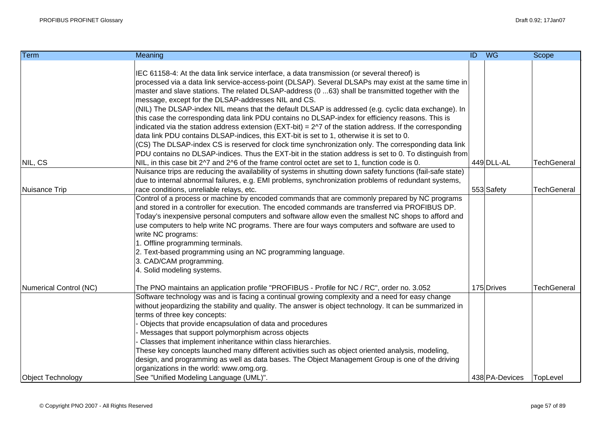| <b>Term</b>              | Meaning                                                                                                                | ID WG          | Scope              |
|--------------------------|------------------------------------------------------------------------------------------------------------------------|----------------|--------------------|
|                          |                                                                                                                        |                |                    |
|                          | IEC 61158-4: At the data link service interface, a data transmission (or several thereof) is                           |                |                    |
|                          | processed via a data link service-access-point (DLSAP). Several DLSAPs may exist at the same time in                   |                |                    |
|                          | master and slave stations. The related DLSAP-address (0 63) shall be transmitted together with the                     |                |                    |
|                          | message, except for the DLSAP-addresses NIL and CS.                                                                    |                |                    |
|                          | (NIL) The DLSAP-index NIL means that the default DLSAP is addressed (e.g. cyclic data exchange). In                    |                |                    |
|                          | this case the corresponding data link PDU contains no DLSAP-index for efficiency reasons. This is                      |                |                    |
|                          | indicated via the station address extension ( $EXT$ -bit) = $2^{\wedge}7$ of the station address. If the corresponding |                |                    |
|                          | data link PDU contains DLSAP-indices, this EXT-bit is set to 1, otherwise it is set to 0.                              |                |                    |
|                          | (CS) The DLSAP-index CS is reserved for clock time synchronization only. The corresponding data link                   |                |                    |
|                          | PDU contains no DLSAP-indices. Thus the EXT-bit in the station address is set to 0. To distinguish from                |                |                    |
| NIL, CS                  | NIL, in this case bit 2^7 and 2^6 of the frame control octet are set to 1, function code is 0.                         | 449 DLL-AL     | <b>TechGeneral</b> |
|                          | Nuisance trips are reducing the availability of systems in shutting down safety functions (fail-safe state)            |                |                    |
|                          | due to internal abnormal failures, e.g. EMI problems, synchronization problems of redundant systems,                   |                |                    |
| Nuisance Trip            | race conditions, unreliable relays, etc.                                                                               | 553 Safety     | <b>TechGeneral</b> |
|                          | Control of a process or machine by encoded commands that are commonly prepared by NC programs                          |                |                    |
|                          | and stored in a controller for execution. The encoded commands are transferred via PROFIBUS DP.                        |                |                    |
|                          | Today's inexpensive personal computers and software allow even the smallest NC shops to afford and                     |                |                    |
|                          | use computers to help write NC programs. There are four ways computers and software are used to                        |                |                    |
|                          | write NC programs:                                                                                                     |                |                    |
|                          | 1. Offline programming terminals.                                                                                      |                |                    |
|                          | 2. Text-based programming using an NC programming language.                                                            |                |                    |
|                          | 3. CAD/CAM programming.<br>4. Solid modeling systems.                                                                  |                |                    |
|                          |                                                                                                                        |                |                    |
| Numerical Control (NC)   | The PNO maintains an application profile "PROFIBUS - Profile for NC / RC", order no. 3.052                             | 175 Drives     | <b>TechGeneral</b> |
|                          | Software technology was and is facing a continual growing complexity and a need for easy change                        |                |                    |
|                          | without jeopardizing the stability and quality. The answer is object technology. It can be summarized in               |                |                    |
|                          | terms of three key concepts:                                                                                           |                |                    |
|                          | Objects that provide encapsulation of data and procedures                                                              |                |                    |
|                          | Messages that support polymorphism across objects                                                                      |                |                    |
|                          | Classes that implement inheritance within class hierarchies.                                                           |                |                    |
|                          | These key concepts launched many different activities such as object oriented analysis, modeling,                      |                |                    |
|                          | design, and programming as well as data bases. The Object Management Group is one of the driving                       |                |                    |
|                          | organizations in the world: www.omg.org.                                                                               |                |                    |
| <b>Object Technology</b> | See "Unified Modeling Language (UML)".                                                                                 | 438 PA-Devices | TopLevel           |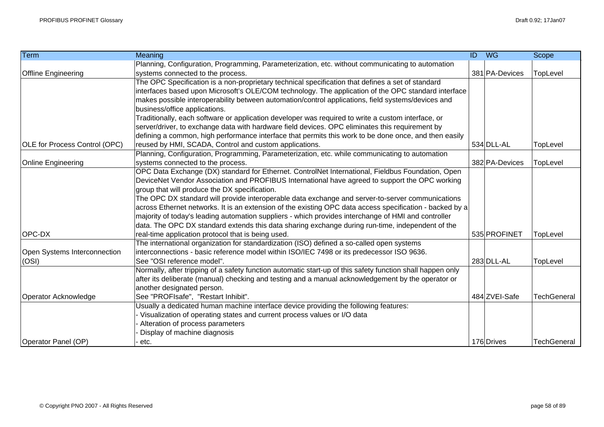| <b>Term</b>                          | Meaning                                                                                                                             | <b>ID</b> WG   | Scope       |
|--------------------------------------|-------------------------------------------------------------------------------------------------------------------------------------|----------------|-------------|
|                                      | Planning, Configuration, Programming, Parameterization, etc. without communicating to automation                                    |                |             |
| <b>Offline Engineering</b>           | systems connected to the process.                                                                                                   | 381 PA-Devices | TopLevel    |
|                                      | The OPC Specification is a non-proprietary technical specification that defines a set of standard                                   |                |             |
|                                      | interfaces based upon Microsoft's OLE/COM technology. The application of the OPC standard interface                                 |                |             |
|                                      | makes possible interoperability between automation/control applications, field systems/devices and<br>business/office applications. |                |             |
|                                      | Traditionally, each software or application developer was required to write a custom interface, or                                  |                |             |
|                                      | server/driver, to exchange data with hardware field devices. OPC eliminates this requirement by                                     |                |             |
|                                      | defining a common, high performance interface that permits this work to be done once, and then easily                               |                |             |
| <b>OLE</b> for Process Control (OPC) | reused by HMI, SCADA, Control and custom applications.                                                                              | 534 DLL-AL     | TopLevel    |
|                                      | Planning, Configuration, Programming, Parameterization, etc. while communicating to automation                                      |                |             |
| <b>Online Engineering</b>            | systems connected to the process.                                                                                                   | 382 PA-Devices | TopLevel    |
|                                      | OPC Data Exchange (DX) standard for Ethernet. ControlNet International, Fieldbus Foundation, Open                                   |                |             |
|                                      | DeviceNet Vendor Association and PROFIBUS International have agreed to support the OPC working                                      |                |             |
|                                      | group that will produce the DX specification.                                                                                       |                |             |
|                                      | The OPC DX standard will provide interoperable data exchange and server-to-server communications                                    |                |             |
|                                      | across Ethernet networks. It is an extension of the existing OPC data access specification - backed by a                            |                |             |
|                                      | majority of today's leading automation suppliers - which provides interchange of HMI and controller                                 |                |             |
|                                      | data. The OPC DX standard extends this data sharing exchange during run-time, independent of the                                    |                |             |
| OPC-DX                               | real-time application protocol that is being used.                                                                                  | 535 PROFINET   | TopLevel    |
|                                      | The international organization for standardization (ISO) defined a so-called open systems                                           |                |             |
| Open Systems Interconnection         | interconnections - basic reference model within ISO/IEC 7498 or its predecessor ISO 9636.                                           |                |             |
| (OSI)                                | See "OSI reference model".                                                                                                          | 283 DLL-AL     | TopLevel    |
|                                      | Normally, after tripping of a safety function automatic start-up of this safety function shall happen only                          |                |             |
|                                      | after its deliberate (manual) checking and testing and a manual acknowledgement by the operator or                                  |                |             |
|                                      | another designated person.                                                                                                          |                |             |
| Operator Acknowledge                 | See "PROFIsafe", "Restart Inhibit".                                                                                                 | 484 ZVEI-Safe  | TechGeneral |
|                                      | Usually a dedicated human machine interface device providing the following features:                                                |                |             |
|                                      | - Visualization of operating states and current process values or I/O data                                                          |                |             |
|                                      | Alteration of process parameters                                                                                                    |                |             |
|                                      | Display of machine diagnosis                                                                                                        |                |             |
| Operator Panel (OP)                  | etc.                                                                                                                                | 176 Drives     | TechGeneral |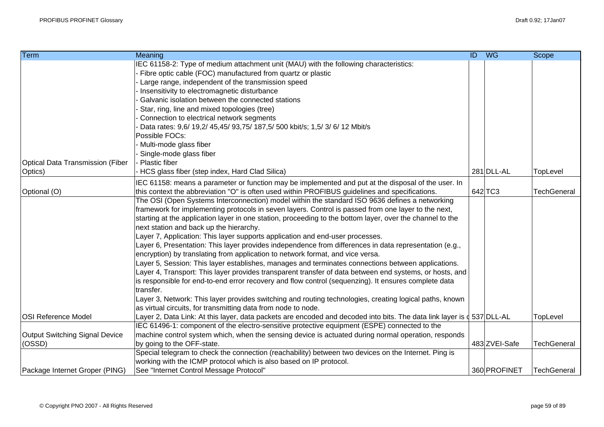| Term                                    | Meaning                                                                                                                      | $\overline{ID}$ | <b>WG</b>     | Scope              |
|-----------------------------------------|------------------------------------------------------------------------------------------------------------------------------|-----------------|---------------|--------------------|
|                                         | IEC 61158-2: Type of medium attachment unit (MAU) with the following characteristics:                                        |                 |               |                    |
|                                         | Fibre optic cable (FOC) manufactured from quartz or plastic                                                                  |                 |               |                    |
|                                         | Large range, independent of the transmission speed                                                                           |                 |               |                    |
|                                         | Insensitivity to electromagnetic disturbance                                                                                 |                 |               |                    |
|                                         | Galvanic isolation between the connected stations                                                                            |                 |               |                    |
|                                         | Star, ring, line and mixed topologies (tree)                                                                                 |                 |               |                    |
|                                         | Connection to electrical network segments                                                                                    |                 |               |                    |
|                                         | Data rates: 9,6/ 19,2/ 45,45/ 93,75/ 187,5/ 500 kbit/s; 1,5/ 3/ 6/ 12 Mbit/s                                                 |                 |               |                    |
|                                         | Possible FOCs:                                                                                                               |                 |               |                    |
|                                         | Multi-mode glass fiber                                                                                                       |                 |               |                    |
|                                         | Single-mode glass fiber                                                                                                      |                 |               |                    |
| <b>Optical Data Transmission (Fiber</b> | Plastic fiber                                                                                                                |                 |               |                    |
| Optics)                                 | HCS glass fiber (step index, Hard Clad Silica)                                                                               |                 | 281 DLL-AL    | TopLevel           |
|                                         | IEC 61158: means a parameter or function may be implemented and put at the disposal of the user. In                          |                 |               |                    |
| Optional (O)                            | this context the abbreviation "O" is often used within PROFIBUS guidelines and specifications.                               |                 | 642 TC3       | <b>TechGeneral</b> |
|                                         | The OSI (Open Systems Interconnection) model within the standard ISO 9636 defines a networking                               |                 |               |                    |
|                                         | framework for implementing protocols in seven layers. Control is passed from one layer to the next,                          |                 |               |                    |
|                                         | starting at the application layer in one station, proceeding to the bottom layer, over the channel to the                    |                 |               |                    |
|                                         | next station and back up the hierarchy.                                                                                      |                 |               |                    |
|                                         | Layer 7, Application: This layer supports application and end-user processes.                                                |                 |               |                    |
|                                         | Layer 6, Presentation: This layer provides independence from differences in data representation (e.g.,                       |                 |               |                    |
|                                         | encryption) by translating from application to network format, and vice versa.                                               |                 |               |                    |
|                                         | Layer 5, Session: This layer establishes, manages and terminates connections between applications.                           |                 |               |                    |
|                                         | Layer 4, Transport: This layer provides transparent transfer of data between end systems, or hosts, and                      |                 |               |                    |
|                                         | is responsible for end-to-end error recovery and flow control (sequenzing). It ensures complete data                         |                 |               |                    |
|                                         | transfer.                                                                                                                    |                 |               |                    |
|                                         | Layer 3, Network: This layer provides switching and routing technologies, creating logical paths, known                      |                 |               |                    |
|                                         | as virtual circuits, for transmitting data from node to node.                                                                |                 |               |                    |
| <b>OSI Reference Model</b>              | Layer 2, Data Link: At this layer, data packets are encoded and decoded into bits. The data link layer is $\zeta$ 537 DLL-AL |                 |               | TopLevel           |
|                                         | IEC 61496-1: component of the electro-sensitive protective equipment (ESPE) connected to the                                 |                 |               |                    |
| Output Switching Signal Device          | machine control system which, when the sensing device is actuated during normal operation, responds                          |                 |               |                    |
| (OSSD)                                  | by going to the OFF-state.                                                                                                   |                 | 483 ZVEI-Safe | TechGeneral        |
|                                         | Special telegram to check the connection (reachability) between two devices on the Internet. Ping is                         |                 |               |                    |
|                                         | working with the ICMP protocol which is also based on IP protocol.                                                           |                 |               |                    |
| Package Internet Groper (PING)          | See "Internet Control Message Protocol"                                                                                      |                 | 360 PROFINET  | <b>TechGeneral</b> |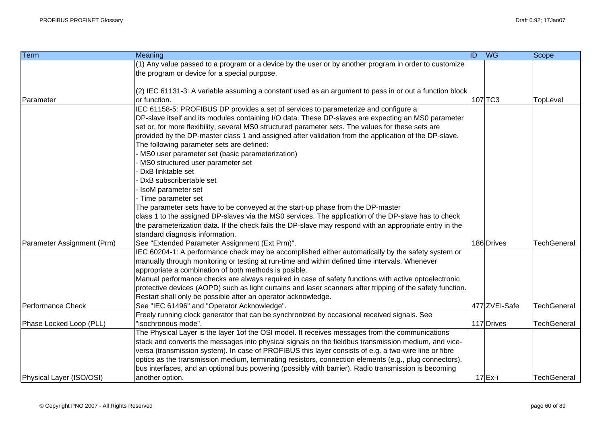| Term                       | Meaning                                                                                                    | $\overline{ID}$ | <b>WG</b>     | Scope              |
|----------------------------|------------------------------------------------------------------------------------------------------------|-----------------|---------------|--------------------|
|                            | (1) Any value passed to a program or a device by the user or by another program in order to customize      |                 |               |                    |
|                            | the program or device for a special purpose.                                                               |                 |               |                    |
|                            |                                                                                                            |                 |               |                    |
|                            | (2) IEC 61131-3: A variable assuming a constant used as an argument to pass in or out a function block     |                 |               |                    |
| Parameter                  | or function.                                                                                               |                 | 107 TC3       | TopLevel           |
|                            | IEC 61158-5: PROFIBUS DP provides a set of services to parameterize and configure a                        |                 |               |                    |
|                            | DP-slave itself and its modules containing I/O data. These DP-slaves are expecting an MS0 parameter        |                 |               |                    |
|                            | set or, for more flexibility, several MS0 structured parameter sets. The values for these sets are         |                 |               |                    |
|                            | provided by the DP-master class 1 and assigned after validation from the application of the DP-slave.      |                 |               |                    |
|                            | The following parameter sets are defined:                                                                  |                 |               |                    |
|                            | MS0 user parameter set (basic parameterization)                                                            |                 |               |                    |
|                            | MS0 structured user parameter set                                                                          |                 |               |                    |
|                            | DxB linktable set<br>DxB subscribertable set                                                               |                 |               |                    |
|                            |                                                                                                            |                 |               |                    |
|                            | IsoM parameter set<br>Time parameter set                                                                   |                 |               |                    |
|                            | The parameter sets have to be conveyed at the start-up phase from the DP-master                            |                 |               |                    |
|                            | class 1 to the assigned DP-slaves via the MS0 services. The application of the DP-slave has to check       |                 |               |                    |
|                            | the parameterization data. If the check fails the DP-slave may respond with an appropriate entry in the    |                 |               |                    |
|                            | standard diagnosis information.                                                                            |                 |               |                    |
| Parameter Assignment (Prm) | See "Extended Parameter Assignment (Ext Prm)".                                                             |                 | 186 Drives    | <b>TechGeneral</b> |
|                            | IEC 60204-1: A performance check may be accomplished either automatically by the safety system or          |                 |               |                    |
|                            | manually through monitoring or testing at run-time and within defined time intervals. Whenever             |                 |               |                    |
|                            | appropriate a combination of both methods is posible.                                                      |                 |               |                    |
|                            | Manual performance checks are always required in case of safety functions with active optoelectronic       |                 |               |                    |
|                            | protective devices (AOPD) such as light curtains and laser scanners after tripping of the safety function. |                 |               |                    |
|                            | Restart shall only be possible after an operator acknowledge.                                              |                 |               |                    |
| Performance Check          | See "IEC 61496" and "Operator Acknowledge".                                                                |                 | 477 ZVEI-Safe | <b>TechGeneral</b> |
|                            | Freely running clock generator that can be synchronized by occasional received signals. See                |                 |               |                    |
| Phase Locked Loop (PLL)    | "isochronous mode".                                                                                        |                 | 117 Drives    | <b>TechGeneral</b> |
|                            | The Physical Layer is the layer 1of the OSI model. It receives messages from the communications            |                 |               |                    |
|                            | stack and converts the messages into physical signals on the fieldbus transmission medium, and vice-       |                 |               |                    |
|                            | versa (transmission system). In case of PROFIBUS this layer consists of e.g. a two-wire line or fibre      |                 |               |                    |
|                            | optics as the transmission medium, terminating resistors, connection elements (e.g., plug connectors),     |                 |               |                    |
|                            | bus interfaces, and an optional bus powering (possibly with barrier). Radio transmission is becoming       |                 |               |                    |
| Physical Layer (ISO/OSI)   | another option.                                                                                            |                 | $17$ Ex-i     | TechGeneral        |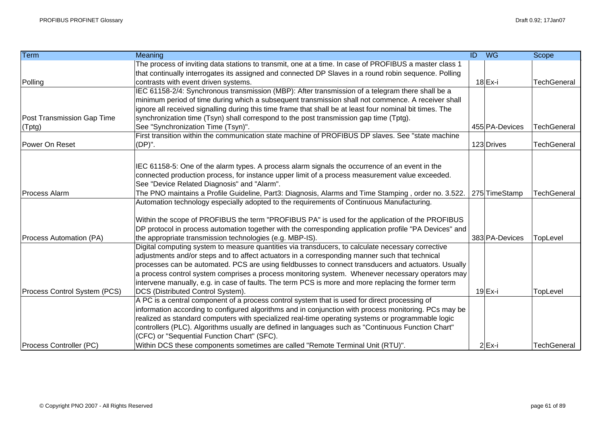| <b>Term</b>                  | Meaning                                                                                                  | $\overline{ID}$ | <b>WG</b>      | Scope              |
|------------------------------|----------------------------------------------------------------------------------------------------------|-----------------|----------------|--------------------|
|                              | The process of inviting data stations to transmit, one at a time. In case of PROFIBUS a master class 1   |                 |                |                    |
|                              | that continually interrogates its assigned and connected DP Slaves in a round robin sequence. Polling    |                 |                |                    |
| Polling                      | contrasts with event driven systems.                                                                     |                 | $18$ Ex-i      | <b>TechGeneral</b> |
|                              | IEC 61158-2/4: Synchronous transmission (MBP): After transmission of a telegram there shall be a         |                 |                |                    |
|                              | minimum period of time during which a subsequent transmission shall not commence. A receiver shall       |                 |                |                    |
|                              | ignore all received signalling during this time frame that shall be at least four nominal bit times. The |                 |                |                    |
| Post Transmission Gap Time   | synchronization time (Tsyn) shall correspond to the post transmission gap time (Tptg).                   |                 |                |                    |
| (Tptg)                       | See "Synchronization Time (Tsyn)".                                                                       |                 | 455 PA-Devices | <b>TechGeneral</b> |
|                              | First transition within the communication state machine of PROFIBUS DP slaves. See "state machine"       |                 |                |                    |
| Power On Reset               | (DP)".                                                                                                   |                 | 123 Drives     | <b>TechGeneral</b> |
|                              |                                                                                                          |                 |                |                    |
|                              | IEC 61158-5: One of the alarm types. A process alarm signals the occurrence of an event in the           |                 |                |                    |
|                              | connected production process, for instance upper limit of a process measurement value exceeded.          |                 |                |                    |
|                              | See "Device Related Diagnosis" and "Alarm".                                                              |                 |                |                    |
| <b>Process Alarm</b>         | The PNO maintains a Profile Guideline, Part3: Diagnosis, Alarms and Time Stamping, order no. 3.522.      |                 | 275 TimeStamp  | <b>TechGeneral</b> |
|                              | Automation technology especially adopted to the requirements of Continuous Manufacturing.                |                 |                |                    |
|                              |                                                                                                          |                 |                |                    |
|                              | Within the scope of PROFIBUS the term "PROFIBUS PA" is used for the application of the PROFIBUS          |                 |                |                    |
|                              | DP protocol in process automation together with the corresponding application profile "PA Devices" and   |                 |                |                    |
| Process Automation (PA)      | the appropriate transmission technologies (e.g. MBP-IS).                                                 |                 | 383 PA-Devices | TopLevel           |
|                              | Digital computing system to measure quantities via transducers, to calculate necessary corrective        |                 |                |                    |
|                              | adjustments and/or steps and to affect actuators in a corresponding manner such that technical           |                 |                |                    |
|                              | processes can be automated. PCS are using fieldbusses to connect transducers and actuators. Usually      |                 |                |                    |
|                              | a process control system comprises a process monitoring system. Whenever necessary operators may         |                 |                |                    |
|                              | intervene manually, e.g. in case of faults. The term PCS is more and more replacing the former term      |                 |                |                    |
| Process Control System (PCS) | DCS (Distributed Control System).                                                                        |                 | $19$ $Ex-i$    | TopLevel           |
|                              | A PC is a central component of a process control system that is used for direct processing of            |                 |                |                    |
|                              | information according to configured algorithms and in conjunction with process monitoring. PCs may be    |                 |                |                    |
|                              | realized as standard computers with specialized real-time operating systems or programmable logic        |                 |                |                    |
|                              | controllers (PLC). Algorithms usually are defined in languages such as "Continuous Function Chart"       |                 |                |                    |
|                              | (CFC) or "Sequential Function Chart" (SFC).                                                              |                 |                |                    |
| Process Controller (PC)      | Within DCS these components sometimes are called "Remote Terminal Unit (RTU)".                           |                 | $2$ $Ex-i$     | <b>TechGeneral</b> |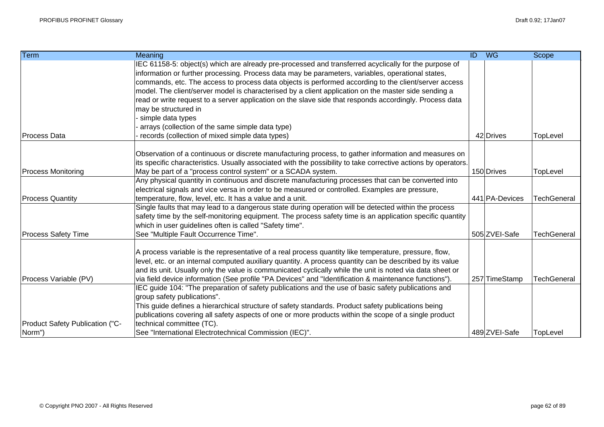| <b>Term</b>                     | Meaning                                                                                                        | $\overline{ID}$ | $W$ G          | Scope              |
|---------------------------------|----------------------------------------------------------------------------------------------------------------|-----------------|----------------|--------------------|
|                                 | IEC 61158-5: object(s) which are already pre-processed and transferred acyclically for the purpose of          |                 |                |                    |
|                                 | information or further processing. Process data may be parameters, variables, operational states,              |                 |                |                    |
|                                 | commands, etc. The access to process data objects is performed according to the client/server access           |                 |                |                    |
|                                 | model. The client/server model is characterised by a client application on the master side sending a           |                 |                |                    |
|                                 | read or write request to a server application on the slave side that responds accordingly. Process data        |                 |                |                    |
|                                 | may be structured in                                                                                           |                 |                |                    |
|                                 | simple data types                                                                                              |                 |                |                    |
|                                 | arrays (collection of the same simple data type)                                                               |                 |                |                    |
| <b>Process Data</b>             | records (collection of mixed simple data types)                                                                |                 | 42 Drives      | TopLevel           |
|                                 | Observation of a continuous or discrete manufacturing process, to gather information and measures on           |                 |                |                    |
|                                 | its specific characteristics. Usually associated with the possibility to take corrective actions by operators. |                 |                |                    |
| <b>Process Monitoring</b>       | May be part of a "process control system" or a SCADA system.                                                   |                 | 150 Drives     | TopLevel           |
|                                 | Any physical quantity in continuous and discrete manufacturing processes that can be converted into            |                 |                |                    |
|                                 | electrical signals and vice versa in order to be measured or controlled. Examples are pressure,                |                 |                |                    |
| <b>Process Quantity</b>         | temperature, flow, level, etc. It has a value and a unit.                                                      |                 | 441 PA-Devices | TechGeneral        |
|                                 | Single faults that may lead to a dangerous state during operation will be detected within the process          |                 |                |                    |
|                                 | safety time by the self-monitoring equipment. The process safety time is an application specific quantity      |                 |                |                    |
|                                 | which in user guidelines often is called "Safety time".                                                        |                 |                |                    |
| <b>Process Safety Time</b>      | See "Multiple Fault Occurrence Time".                                                                          |                 | 505 ZVEI-Safe  | <b>TechGeneral</b> |
|                                 | A process variable is the representative of a real process quantity like temperature, pressure, flow,          |                 |                |                    |
|                                 | level, etc. or an internal computed auxiliary quantity. A process quantity can be described by its value       |                 |                |                    |
|                                 | and its unit. Usually only the value is communicated cyclically while the unit is noted via data sheet or      |                 |                |                    |
| Process Variable (PV)           | via field device information (See profile "PA Devices" and "Identification & maintenance functions").          |                 | 257 TimeStamp  | <b>TechGeneral</b> |
|                                 | IEC guide 104: "The preparation of safety publications and the use of basic safety publications and            |                 |                |                    |
|                                 | group safety publications".                                                                                    |                 |                |                    |
|                                 | This guide defines a hierarchical structure of safety standards. Product safety publications being             |                 |                |                    |
|                                 | publications covering all safety aspects of one or more products within the scope of a single product          |                 |                |                    |
| Product Safety Publication ("C- | technical committee (TC).                                                                                      |                 |                |                    |
| Norm")                          | See "International Electrotechnical Commission (IEC)".                                                         |                 | 489 ZVEI-Safe  | TopLevel           |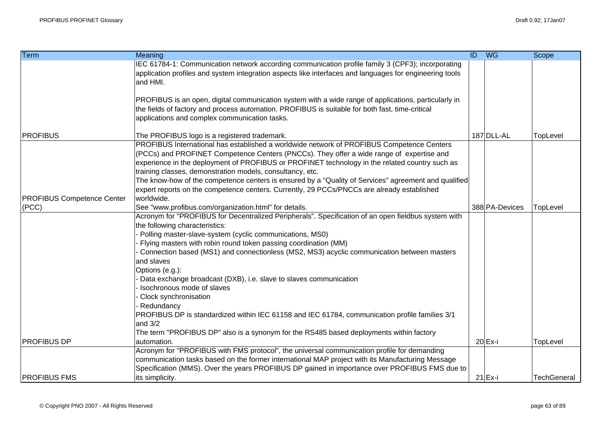| <b>Term</b>                       | Meaning                                                                                                 | $\overline{ID}$ | $W$ G          | Scope       |
|-----------------------------------|---------------------------------------------------------------------------------------------------------|-----------------|----------------|-------------|
|                                   | IEC 61784-1: Communication network according communication profile family 3 (CPF3); incorporating       |                 |                |             |
|                                   | application profiles and system integration aspects like interfaces and languages for engineering tools |                 |                |             |
|                                   | and HMI.                                                                                                |                 |                |             |
|                                   |                                                                                                         |                 |                |             |
|                                   | PROFIBUS is an open, digital communication system with a wide range of applications, particularly in    |                 |                |             |
|                                   | the fields of factory and process automation. PROFIBUS is suitable for both fast, time-critical         |                 |                |             |
|                                   | applications and complex communication tasks.                                                           |                 |                |             |
|                                   |                                                                                                         |                 |                |             |
| <b>PROFIBUS</b>                   | The PROFIBUS logo is a registered trademark.                                                            |                 | 187 DLL-AL     | TopLevel    |
|                                   | PROFIBUS International has established a worldwide network of PROFIBUS Competence Centers               |                 |                |             |
|                                   | (PCCs) and PROFINET Competence Centers (PNCCs). They offer a wide range of expertise and                |                 |                |             |
|                                   | experience in the deployment of PROFIBUS or PROFINET technology in the related country such as          |                 |                |             |
|                                   | training classes, demonstration models, consultancy, etc.                                               |                 |                |             |
|                                   | The know-how of the competence centers is ensured by a "Quality of Services" agreement and qualified    |                 |                |             |
|                                   | expert reports on the competence centers. Currently, 29 PCCs/PNCCs are already established              |                 |                |             |
| <b>PROFIBUS Competence Center</b> | worldwide.                                                                                              |                 |                |             |
| (PCC)                             | See "www.profibus.com/organization.html" for details.                                                   |                 | 388 PA-Devices | TopLevel    |
|                                   | Acronym for "PROFIBUS for Decentralized Peripherals". Specification of an open fieldbus system with     |                 |                |             |
|                                   | the following characteristics:                                                                          |                 |                |             |
|                                   | Polling master-slave-system (cyclic communications, MS0)                                                |                 |                |             |
|                                   | Flying masters with robin round token passing coordination (MM)                                         |                 |                |             |
|                                   | Connection based (MS1) and connectionless (MS2, MS3) acyclic communication between masters              |                 |                |             |
|                                   | and slaves                                                                                              |                 |                |             |
|                                   | Options (e.g.):                                                                                         |                 |                |             |
|                                   | - Data exchange broadcast (DXB), i.e. slave to slaves communication                                     |                 |                |             |
|                                   | Isochronous mode of slaves                                                                              |                 |                |             |
|                                   | Clock synchronisation                                                                                   |                 |                |             |
|                                   | - Redundancy                                                                                            |                 |                |             |
|                                   | PROFIBUS DP is standardized within IEC 61158 and IEC 61784, communication profile families 3/1          |                 |                |             |
|                                   | and $3/2$                                                                                               |                 |                |             |
|                                   | The term "PROFIBUS DP" also is a synonym for the RS485 based deployments within factory                 |                 |                |             |
| <b>PROFIBUS DP</b>                | automation.                                                                                             |                 | 20 Ex-i        | TopLevel    |
|                                   | Acronym for "PROFIBUS with FMS protocol", the universal communication profile for demanding             |                 |                |             |
|                                   | communication tasks based on the former international MAP project with its Manufacturing Message        |                 |                |             |
|                                   | Specification (MMS). Over the years PROFIBUS DP gained in importance over PROFIBUS FMS due to           |                 |                |             |
| <b>PROFIBUS FMS</b>               | its simplicity.                                                                                         |                 | $21$ Ex-i      | TechGeneral |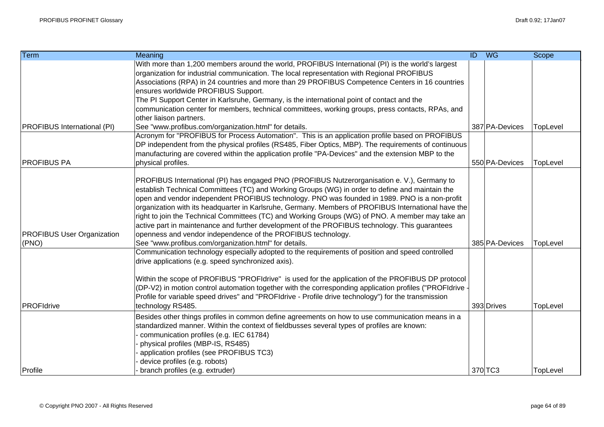| <b>Term</b>                        | Meaning                                                                                                  | ID WG          | Scope    |
|------------------------------------|----------------------------------------------------------------------------------------------------------|----------------|----------|
|                                    | With more than 1,200 members around the world, PROFIBUS International (PI) is the world's largest        |                |          |
|                                    | organization for industrial communication. The local representation with Regional PROFIBUS               |                |          |
|                                    | Associations (RPA) in 24 countries and more than 29 PROFIBUS Competence Centers in 16 countries          |                |          |
|                                    | ensures worldwide PROFIBUS Support.                                                                      |                |          |
|                                    | The PI Support Center in Karlsruhe, Germany, is the international point of contact and the               |                |          |
|                                    | communication center for members, technical committees, working groups, press contacts, RPAs, and        |                |          |
|                                    | other liaison partners.                                                                                  |                |          |
| <b>PROFIBUS International (PI)</b> | See "www.profibus.com/organization.html" for details.                                                    | 387 PA-Devices | TopLevel |
|                                    | Acronym for "PROFIBUS for Process Automation". This is an application profile based on PROFIBUS          |                |          |
|                                    | DP independent from the physical profiles (RS485, Fiber Optics, MBP). The requirements of continuous     |                |          |
|                                    | manufacturing are covered within the application profile "PA-Devices" and the extension MBP to the       |                |          |
| <b>PROFIBUS PA</b>                 | physical profiles.                                                                                       | 550 PA-Devices | TopLevel |
|                                    | PROFIBUS International (PI) has engaged PNO (PROFIBUS Nutzerorganisation e. V.), Germany to              |                |          |
|                                    | establish Technical Committees (TC) and Working Groups (WG) in order to define and maintain the          |                |          |
|                                    | open and vendor independent PROFIBUS technology. PNO was founded in 1989. PNO is a non-profit            |                |          |
|                                    | organization with its headquarter in Karlsruhe, Germany. Members of PROFIBUS International have the      |                |          |
|                                    | right to join the Technical Committees (TC) and Working Groups (WG) of PNO. A member may take an         |                |          |
|                                    | active part in maintenance and further development of the PROFIBUS technology. This guarantees           |                |          |
| <b>PROFIBUS User Organization</b>  | openness and vendor independence of the PROFIBUS technology.                                             |                |          |
| (PNO)                              | See "www.profibus.com/organization.html" for details.                                                    | 385 PA-Devices | TopLevel |
|                                    | Communication technology especially adopted to the requirements of position and speed controlled         |                |          |
|                                    | drive applications (e.g. speed synchronized axis).                                                       |                |          |
|                                    | Within the scope of PROFIBUS "PROFIdrive" is used for the application of the PROFIBUS DP protocol        |                |          |
|                                    | (DP-V2) in motion control automation together with the corresponding application profiles ("PROFIdrive - |                |          |
|                                    | Profile for variable speed drives" and "PROFIdrive - Profile drive technology") for the transmission     |                |          |
| PROFIdrive                         | technology RS485.                                                                                        | 393 Drives     | TopLevel |
|                                    | Besides other things profiles in common define agreements on how to use communication means in a         |                |          |
|                                    | standardized manner. Within the context of fieldbusses several types of profiles are known:              |                |          |
|                                    | communication profiles (e.g. IEC 61784)                                                                  |                |          |
|                                    | physical profiles (MBP-IS, RS485)                                                                        |                |          |
|                                    | application profiles (see PROFIBUS TC3)                                                                  |                |          |
|                                    | device profiles (e.g. robots)                                                                            |                |          |
| Profile                            | branch profiles (e.g. extruder)                                                                          | 370 TC3        | TopLevel |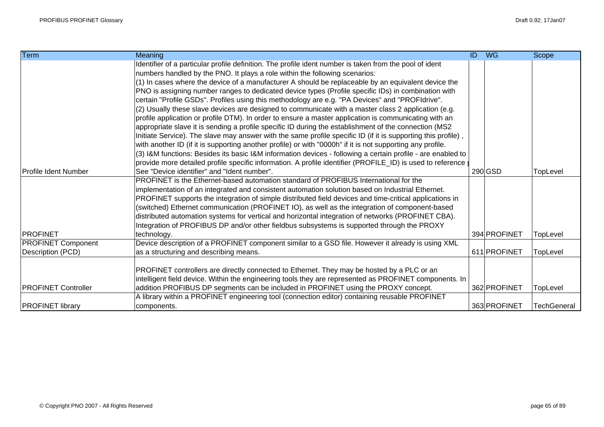| <b>Term</b>                | Meaning                                                                                                       | ID | <b>WG</b>    | Scope              |
|----------------------------|---------------------------------------------------------------------------------------------------------------|----|--------------|--------------------|
|                            | Identifier of a particular profile definition. The profile ident number is taken from the pool of ident       |    |              |                    |
|                            | numbers handled by the PNO. It plays a role within the following scenarios:                                   |    |              |                    |
|                            | (1) In cases where the device of a manufacturer A should be replaceable by an equivalent device the           |    |              |                    |
|                            | PNO is assigning number ranges to dedicated device types (Profile specific IDs) in combination with           |    |              |                    |
|                            | certain "Profile GSDs". Profiles using this methodology are e.g. "PA Devices" and "PROFIdrive".               |    |              |                    |
|                            | (2) Usually these slave devices are designed to communicate with a master class 2 application (e.g.           |    |              |                    |
|                            | profile application or profile DTM). In order to ensure a master application is communicating with an         |    |              |                    |
|                            | appropriate slave it is sending a profile specific ID during the establishment of the connection (MS2         |    |              |                    |
|                            | Initiate Service). The slave may answer with the same profile specific ID (if it is supporting this profile), |    |              |                    |
|                            | with another ID (if it is supporting another profile) or with "0000h" if it is not supporting any profile.    |    |              |                    |
|                            | (3) I&M functions: Besides its basic I&M information devices - following a certain profile - are enabled to   |    |              |                    |
|                            | provide more detailed profile specific information. A profile identifier (PROFILE_ID) is used to reference    |    |              |                    |
| Profile Ident Number       | See "Device identifier" and "Ident number".                                                                   |    | 290 GSD      | TopLevel           |
|                            | PROFINET is the Ethernet-based automation standard of PROFIBUS International for the                          |    |              |                    |
|                            | implementation of an integrated and consistent automation solution based on Industrial Ethernet.              |    |              |                    |
|                            | PROFINET supports the integration of simple distributed field devices and time-critical applications in       |    |              |                    |
|                            | (switched) Ethernet communication (PROFINET IO), as well as the integration of component-based                |    |              |                    |
|                            | distributed automation systems for vertical and horizontal integration of networks (PROFINET CBA).            |    |              |                    |
|                            | Integration of PROFIBUS DP and/or other fieldbus subsystems is supported through the PROXY                    |    |              |                    |
| <b>PROFINET</b>            | technology.                                                                                                   |    | 394 PROFINET | TopLevel           |
| <b>PROFINET Component</b>  | Device description of a PROFINET component similar to a GSD file. However it already is using XML             |    |              |                    |
| Description (PCD)          | as a structuring and describing means.                                                                        |    | 611 PROFINET | TopLevel           |
|                            |                                                                                                               |    |              |                    |
|                            | PROFINET controllers are directly connected to Ethernet. They may be hosted by a PLC or an                    |    |              |                    |
|                            | intelligent field device. Within the engineering tools they are represented as PROFINET components. In        |    |              |                    |
| <b>PROFINET Controller</b> | addition PROFIBUS DP segments can be included in PROFINET using the PROXY concept.                            |    | 362 PROFINET | TopLevel           |
|                            | A library within a PROFINET engineering tool (connection editor) containing reusable PROFINET                 |    |              |                    |
| <b>PROFINET library</b>    | components.                                                                                                   |    | 363 PROFINET | <b>TechGeneral</b> |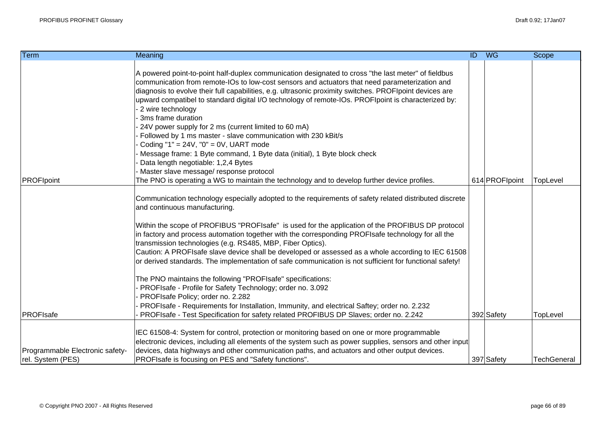| <b>Term</b>                                          | Meaning                                                                                                                                                                                                                                                                                                                                                                                                                                                                                                                                                                                                                                                                                                                                                                                                                                                                                                 | ID WG          | Scope              |
|------------------------------------------------------|---------------------------------------------------------------------------------------------------------------------------------------------------------------------------------------------------------------------------------------------------------------------------------------------------------------------------------------------------------------------------------------------------------------------------------------------------------------------------------------------------------------------------------------------------------------------------------------------------------------------------------------------------------------------------------------------------------------------------------------------------------------------------------------------------------------------------------------------------------------------------------------------------------|----------------|--------------------|
| <b>PROFIpoint</b>                                    | A powered point-to-point half-duplex communication designated to cross "the last meter" of fieldbus<br>communication from remote-IOs to low-cost sensors and actuators that need parameterization and<br>diagnosis to evolve their full capabilities, e.g. ultrasonic proximity switches. PROFIpoint devices are<br>upward compatibel to standard digital I/O technology of remote-IOs. PROFIpoint is characterized by:<br>- 2 wire technology<br>3ms frame duration<br>24V power supply for 2 ms (current limited to 60 mA)<br>Followed by 1 ms master - slave communication with 230 kBit/s<br>Coding "1" = $24V$ , "0" = 0V, UART mode<br>Message frame: 1 Byte command, 1 Byte data (initial), 1 Byte block check<br>Data length negotiable: 1,2,4 Bytes<br>Master slave message/ response protocol<br>The PNO is operating a WG to maintain the technology and to develop further device profiles. | 614 PROFIpoint | TopLevel           |
|                                                      | Communication technology especially adopted to the requirements of safety related distributed discrete<br>and continuous manufacturing.<br>Within the scope of PROFIBUS "PROFIsafe" is used for the application of the PROFIBUS DP protocol<br>in factory and process automation together with the corresponding PROFIsafe technology for all the<br>transmission technologies (e.g. RS485, MBP, Fiber Optics).<br>Caution: A PROFIsafe slave device shall be developed or assessed as a whole according to IEC 61508<br>or derived standards. The implementation of safe communication is not sufficient for functional safety!<br>The PNO maintains the following "PROFIsafe" specifications:<br>- PROFIsafe - Profile for Safety Technology; order no. 3.092<br>PROFIsafe Policy; order no. 2.282<br>PROFIsafe - Requirements for Installation, Immunity, and electrical Saftey; order no. 2.232     |                |                    |
| PROFIsafe                                            | PROFIsafe - Test Specification for safety related PROFIBUS DP Slaves; order no. 2.242<br>IEC 61508-4: System for control, protection or monitoring based on one or more programmable<br>electronic devices, including all elements of the system such as power supplies, sensors and other input                                                                                                                                                                                                                                                                                                                                                                                                                                                                                                                                                                                                        | 392 Safety     | TopLevel           |
| Programmable Electronic safety-<br>rel. System (PES) | devices, data highways and other communication paths, and actuators and other output devices.<br>PROFIsafe is focusing on PES and "Safety functions".                                                                                                                                                                                                                                                                                                                                                                                                                                                                                                                                                                                                                                                                                                                                                   | 397 Safety     | <b>TechGeneral</b> |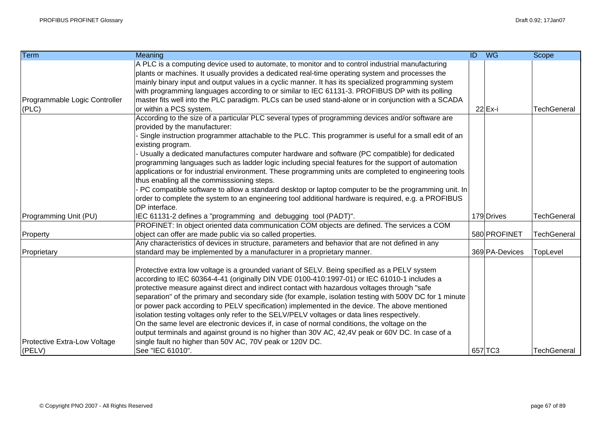| <b>Term</b>                   | Meaning                                                                                                                                                                                                  | ID WG          | Scope              |
|-------------------------------|----------------------------------------------------------------------------------------------------------------------------------------------------------------------------------------------------------|----------------|--------------------|
|                               | A PLC is a computing device used to automate, to monitor and to control industrial manufacturing<br>plants or machines. It usually provides a dedicated real-time operating system and processes the     |                |                    |
|                               | mainly binary input and output values in a cyclic manner. It has its specialized programming system                                                                                                      |                |                    |
|                               | with programming languages according to or similar to IEC 61131-3. PROFIBUS DP with its polling                                                                                                          |                |                    |
| Programmable Logic Controller | master fits well into the PLC paradigm. PLCs can be used stand-alone or in conjunction with a SCADA                                                                                                      |                |                    |
| (PLC)                         | or within a PCS system.<br>According to the size of a particular PLC several types of programming devices and/or software are                                                                            | $22$ Ex-i      | <b>TechGeneral</b> |
|                               | provided by the manufacturer:                                                                                                                                                                            |                |                    |
|                               | Single instruction programmer attachable to the PLC. This programmer is useful for a small edit of an                                                                                                    |                |                    |
|                               | existing program.                                                                                                                                                                                        |                |                    |
|                               | - Usually a dedicated manufactures computer hardware and software (PC compatible) for dedicated                                                                                                          |                |                    |
|                               | programming languages such as ladder logic including special features for the support of automation                                                                                                      |                |                    |
|                               | applications or for industrial environment. These programming units are completed to engineering tools                                                                                                   |                |                    |
|                               | thus enabling all the commisssioning steps.                                                                                                                                                              |                |                    |
|                               | - PC compatible software to allow a standard desktop or laptop computer to be the programming unit. In                                                                                                   |                |                    |
|                               | order to complete the system to an engineering tool additional hardware is required, e.g. a PROFIBUS<br>DP interface.                                                                                    |                |                    |
| Programming Unit (PU)         | IEC 61131-2 defines a "programming and debugging tool (PADT)".                                                                                                                                           | 179 Drives     | <b>TechGeneral</b> |
|                               | PROFINET: In object oriented data communication COM objects are defined. The services a COM                                                                                                              |                |                    |
| Property                      | object can offer are made public via so called properties.                                                                                                                                               | 580 PROFINET   | <b>TechGeneral</b> |
|                               | Any characteristics of devices in structure, parameters and behavior that are not defined in any                                                                                                         |                |                    |
| Proprietary                   | standard may be implemented by a manufacturer in a proprietary manner.                                                                                                                                   | 369 PA-Devices | TopLevel           |
|                               |                                                                                                                                                                                                          |                |                    |
|                               | Protective extra low voltage is a grounded variant of SELV. Being specified as a PELV system                                                                                                             |                |                    |
|                               | according to IEC 60364-4-41 (originally DIN VDE 0100-410:1997-01) or IEC 61010-1 includes a                                                                                                              |                |                    |
|                               | protective measure against direct and indirect contact with hazardous voltages through "safe"                                                                                                            |                |                    |
|                               | separation" of the primary and secondary side (for example, isolation testing with 500V DC for 1 minute<br>or power pack according to PELV specification) implemented in the device. The above mentioned |                |                    |
|                               | isolation testing voltages only refer to the SELV/PELV voltages or data lines respectively.                                                                                                              |                |                    |
|                               | On the same level are electronic devices if, in case of normal conditions, the voltage on the                                                                                                            |                |                    |
|                               | output terminals and against ground is no higher than 30V AC, 42,4V peak or 60V DC. In case of a                                                                                                         |                |                    |
| Protective Extra-Low Voltage  | single fault no higher than 50V AC, 70V peak or 120V DC.                                                                                                                                                 |                |                    |
| (PELV)                        | See "IEC 61010".                                                                                                                                                                                         | 657 TC3        | <b>TechGeneral</b> |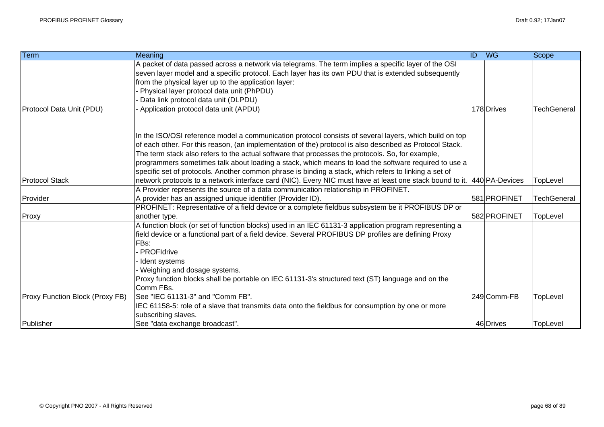| Term                            | Meaning                                                                                                  | ID | <b>WG</b>      | Scope              |
|---------------------------------|----------------------------------------------------------------------------------------------------------|----|----------------|--------------------|
|                                 | A packet of data passed across a network via telegrams. The term implies a specific layer of the OSI     |    |                |                    |
|                                 | seven layer model and a specific protocol. Each layer has its own PDU that is extended subsequently      |    |                |                    |
|                                 | from the physical layer up to the application layer:                                                     |    |                |                    |
|                                 | Physical layer protocol data unit (PhPDU)                                                                |    |                |                    |
|                                 | Data link protocol data unit (DLPDU)                                                                     |    |                |                    |
| Protocol Data Unit (PDU)        | Application protocol data unit (APDU)                                                                    |    | 178 Drives     | <b>TechGeneral</b> |
|                                 | In the ISO/OSI reference model a communication protocol consists of several layers, which build on top   |    |                |                    |
|                                 | of each other. For this reason, (an implementation of the) protocol is also described as Protocol Stack. |    |                |                    |
|                                 | The term stack also refers to the actual software that processes the protocols. So, for example,         |    |                |                    |
|                                 | programmers sometimes talk about loading a stack, which means to load the software required to use a     |    |                |                    |
|                                 | specific set of protocols. Another common phrase is binding a stack, which refers to linking a set of    |    |                |                    |
| <b>Protocol Stack</b>           | network protocols to a network interface card (NIC). Every NIC must have at least one stack bound to it. |    | 440 PA-Devices | TopLevel           |
|                                 | A Provider represents the source of a data communication relationship in PROFINET.                       |    |                |                    |
| Provider                        | A provider has an assigned unique identifier (Provider ID).                                              |    | 581 PROFINET   | <b>TechGeneral</b> |
|                                 | PROFINET: Representative of a field device or a complete fieldbus subsystem be it PROFIBUS DP or         |    |                |                    |
| Proxy                           | another type.                                                                                            |    | 582 PROFINET   | TopLevel           |
|                                 | A function block (or set of function blocks) used in an IEC 61131-3 application program representing a   |    |                |                    |
|                                 | field device or a functional part of a field device. Several PROFIBUS DP profiles are defining Proxy     |    |                |                    |
|                                 | FB <sub>s:</sub>                                                                                         |    |                |                    |
|                                 | PROFIdrive                                                                                               |    |                |                    |
|                                 | Ident systems                                                                                            |    |                |                    |
|                                 | Weighing and dosage systems.                                                                             |    |                |                    |
|                                 | Proxy function blocks shall be portable on IEC 61131-3's structured text (ST) language and on the        |    |                |                    |
|                                 | Comm FBs.                                                                                                |    |                |                    |
| Proxy Function Block (Proxy FB) | See "IEC 61131-3" and "Comm FB".                                                                         |    | 249 Comm-FB    | TopLevel           |
|                                 | IEC 61158-5: role of a slave that transmits data onto the fieldbus for consumption by one or more        |    |                |                    |
|                                 | subscribing slaves.                                                                                      |    |                |                    |
| Publisher                       | See "data exchange broadcast".                                                                           |    | 46 Drives      | TopLevel           |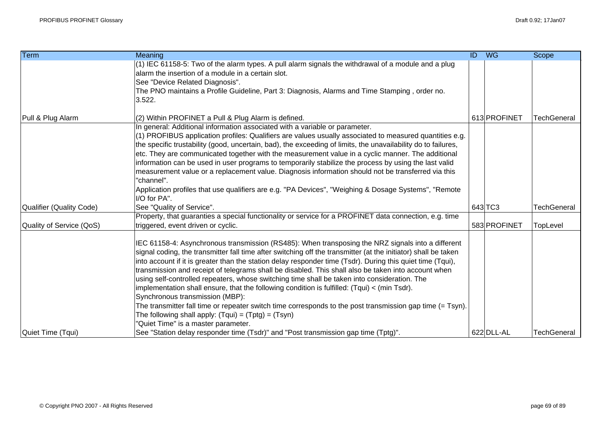| <b>Term</b>              | Meaning                                                                                                              | <b>ID</b> WG | Scope              |
|--------------------------|----------------------------------------------------------------------------------------------------------------------|--------------|--------------------|
|                          | (1) IEC 61158-5: Two of the alarm types. A pull alarm signals the withdrawal of a module and a plug                  |              |                    |
|                          | alarm the insertion of a module in a certain slot.                                                                   |              |                    |
|                          | See "Device Related Diagnosis".                                                                                      |              |                    |
|                          | The PNO maintains a Profile Guideline, Part 3: Diagnosis, Alarms and Time Stamping, order no.                        |              |                    |
|                          | 3.522.                                                                                                               |              |                    |
| Pull & Plug Alarm        | (2) Within PROFINET a Pull & Plug Alarm is defined.                                                                  | 613 PROFINET | <b>TechGeneral</b> |
|                          | In general: Additional information associated with a variable or parameter.                                          |              |                    |
|                          | (1) PROFIBUS application profiles: Qualifiers are values usually associated to measured quantities e.g.              |              |                    |
|                          | the specific trustability (good, uncertain, bad), the exceeding of limits, the unavailability do to failures,        |              |                    |
|                          | etc. They are communicated together with the measurement value in a cyclic manner. The additional                    |              |                    |
|                          | information can be used in user programs to temporarily stabilize the process by using the last valid                |              |                    |
|                          | measurement value or a replacement value. Diagnosis information should not be transferred via this                   |              |                    |
|                          | "channel".                                                                                                           |              |                    |
|                          | Application profiles that use qualifiers are e.g. "PA Devices", "Weighing & Dosage Systems", "Remote<br>I/O for PA". |              |                    |
| Qualifier (Quality Code) | See "Quality of Service".                                                                                            | 643 TC3      | <b>TechGeneral</b> |
|                          | Property, that guaranties a special functionality or service for a PROFINET data connection, e.g. time               |              |                    |
| Quality of Service (QoS) | triggered, event driven or cyclic.                                                                                   | 583 PROFINET | TopLevel           |
|                          | IEC 61158-4: Asynchronous transmission (RS485): When transposing the NRZ signals into a different                    |              |                    |
|                          | signal coding, the transmitter fall time after switching off the transmitter (at the initiator) shall be taken       |              |                    |
|                          | into account if it is greater than the station delay responder time (Tsdr). During this quiet time (Tqui),           |              |                    |
|                          | transmission and receipt of telegrams shall be disabled. This shall also be taken into account when                  |              |                    |
|                          | using self-controlled repeaters, whose switching time shall be taken into consideration. The                         |              |                    |
|                          | implementation shall ensure, that the following condition is fulfilled: $(Tqui) < (min Tsdr)$ .                      |              |                    |
|                          | Synchronous transmission (MBP):                                                                                      |              |                    |
|                          | The transmitter fall time or repeater switch time corresponds to the post transmission gap time $(= Tsyn)$ .         |              |                    |
|                          | The following shall apply: $(Tqui) = (Tptg) = (Tsyn)$                                                                |              |                    |
|                          | "Quiet Time" is a master parameter.                                                                                  |              |                    |
| Quiet Time (Tqui)        | See "Station delay responder time (Tsdr)" and "Post transmission gap time (Tptg)".                                   | 622 DLL-AL   | <b>TechGeneral</b> |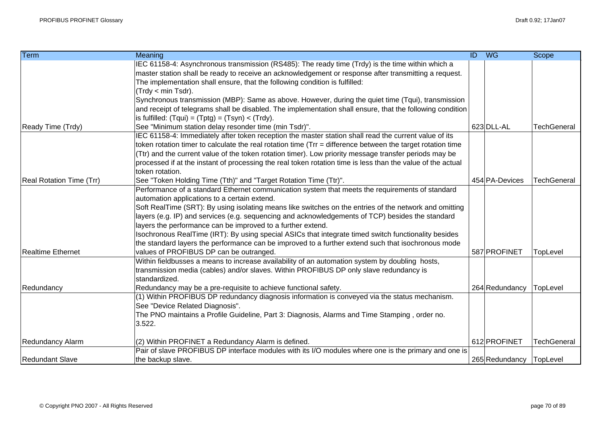| <b>Term</b>              | <b>Meaning</b>                                                                                                | $\overline{ID}$ | $W$ G                   | Scope              |
|--------------------------|---------------------------------------------------------------------------------------------------------------|-----------------|-------------------------|--------------------|
|                          | IEC 61158-4: Asynchronous transmission (RS485): The ready time (Trdy) is the time within which a              |                 |                         |                    |
|                          | master station shall be ready to receive an acknowledgement or response after transmitting a request.         |                 |                         |                    |
|                          | The implementation shall ensure, that the following condition is fulfilled:                                   |                 |                         |                    |
|                          | (Trdy < min Tsdr).                                                                                            |                 |                         |                    |
|                          | Synchronous transmission (MBP): Same as above. However, during the quiet time (Tqui), transmission            |                 |                         |                    |
|                          | and receipt of telegrams shall be disabled. The implementation shall ensure, that the following condition     |                 |                         |                    |
|                          | is fulfilled: $(Tqui) = (Tptg) = (Tsyn) < (Trdy)$ .                                                           |                 |                         |                    |
| Ready Time (Trdy)        | See "Minimum station delay resonder time (min Tsdr)".                                                         |                 | 623 DLL-AL              | <b>TechGeneral</b> |
|                          | IEC 61158-4: Immediately after token reception the master station shall read the current value of its         |                 |                         |                    |
|                          | token rotation timer to calculate the real rotation time $(Trr =$ difference between the target rotation time |                 |                         |                    |
|                          | (Ttr) and the current value of the token rotation timer). Low priority message transfer periods may be        |                 |                         |                    |
|                          | processed if at the instant of processing the real token rotation time is less than the value of the actual   |                 |                         |                    |
|                          | token rotation.                                                                                               |                 |                         |                    |
| Real Rotation Time (Trr) | See "Token Holding Time (Tth)" and "Target Rotation Time (Ttr)".                                              |                 | 454 PA-Devices          | TechGeneral        |
|                          | Performance of a standard Ethernet communication system that meets the requirements of standard               |                 |                         |                    |
|                          | automation applications to a certain extend.                                                                  |                 |                         |                    |
|                          | Soft RealTime (SRT): By using isolating means like switches on the entries of the network and omitting        |                 |                         |                    |
|                          | layers (e.g. IP) and services (e.g. sequencing and acknowledgements of TCP) besides the standard              |                 |                         |                    |
|                          | layers the performance can be improved to a further extend.                                                   |                 |                         |                    |
|                          | Isochronous RealTime (IRT): By using special ASICs that integrate timed switch functionality besides          |                 |                         |                    |
|                          | the standard layers the performance can be improved to a further extend such that isochronous mode            |                 |                         |                    |
| <b>Realtime Ethernet</b> | values of PROFIBUS DP can be outranged.                                                                       |                 | 587 PROFINET            | TopLevel           |
|                          | Within fieldbusses a means to increase availability of an automation system by doubling hosts,                |                 |                         |                    |
|                          | transmission media (cables) and/or slaves. Within PROFIBUS DP only slave redundancy is                        |                 |                         |                    |
|                          | standardized.                                                                                                 |                 |                         |                    |
| Redundancy               | Redundancy may be a pre-requisite to achieve functional safety.                                               |                 | 264 Redundancy          | TopLevel           |
|                          | (1) Within PROFIBUS DP redundancy diagnosis information is conveyed via the status mechanism.                 |                 |                         |                    |
|                          | See "Device Related Diagnosis".                                                                               |                 |                         |                    |
|                          | The PNO maintains a Profile Guideline, Part 3: Diagnosis, Alarms and Time Stamping, order no.                 |                 |                         |                    |
|                          | 3.522.                                                                                                        |                 |                         |                    |
|                          |                                                                                                               |                 |                         |                    |
| <b>Redundancy Alarm</b>  | (2) Within PROFINET a Redundancy Alarm is defined.                                                            |                 | 612 PROFINET            | TechGeneral        |
|                          | Pair of slave PROFIBUS DP interface modules with its I/O modules where one is the primary and one is          |                 |                         |                    |
| <b>Redundant Slave</b>   | the backup slave.                                                                                             |                 | 265 Redundancy TopLevel |                    |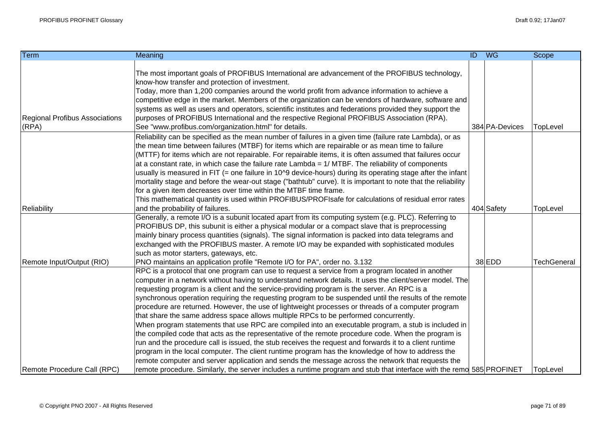| <b>Term</b>                             | Meaning                                                                                                                                                                                                                                                                                                                                                                                                                                                                                                                                                                                                                                                                                                                                                                                                                                                                                                                                                                                                                                                                                                                                                                                                                                                                          | ID WG          | Scope              |
|-----------------------------------------|----------------------------------------------------------------------------------------------------------------------------------------------------------------------------------------------------------------------------------------------------------------------------------------------------------------------------------------------------------------------------------------------------------------------------------------------------------------------------------------------------------------------------------------------------------------------------------------------------------------------------------------------------------------------------------------------------------------------------------------------------------------------------------------------------------------------------------------------------------------------------------------------------------------------------------------------------------------------------------------------------------------------------------------------------------------------------------------------------------------------------------------------------------------------------------------------------------------------------------------------------------------------------------|----------------|--------------------|
| Regional Profibus Associations<br>(RPA) | The most important goals of PROFIBUS International are advancement of the PROFIBUS technology,<br>know-how transfer and protection of investment.<br>Today, more than 1,200 companies around the world profit from advance information to achieve a<br>competitive edge in the market. Members of the organization can be vendors of hardware, software and<br>systems as well as users and operators, scientific institutes and federations provided they support the<br>purposes of PROFIBUS International and the respective Regional PROFIBUS Association (RPA).<br>See "www.profibus.com/organization.html" for details.                                                                                                                                                                                                                                                                                                                                                                                                                                                                                                                                                                                                                                                    | 384 PA-Devices | TopLevel           |
|                                         | Reliability can be specified as the mean number of failures in a given time (failure rate Lambda), or as<br>the mean time between failures (MTBF) for items which are repairable or as mean time to failure<br>(MTTF) for items which are not repairable. For repairable items, it is often assumed that failures occur<br>at a constant rate, in which case the failure rate Lambda = 1/ MTBF. The reliability of components<br>usually is measured in FIT (= one failure in 10^9 device-hours) during its operating stage after the infant<br>mortality stage and before the wear-out stage ("bathtub" curve). It is important to note that the reliability<br>for a given item decreases over time within the MTBF time frame.<br>This mathematical quantity is used within PROFIBUS/PROFIsafe for calculations of residual error rates                                                                                                                                                                                                                                                                                                                                                                                                                                       |                |                    |
| Reliability                             | and the probability of failures.                                                                                                                                                                                                                                                                                                                                                                                                                                                                                                                                                                                                                                                                                                                                                                                                                                                                                                                                                                                                                                                                                                                                                                                                                                                 | 404 Safety     | TopLevel           |
|                                         | Generally, a remote I/O is a subunit located apart from its computing system (e.g. PLC). Referring to<br>PROFIBUS DP, this subunit is either a physical modular or a compact slave that is preprocessing<br>mainly binary process quantities (signals). The signal information is packed into data telegrams and<br>exchanged with the PROFIBUS master. A remote I/O may be expanded with sophisticated modules<br>such as motor starters, gateways, etc.                                                                                                                                                                                                                                                                                                                                                                                                                                                                                                                                                                                                                                                                                                                                                                                                                        |                |                    |
| Remote Input/Output (RIO)               | PNO maintains an application profile "Remote I/O for PA", order no. 3.132                                                                                                                                                                                                                                                                                                                                                                                                                                                                                                                                                                                                                                                                                                                                                                                                                                                                                                                                                                                                                                                                                                                                                                                                        | 38 EDD         | <b>TechGeneral</b> |
| Remote Procedure Call (RPC)             | RPC is a protocol that one program can use to request a service from a program located in another<br>computer in a network without having to understand network details. It uses the client/server model. The<br>requesting program is a client and the service-providing program is the server. An RPC is a<br>synchronous operation requiring the requesting program to be suspended until the results of the remote<br>procedure are returned. However, the use of lightweight processes or threads of a computer program<br>that share the same address space allows multiple RPCs to be performed concurrently.<br>When program statements that use RPC are compiled into an executable program, a stub is included in<br>the compiled code that acts as the representative of the remote procedure code. When the program is<br>run and the procedure call is issued, the stub receives the request and forwards it to a client runtime<br>program in the local computer. The client runtime program has the knowledge of how to address the<br>remote computer and server application and sends the message across the network that requests the<br>remote procedure. Similarly, the server includes a runtime program and stub that interface with the remo 585 PROFINET |                | <b>TopLevel</b>    |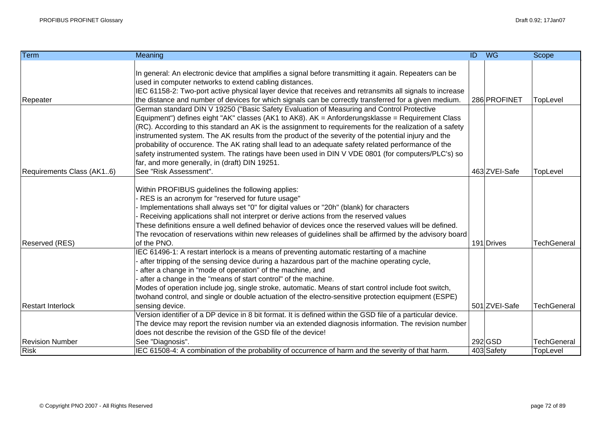| <b>Term</b>               | Meaning                                                                                                                                                                                                       | $\overline{1}$ | <b>WG</b>     | Scope              |
|---------------------------|---------------------------------------------------------------------------------------------------------------------------------------------------------------------------------------------------------------|----------------|---------------|--------------------|
|                           |                                                                                                                                                                                                               |                |               |                    |
|                           | In general: An electronic device that amplifies a signal before transmitting it again. Repeaters can be                                                                                                       |                |               |                    |
|                           | used in computer networks to extend cabling distances.                                                                                                                                                        |                |               |                    |
|                           | IEC 61158-2: Two-port active physical layer device that receives and retransmits all signals to increase                                                                                                      |                |               |                    |
| Repeater                  | the distance and number of devices for which signals can be correctly transferred for a given medium.                                                                                                         |                | 286 PROFINET  | TopLevel           |
|                           | German standard DIN V 19250 ("Basic Safety Evaluation of Measuring and Control Protective                                                                                                                     |                |               |                    |
|                           | Equipment") defines eight "AK" classes (AK1 to AK8). AK = Anforderungsklasse = Requirement Class                                                                                                              |                |               |                    |
|                           | (RC). According to this standard an AK is the assignment to requirements for the realization of a safety                                                                                                      |                |               |                    |
|                           | instrumented system. The AK results from the product of the severity of the potential injury and the                                                                                                          |                |               |                    |
|                           | probability of occurence. The AK rating shall lead to an adequate safety related performance of the                                                                                                           |                |               |                    |
|                           | safety instrumented system. The ratings have been used in DIN V VDE 0801 (for computers/PLC's) so                                                                                                             |                |               |                    |
|                           | far, and more generally, in (draft) DIN 19251.                                                                                                                                                                |                |               |                    |
| Requirements Class (AK16) | See "Risk Assessment".                                                                                                                                                                                        |                | 463 ZVEI-Safe | TopLevel           |
|                           |                                                                                                                                                                                                               |                |               |                    |
|                           | Within PROFIBUS guidelines the following applies:                                                                                                                                                             |                |               |                    |
|                           | RES is an acronym for "reserved for future usage"                                                                                                                                                             |                |               |                    |
|                           | Implementations shall always set "0" for digital values or "20h" (blank) for characters                                                                                                                       |                |               |                    |
|                           | Receiving applications shall not interpret or derive actions from the reserved values                                                                                                                         |                |               |                    |
|                           | These definitions ensure a well defined behavior of devices once the reserved values will be defined.                                                                                                         |                |               |                    |
|                           | The revocation of reservations within new releases of guidelines shall be affirmed by the advisory board                                                                                                      |                |               |                    |
| Reserved (RES)            | of the PNO.                                                                                                                                                                                                   |                | 191 Drives    | <b>TechGeneral</b> |
|                           | IEC 61496-1: A restart interlock is a means of preventing automatic restarting of a machine                                                                                                                   |                |               |                    |
|                           | after tripping of the sensing device during a hazardous part of the machine operating cycle,                                                                                                                  |                |               |                    |
|                           | after a change in "mode of operation" of the machine, and                                                                                                                                                     |                |               |                    |
|                           | after a change in the "means of start control" of the machine.                                                                                                                                                |                |               |                    |
|                           | Modes of operation include jog, single stroke, automatic. Means of start control include foot switch,<br>twohand control, and single or double actuation of the electro-sensitive protection equipment (ESPE) |                |               |                    |
| <b>Restart Interlock</b>  | sensing device.                                                                                                                                                                                               |                | 501 ZVEI-Safe | <b>TechGeneral</b> |
|                           | Version identifier of a DP device in 8 bit format. It is defined within the GSD file of a particular device.                                                                                                  |                |               |                    |
|                           | The device may report the revision number via an extended diagnosis information. The revision number                                                                                                          |                |               |                    |
|                           | does not describe the revision of the GSD file of the device!                                                                                                                                                 |                |               |                    |
| <b>Revision Number</b>    | See "Diagnosis".                                                                                                                                                                                              |                | 292 GSD       | <b>TechGeneral</b> |
| <b>Risk</b>               | IEC 61508-4: A combination of the probability of occurrence of harm and the severity of that harm.                                                                                                            |                | 403 Safety    | TopLevel           |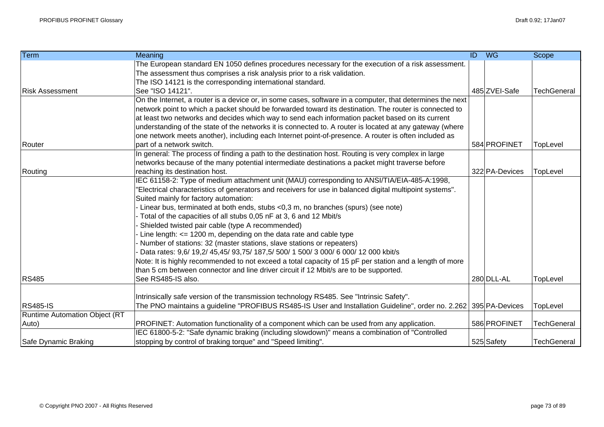| Term                                 | Meaning                                                                                                           | <b>ID</b> WG   | Scope              |
|--------------------------------------|-------------------------------------------------------------------------------------------------------------------|----------------|--------------------|
|                                      | The European standard EN 1050 defines procedures necessary for the execution of a risk assessment.                |                |                    |
|                                      | The assessment thus comprises a risk analysis prior to a risk validation.                                         |                |                    |
|                                      | The ISO 14121 is the corresponding international standard.                                                        |                |                    |
| <b>Risk Assessment</b>               | See "ISO 14121".                                                                                                  | 485 ZVEI-Safe  | <b>TechGeneral</b> |
|                                      | On the Internet, a router is a device or, in some cases, software in a computer, that determines the next         |                |                    |
|                                      | network point to which a packet should be forwarded toward its destination. The router is connected to            |                |                    |
|                                      | at least two networks and decides which way to send each information packet based on its current                  |                |                    |
|                                      | understanding of the state of the networks it is connected to. A router is located at any gateway (where          |                |                    |
|                                      | one network meets another), including each Internet point-of-presence. A router is often included as              |                |                    |
| Router                               | part of a network switch.                                                                                         | 584 PROFINET   | TopLevel           |
|                                      | In general: The process of finding a path to the destination host. Routing is very complex in large               |                |                    |
|                                      | networks because of the many potential intermediate destinations a packet might traverse before                   |                |                    |
| Routing                              | reaching its destination host.                                                                                    | 322 PA-Devices | TopLevel           |
|                                      | IEC 61158-2: Type of medium attachment unit (MAU) corresponding to ANSI/TIA/EIA-485-A:1998,                       |                |                    |
|                                      | "Electrical characteristics of generators and receivers for use in balanced digital multipoint systems".          |                |                    |
|                                      | Suited mainly for factory automation:                                                                             |                |                    |
|                                      | - Linear bus, terminated at both ends, stubs <0,3 m, no branches (spurs) (see note)                               |                |                    |
|                                      | - Total of the capacities of all stubs 0,05 nF at 3, 6 and 12 Mbit/s                                              |                |                    |
|                                      | Shielded twisted pair cable (type A recommended)                                                                  |                |                    |
|                                      | Line length: <= 1200 m, depending on the data rate and cable type                                                 |                |                    |
|                                      | - Number of stations: 32 (master stations, slave stations or repeaters)                                           |                |                    |
|                                      | Data rates: 9,6/ 19,2/ 45,45/ 93,75/ 187,5/ 500/ 1 500/ 3 000/ 6 000/ 12 000 kbit/s                               |                |                    |
|                                      | Note: It is highly recommended to not exceed a total capacity of 15 pF per station and a length of more           |                |                    |
|                                      | than 5 cm between connector and line driver circuit if 12 Mbit/s are to be supported.                             |                |                    |
| <b>RS485</b>                         | See RS485-IS also.                                                                                                | 280 DLL-AL     | TopLevel           |
|                                      | Intrinsically safe version of the transmission technology RS485. See "Intrinsic Safety".                          |                |                    |
| <b>RS485-IS</b>                      | The PNO maintains a guideline "PROFIBUS RS485-IS User and Installation Guideline", order no. 2.262 395 PA-Devices |                | TopLevel           |
| <b>Runtime Automation Object (RT</b> |                                                                                                                   |                |                    |
| Auto)                                | PROFINET: Automation functionality of a component which can be used from any application.                         | 586 PROFINET   | <b>TechGeneral</b> |
|                                      | IEC 61800-5-2: "Safe dynamic braking (including slowdown)" means a combination of "Controlled                     |                |                    |
| Safe Dynamic Braking                 | stopping by control of braking torque" and "Speed limiting".                                                      | 525 Safety     | <b>TechGeneral</b> |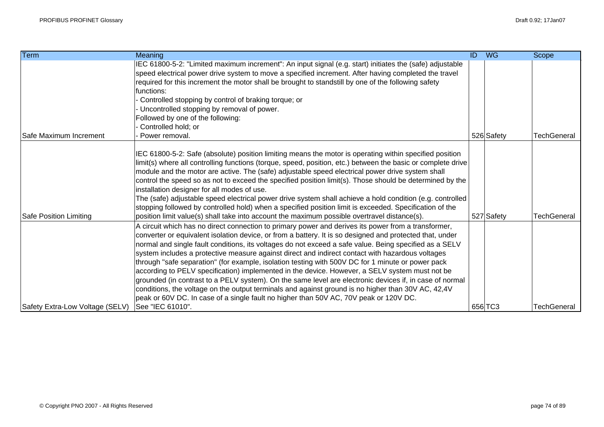| Term                            | Meaning                                                                                                                                                                                                                                                                                                                                                                                                                                                                                                                                                                                                                                                                                                                                                                                                                                                                                                                                        | $\overline{ID}$ | <b>WG</b>  | Scope              |
|---------------------------------|------------------------------------------------------------------------------------------------------------------------------------------------------------------------------------------------------------------------------------------------------------------------------------------------------------------------------------------------------------------------------------------------------------------------------------------------------------------------------------------------------------------------------------------------------------------------------------------------------------------------------------------------------------------------------------------------------------------------------------------------------------------------------------------------------------------------------------------------------------------------------------------------------------------------------------------------|-----------------|------------|--------------------|
| Safe Maximum Increment          | IEC 61800-5-2: "Limited maximum increment": An input signal (e.g. start) initiates the (safe) adjustable<br>speed electrical power drive system to move a specified increment. After having completed the travel<br>required for this increment the motor shall be brought to standstill by one of the following safety<br>functions:<br>Controlled stopping by control of braking torque; or<br>Uncontrolled stopping by removal of power.<br>Followed by one of the following:<br>Controlled hold; or<br>Power removal.                                                                                                                                                                                                                                                                                                                                                                                                                      |                 | 526 Safety | <b>TechGeneral</b> |
| Safe Position Limiting          | IEC 61800-5-2: Safe (absolute) position limiting means the motor is operating within specified position<br>limit(s) where all controlling functions (torque, speed, position, etc.) between the basic or complete drive<br>module and the motor are active. The (safe) adjustable speed electrical power drive system shall<br>control the speed so as not to exceed the specified position limit(s). Those should be determined by the<br>installation designer for all modes of use.<br>The (safe) adjustable speed electrical power drive system shall achieve a hold condition (e.g. controlled<br>stopping followed by controlled hold) when a specified position limit is exceeded. Specification of the<br>position limit value(s) shall take into account the maximum possible overtravel distance(s).                                                                                                                                 |                 | 527 Safety | <b>TechGeneral</b> |
|                                 | A circuit which has no direct connection to primary power and derives its power from a transformer,<br>converter or equivalent isolation device, or from a battery. It is so designed and protected that, under<br>normal and single fault conditions, its voltages do not exceed a safe value. Being specified as a SELV<br>system includes a protective measure against direct and indirect contact with hazardous voltages<br>through "safe separation" (for example, isolation testing with 500V DC for 1 minute or power pack<br>according to PELV specification) implemented in the device. However, a SELV system must not be<br>grounded (in contrast to a PELV system). On the same level are electronic devices if, in case of normal<br>conditions, the voltage on the output terminals and against ground is no higher than 30V AC, 42,4V<br>peak or 60V DC. In case of a single fault no higher than 50V AC, 70V peak or 120V DC. |                 |            |                    |
| Safety Extra-Low Voltage (SELV) | See "IEC 61010".                                                                                                                                                                                                                                                                                                                                                                                                                                                                                                                                                                                                                                                                                                                                                                                                                                                                                                                               |                 | 656 TC3    | <b>TechGeneral</b> |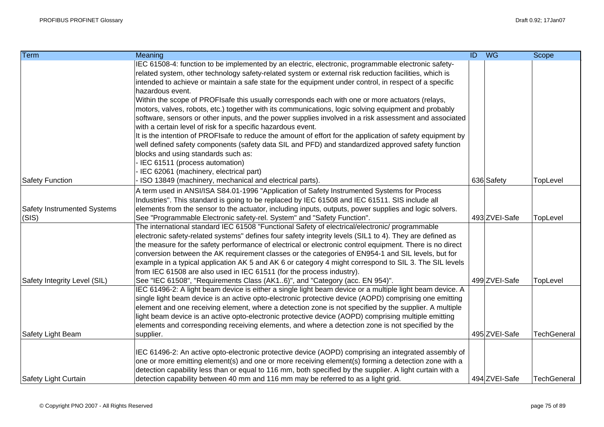| <b>Term</b>                        | Meaning                                                                                                    | <b>ID</b> WG |               | Scope              |
|------------------------------------|------------------------------------------------------------------------------------------------------------|--------------|---------------|--------------------|
|                                    | IEC 61508-4: function to be implemented by an electric, electronic, programmable electronic safety-        |              |               |                    |
|                                    | related system, other technology safety-related system or external risk reduction facilities, which is     |              |               |                    |
|                                    | intended to achieve or maintain a safe state for the equipment under control, in respect of a specific     |              |               |                    |
|                                    | hazardous event.                                                                                           |              |               |                    |
|                                    | Within the scope of PROFIsafe this usually corresponds each with one or more actuators (relays,            |              |               |                    |
|                                    | motors, valves, robots, etc.) together with its communications, logic solving equipment and probably       |              |               |                    |
|                                    | software, sensors or other inputs, and the power supplies involved in a risk assessment and associated     |              |               |                    |
|                                    | with a certain level of risk for a specific hazardous event.                                               |              |               |                    |
|                                    | It is the intention of PROFIsafe to reduce the amount of effort for the application of safety equipment by |              |               |                    |
|                                    | well defined safety components (safety data SIL and PFD) and standardized approved safety function         |              |               |                    |
|                                    | blocks and using standards such as:                                                                        |              |               |                    |
|                                    | - IEC 61511 (process automation)                                                                           |              |               |                    |
|                                    | - IEC 62061 (machinery, electrical part)                                                                   |              |               |                    |
| Safety Function                    | ISO 13849 (machinery, mechanical and electrical parts).                                                    |              | 636 Safety    | TopLevel           |
|                                    | A term used in ANSI/ISA S84.01-1996 "Application of Safety Instrumented Systems for Process                |              |               |                    |
|                                    | Industries". This standard is going to be replaced by IEC 61508 and IEC 61511. SIS include all             |              |               |                    |
| <b>Safety Instrumented Systems</b> | elements from the sensor to the actuator, including inputs, outputs, power supplies and logic solvers.     |              |               |                    |
| (SIS)                              | See "Programmable Electronic safety-rel. System" and "Safety Function".                                    |              | 493 ZVEI-Safe | <b>TopLevel</b>    |
|                                    | The international standard IEC 61508 "Functional Safety of electrical/electronic/programmable              |              |               |                    |
|                                    | electronic safety-related systems" defines four safety integrity levels (SIL1 to 4). They are defined as   |              |               |                    |
|                                    | the measure for the safety performance of electrical or electronic control equipment. There is no direct   |              |               |                    |
|                                    | conversion between the AK requirement classes or the categories of EN954-1 and SIL levels, but for         |              |               |                    |
|                                    | example in a typical application AK 5 and AK 6 or category 4 might correspond to SIL 3. The SIL levels     |              |               |                    |
|                                    | from IEC 61508 are also used in IEC 61511 (for the process industry).                                      |              |               |                    |
| Safety Integrity Level (SIL)       | See "IEC 61508", "Requirements Class (AK16)", and "Category (acc. EN 954)".                                |              | 499 ZVEI-Safe | TopLevel           |
|                                    | IEC 61496-2: A light beam device is either a single light beam device or a multiple light beam device. A   |              |               |                    |
|                                    | single light beam device is an active opto-electronic protective device (AOPD) comprising one emitting     |              |               |                    |
|                                    | element and one receiving element, where a detection zone is not specified by the supplier. A multiple     |              |               |                    |
|                                    | light beam device is an active opto-electronic protective device (AOPD) comprising multiple emitting       |              |               |                    |
|                                    | elements and corresponding receiving elements, and where a detection zone is not specified by the          |              |               |                    |
| Safety Light Beam                  | supplier.                                                                                                  |              | 495 ZVEI-Safe | TechGeneral        |
|                                    |                                                                                                            |              |               |                    |
|                                    | IEC 61496-2: An active opto-electronic protective device (AOPD) comprising an integrated assembly of       |              |               |                    |
|                                    | one or more emitting element(s) and one or more receiving element(s) forming a detection zone with a       |              |               |                    |
|                                    | detection capability less than or equal to 116 mm, both specified by the supplier. A light curtain with a  |              |               |                    |
| Safety Light Curtain               | detection capability between 40 mm and 116 mm may be referred to as a light grid.                          |              | 494 ZVEI-Safe | <b>TechGeneral</b> |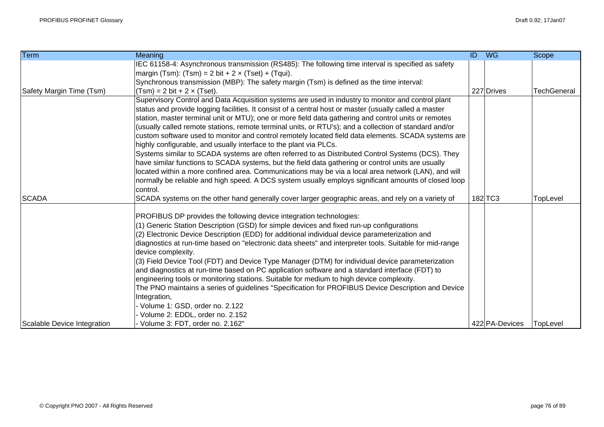| Term                        | Meaning                                                                                                 | ID | $W$ G          | Scope              |
|-----------------------------|---------------------------------------------------------------------------------------------------------|----|----------------|--------------------|
|                             | IEC 61158-4: Asynchronous transmission (RS485): The following time interval is specified as safety      |    |                |                    |
|                             | margin (Tsm): $(Tsm) = 2 bit + 2 \times (Tset) + (Tqui)$ .                                              |    |                |                    |
|                             | Synchronous transmission (MBP): The safety margin (Tsm) is defined as the time interval:                |    |                |                    |
| Safety Margin Time (Tsm)    | $(Tsm) = 2 bit + 2 \times (Tset).$                                                                      |    | 227 Drives     | <b>TechGeneral</b> |
|                             | Supervisory Control and Data Acquisition systems are used in industry to monitor and control plant      |    |                |                    |
|                             | status and provide logging facilities. It consist of a central host or master (usually called a master  |    |                |                    |
|                             | station, master terminal unit or MTU); one or more field data gathering and control units or remotes    |    |                |                    |
|                             | (usually called remote stations, remote terminal units, or RTU's); and a collection of standard and/or  |    |                |                    |
|                             | custom software used to monitor and control remotely located field data elements. SCADA systems are     |    |                |                    |
|                             | highly configurable, and usually interface to the plant via PLCs.                                       |    |                |                    |
|                             | Systems similar to SCADA systems are often referred to as Distributed Control Systems (DCS). They       |    |                |                    |
|                             | have similar functions to SCADA systems, but the field data gathering or control units are usually      |    |                |                    |
|                             | located within a more confined area. Communications may be via a local area network (LAN), and will     |    |                |                    |
|                             | normally be reliable and high speed. A DCS system usually employs significant amounts of closed loop    |    |                |                    |
|                             | control.                                                                                                |    |                |                    |
| <b>SCADA</b>                | SCADA systems on the other hand generally cover larger geographic areas, and rely on a variety of       |    | $182$ TC3      | TopLevel           |
|                             | PROFIBUS DP provides the following device integration technologies:                                     |    |                |                    |
|                             | (1) Generic Station Description (GSD) for simple devices and fixed run-up configurations                |    |                |                    |
|                             | (2) Electronic Device Description (EDD) for additional individual device parameterization and           |    |                |                    |
|                             | diagnostics at run-time based on "electronic data sheets" and interpreter tools. Suitable for mid-range |    |                |                    |
|                             | device complexity.                                                                                      |    |                |                    |
|                             | (3) Field Device Tool (FDT) and Device Type Manager (DTM) for individual device parameterization        |    |                |                    |
|                             | and diagnostics at run-time based on PC application software and a standard interface (FDT) to          |    |                |                    |
|                             | engineering tools or monitoring stations. Suitable for medium to high device complexity.                |    |                |                    |
|                             | The PNO maintains a series of guidelines "Specification for PROFIBUS Device Description and Device      |    |                |                    |
|                             | Integration,                                                                                            |    |                |                    |
|                             | Volume 1: GSD, order no. 2.122                                                                          |    |                |                    |
|                             | Volume 2: EDDL, order no. 2.152                                                                         |    |                |                    |
| Scalable Device Integration | Volume 3: FDT, order no. 2.162"                                                                         |    | 422 PA-Devices | TopLevel           |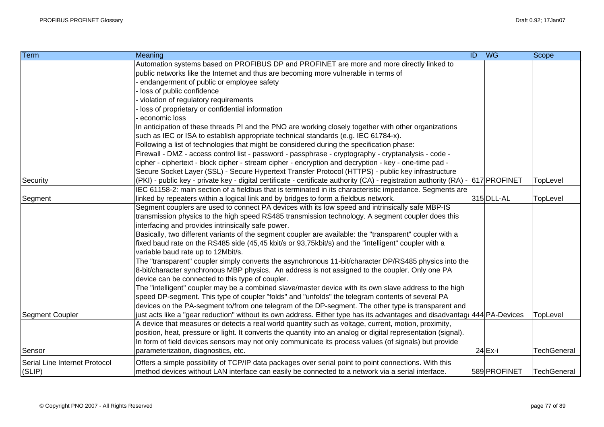| Term                          | Meaning                                                                                                                   | ID WG        | Scope              |
|-------------------------------|---------------------------------------------------------------------------------------------------------------------------|--------------|--------------------|
|                               | Automation systems based on PROFIBUS DP and PROFINET are more and more directly linked to                                 |              |                    |
|                               | public networks like the Internet and thus are becoming more vulnerable in terms of                                       |              |                    |
|                               | endangerment of public or employee safety                                                                                 |              |                    |
|                               | loss of public confidence                                                                                                 |              |                    |
|                               | violation of regulatory requirements                                                                                      |              |                    |
|                               | loss of proprietary or confidential information                                                                           |              |                    |
|                               | economic loss                                                                                                             |              |                    |
|                               | In anticipation of these threads PI and the PNO are working closely together with other organizations                     |              |                    |
|                               | such as IEC or ISA to establish appropriate technical standards (e.g. IEC 61784-x).                                       |              |                    |
|                               | Following a list of technologies that might be considered during the specification phase:                                 |              |                    |
|                               | Firewall - DMZ - access control list - password - passphrase - cryptography - cryptanalysis - code -                      |              |                    |
|                               | cipher - ciphertext - block cipher - stream cipher - encryption and decryption - key - one-time pad -                     |              |                    |
|                               | Secure Socket Layer (SSL) - Secure Hypertext Transfer Protocol (HTTPS) - public key infrastructure                        |              |                    |
| Security                      | (PKI) - public key - private key - digital certificate - certificate authority (CA) - registration authority (RA) -       | 617 PROFINET | TopLevel           |
|                               | IEC 61158-2: main section of a fieldbus that is terminated in its characteristic impedance. Segments are                  |              |                    |
| Segment                       | linked by repeaters within a logical link and by bridges to form a fieldbus network.                                      | 315 DLL-AL   | TopLevel           |
|                               | Segment couplers are used to connect PA devices with its low speed and intrinsically safe MBP-IS                          |              |                    |
|                               | transmission physics to the high speed RS485 transmission technology. A segment coupler does this                         |              |                    |
|                               | interfacing and provides intrinsically safe power.                                                                        |              |                    |
|                               | Basically, two different variants of the segment coupler are available: the "transparent" coupler with a                  |              |                    |
|                               | fixed baud rate on the RS485 side (45,45 kbit/s or 93,75kbit/s) and the "intelligent" coupler with a                      |              |                    |
|                               | variable baud rate up to 12Mbit/s.                                                                                        |              |                    |
|                               | The "transparent" coupler simply converts the asynchronous 11-bit/character DP/RS485 physics into the                     |              |                    |
|                               | 8-bit/character synchronous MBP physics. An address is not assigned to the coupler. Only one PA                           |              |                    |
|                               | device can be connected to this type of coupler.                                                                          |              |                    |
|                               | The "intelligent" coupler may be a combined slave/master device with its own slave address to the high                    |              |                    |
|                               | speed DP-segment. This type of coupler "folds" and "unfolds" the telegram contents of several PA                          |              |                    |
|                               | devices on the PA-segment to/from one telegram of the DP-segment. The other type is transparent and                       |              |                    |
| Segment Coupler               | just acts like a "gear reduction" without its own address. Either type has its advantages and disadvantage 444 PA-Devices |              | TopLevel           |
|                               | A device that measures or detects a real world quantity such as voltage, current, motion, proximity,                      |              |                    |
|                               | position, heat, pressure or light. It converts the quantity into an analog or digital representation (signal).            |              |                    |
|                               | In form of field devices sensors may not only communicate its process values (of signals) but provide                     |              |                    |
| Sensor                        | parameterization, diagnostics, etc.                                                                                       | $24$ Ex-i    | <b>TechGeneral</b> |
| Serial Line Internet Protocol | Offers a simple possibility of TCP/IP data packages over serial point to point connections. With this                     |              |                    |
| (SLIP)                        | method devices without LAN interface can easily be connected to a network via a serial interface.                         | 589 PROFINET | <b>TechGeneral</b> |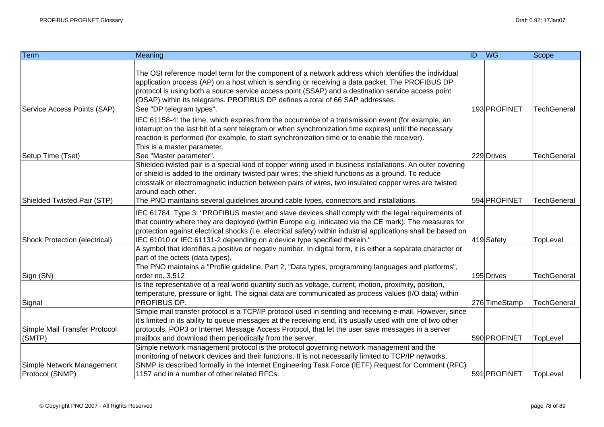| Term                                         | Meaning                                                                                                                                                                                                                                                                                                                                                                                                                                   | <b>ID WG</b>  | Scope              |
|----------------------------------------------|-------------------------------------------------------------------------------------------------------------------------------------------------------------------------------------------------------------------------------------------------------------------------------------------------------------------------------------------------------------------------------------------------------------------------------------------|---------------|--------------------|
| Service Access Points (SAP)                  | The OSI reference model term for the component of a network address which identifies the individual<br>application process (AP) on a host which is sending or receiving a data packet. The PROFIBUS DP<br>protocol is using both a source service access point (SSAP) and a destination service access point<br>(DSAP) within its telegrams. PROFIBUS DP defines a total of 66 SAP addresses.<br>See "DP telegram types".                 | 193 PROFINET  | <b>TechGeneral</b> |
|                                              | IEC 61158-4: the time, which expires from the occurrence of a transmission event (for example, an<br>interrupt on the last bit of a sent telegram or when synchronization time expires) until the necessary<br>reaction is performed (for example, to start synchronization time or to enable the receiver).<br>This is a master parameter.                                                                                               |               |                    |
| Setup Time (Tset)                            | See "Master parameter".                                                                                                                                                                                                                                                                                                                                                                                                                   | 229 Drives    | <b>TechGeneral</b> |
| Shielded Twisted Pair (STP)                  | Shielded twisted pair is a special kind of copper wiring used in business installations. An outer covering<br>or shield is added to the ordinary twisted pair wires; the shield functions as a ground. To reduce<br>crosstalk or electromagnetic induction between pairs of wires, two insulated copper wires are twisted<br>around each other.<br>The PNO maintains several guidelines around cable types, connectors and installations. | 594 PROFINET  | <b>TechGeneral</b> |
| Shock Protection (electrical)                | IEC 61784, Type 3: "PROFIBUS master and slave devices shall comply with the legal requirements of<br>that country where they are deployed (within Europe e.g. indicated via the CE mark). The measures for<br>protection against electrical shocks (i.e. electrical safety) within industrial applications shall be based on<br>IEC 61010 or IEC 61131-2 depending on a device type specified therein."                                   | 419 Safety    | TopLevel           |
| Sign (SN)                                    | A symbol that identifies a positive or negativ number. In digital form, it is either a separate character or<br>part of the octets (data types).<br>The PNO maintains a "Profile guideline, Part 2, "Data types, programming languages and platforms",<br>order no. 3.512                                                                                                                                                                 | 195 Drives    | <b>TechGeneral</b> |
| Signal                                       | Is the representative of a real world quantity such as voltage, current, motion, proximity, position,<br>temperature, pressure or light. The signal data are communicated as process values (I/O data) within<br>PROFIBUS DP.                                                                                                                                                                                                             | 276 TimeStamp | <b>TechGeneral</b> |
| Simple Mail Transfer Protocol<br>(SMTP)      | Simple mail transfer protocol is a TCP/IP protocol used in sending and receiving e-mail. However, since<br>it's limited in its ability to queue messages at the receiving end, it's usually used with one of two other<br>protocols, POP3 or Internet Message Access Protocol, that let the user save messages in a server<br>mailbox and download them periodically from the server.                                                     | 590 PROFINET  | TopLevel           |
| Simple Network Management<br>Protocol (SNMP) | Simple network management protocol is the protocol governing network management and the<br>monitoring of network devices and their functions. It is not necessarily limited to TCP/IP networks.<br>SNMP is described formally in the Internet Engineering Task Force (IETF) Request for Comment (RFC)<br>1157 and in a number of other related RFCs.                                                                                      | 591 PROFINET  | TopLevel           |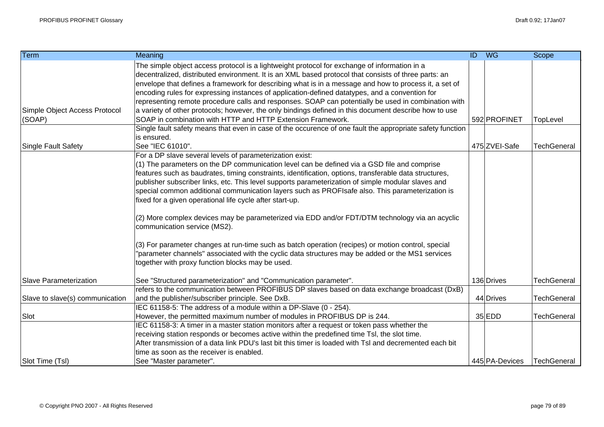| <b>Term</b>                     | Meaning                                                                                                   | ID WG          | Scope              |
|---------------------------------|-----------------------------------------------------------------------------------------------------------|----------------|--------------------|
|                                 | The simple object access protocol is a lightweight protocol for exchange of information in a              |                |                    |
|                                 | decentralized, distributed environment. It is an XML based protocol that consists of three parts: an      |                |                    |
|                                 | envelope that defines a framework for describing what is in a message and how to process it, a set of     |                |                    |
|                                 | encoding rules for expressing instances of application-defined datatypes, and a convention for            |                |                    |
|                                 | representing remote procedure calls and responses. SOAP can potentially be used in combination with       |                |                    |
| Simple Object Access Protocol   | a variety of other protocols; however, the only bindings defined in this document describe how to use     |                |                    |
| (SOAP)                          | SOAP in combination with HTTP and HTTP Extension Framework.                                               | 592 PROFINET   | TopLevel           |
|                                 | Single fault safety means that even in case of the occurence of one fault the appropriate safety function |                |                    |
|                                 | is ensured.                                                                                               |                |                    |
| <b>Single Fault Safety</b>      | See "IEC 61010".                                                                                          | 475 ZVEI-Safe  | <b>TechGeneral</b> |
|                                 | For a DP slave several levels of parameterization exist:                                                  |                |                    |
|                                 | (1) The parameters on the DP communication level can be defined via a GSD file and comprise               |                |                    |
|                                 | features such as baudrates, timing constraints, identification, options, transferable data structures,    |                |                    |
|                                 | publisher subscriber links, etc. This level supports parameterization of simple modular slaves and        |                |                    |
|                                 | special common additional communication layers such as PROFIsafe also. This parameterization is           |                |                    |
|                                 | fixed for a given operational life cycle after start-up.                                                  |                |                    |
|                                 | (2) More complex devices may be parameterized via EDD and/or FDT/DTM technology via an acyclic            |                |                    |
|                                 | communication service (MS2).                                                                              |                |                    |
|                                 | (3) For parameter changes at run-time such as batch operation (recipes) or motion control, special        |                |                    |
|                                 | "parameter channels" associated with the cyclic data structures may be added or the MS1 services          |                |                    |
|                                 | together with proxy function blocks may be used.                                                          |                |                    |
| <b>Slave Parameterization</b>   | See "Structured parameterization" and "Communication parameter".                                          | 136 Drives     | <b>TechGeneral</b> |
|                                 | refers to the communication between PROFIBUS DP slaves based on data exchange broadcast (DxB)             |                |                    |
| Slave to slave(s) communication | and the publisher/subscriber principle. See DxB.                                                          | 44 Drives      | <b>TechGeneral</b> |
|                                 | IEC 61158-5: The address of a module within a DP-Slave (0 - 254).                                         |                |                    |
| Slot                            | However, the permitted maximum number of modules in PROFIBUS DP is 244.                                   | $35$ EDD       | <b>TechGeneral</b> |
|                                 | IEC 61158-3: A timer in a master station monitors after a request or token pass whether the               |                |                    |
|                                 | receiving station responds or becomes active within the predefined time Tsl, the slot time.               |                |                    |
|                                 | After transmission of a data link PDU's last bit this timer is loaded with TsI and decremented each bit   |                |                    |
|                                 | time as soon as the receiver is enabled.                                                                  |                |                    |
| Slot Time (Tsl)                 | See "Master parameter".                                                                                   | 445 PA-Devices | <b>TechGeneral</b> |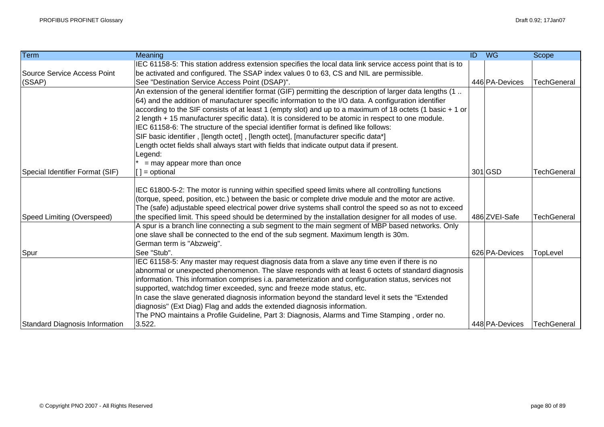| <b>Term</b>                           | Meaning                                                                                                                                                                                                                                                                                                                                                                                                                                                                                                                                                                                                                                                                                                                                                      | $\overline{D}$ | WG             | Scope              |
|---------------------------------------|--------------------------------------------------------------------------------------------------------------------------------------------------------------------------------------------------------------------------------------------------------------------------------------------------------------------------------------------------------------------------------------------------------------------------------------------------------------------------------------------------------------------------------------------------------------------------------------------------------------------------------------------------------------------------------------------------------------------------------------------------------------|----------------|----------------|--------------------|
| Source Service Access Point<br>(SSAP) | IEC 61158-5: This station address extension specifies the local data link service access point that is to<br>be activated and configured. The SSAP index values 0 to 63, CS and NIL are permissible.<br>See "Destination Service Access Point (DSAP)".                                                                                                                                                                                                                                                                                                                                                                                                                                                                                                       |                | 446 PA-Devices | <b>TechGeneral</b> |
|                                       | An extension of the general identifier format (GIF) permitting the description of larger data lengths (1.<br>64) and the addition of manufacturer specific information to the I/O data. A configuration identifier<br>according to the SIF consists of at least 1 (empty slot) and up to a maximum of 18 octets (1 basic + 1 or<br>2 length + 15 manufacturer specific data). It is considered to be atomic in respect to one module.<br>IEC 61158-6: The structure of the special identifier format is defined like follows:<br>SIF basic identifier, [length octet], [length octet], [manufacturer specific data*]<br>Length octet fields shall always start with fields that indicate output data if present.<br>Legend:<br>$=$ may appear more than once |                |                |                    |
| Special Identifier Format (SIF)       | $\lceil \cdot \rceil$ = optional                                                                                                                                                                                                                                                                                                                                                                                                                                                                                                                                                                                                                                                                                                                             |                | 301 GSD        | <b>TechGeneral</b> |
| Speed Limiting (Overspeed)            | IEC 61800-5-2: The motor is running within specified speed limits where all controlling functions<br>(torque, speed, position, etc.) between the basic or complete drive module and the motor are active.<br>The (safe) adjustable speed electrical power drive systems shall control the speed so as not to exceed<br>the specified limit. This speed should be determined by the installation designer for all modes of use.                                                                                                                                                                                                                                                                                                                               |                | 486 ZVEI-Safe  | <b>TechGeneral</b> |
|                                       | A spur is a branch line connecting a sub segment to the main segment of MBP based networks. Only<br>one slave shall be connected to the end of the sub segment. Maximum length is 30m.<br>German term is "Abzweig".                                                                                                                                                                                                                                                                                                                                                                                                                                                                                                                                          |                |                |                    |
| Spur                                  | See "Stub".                                                                                                                                                                                                                                                                                                                                                                                                                                                                                                                                                                                                                                                                                                                                                  |                | 626 PA-Devices | TopLevel           |
|                                       | IEC 61158-5: Any master may request diagnosis data from a slave any time even if there is no<br>abnormal or unexpected phenomenon. The slave responds with at least 6 octets of standard diagnosis<br>information. This information comprises i.a. parameterization and configuration status, services not<br>supported, watchdog timer exceeded, sync and freeze mode status, etc.<br>In case the slave generated diagnosis information beyond the standard level it sets the "Extended"<br>diagnosis" (Ext Diag) Flag and adds the extended diagnosis information.<br>The PNO maintains a Profile Guideline, Part 3: Diagnosis, Alarms and Time Stamping, order no.                                                                                        |                |                |                    |
| Standard Diagnosis Information        | 3.522.                                                                                                                                                                                                                                                                                                                                                                                                                                                                                                                                                                                                                                                                                                                                                       |                | 448 PA-Devices | <b>TechGeneral</b> |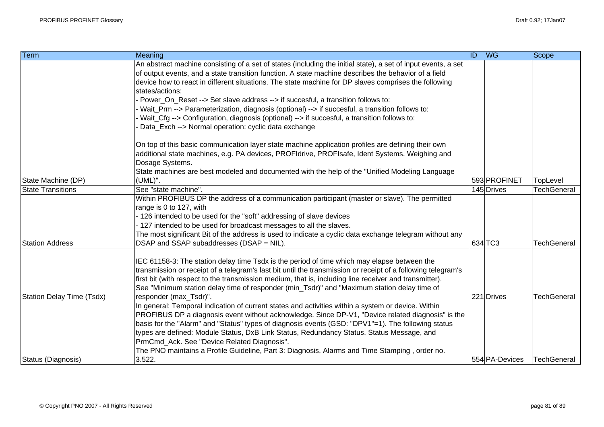| Term                             | Meaning                                                                                                       | ID WG |                | Scope              |
|----------------------------------|---------------------------------------------------------------------------------------------------------------|-------|----------------|--------------------|
|                                  | An abstract machine consisting of a set of states (including the initial state), a set of input events, a set |       |                |                    |
|                                  | of output events, and a state transition function. A state machine describes the behavior of a field          |       |                |                    |
|                                  | device how to react in different situations. The state machine for DP slaves comprises the following          |       |                |                    |
|                                  | states/actions:                                                                                               |       |                |                    |
|                                  | - Power_On_Reset --> Set slave address --> if succesful, a transition follows to:                             |       |                |                    |
|                                  | - Wait_Prm --> Parameterization, diagnosis (optional) --> if succesful, a transition follows to:              |       |                |                    |
|                                  | - Wait_Cfg --> Configuration, diagnosis (optional) --> if succesful, a transition follows to:                 |       |                |                    |
|                                  | Data_Exch --> Normal operation: cyclic data exchange                                                          |       |                |                    |
|                                  | On top of this basic communication layer state machine application profiles are defining their own            |       |                |                    |
|                                  | additional state machines, e.g. PA devices, PROFIdrive, PROFIsafe, Ident Systems, Weighing and                |       |                |                    |
|                                  | Dosage Systems.                                                                                               |       |                |                    |
|                                  | State machines are best modeled and documented with the help of the "Unified Modeling Language"               |       |                |                    |
| State Machine (DP)               | (UML)".                                                                                                       |       | 593 PROFINET   | TopLevel           |
| <b>State Transitions</b>         | See "state machine".                                                                                          |       | 145 Drives     | <b>TechGeneral</b> |
|                                  | Within PROFIBUS DP the address of a communication participant (master or slave). The permitted                |       |                |                    |
|                                  | range is 0 to 127, with                                                                                       |       |                |                    |
|                                  | - 126 intended to be used for the "soft" addressing of slave devices                                          |       |                |                    |
|                                  | - 127 intended to be used for broadcast messages to all the slaves.                                           |       |                |                    |
|                                  | The most significant Bit of the address is used to indicate a cyclic data exchange telegram without any       |       |                |                    |
| <b>Station Address</b>           | DSAP and SSAP subaddresses (DSAP = NIL).                                                                      |       | 634 TC3        | <b>TechGeneral</b> |
|                                  | IEC 61158-3: The station delay time Tsdx is the period of time which may elapse between the                   |       |                |                    |
|                                  | transmission or receipt of a telegram's last bit until the transmission or receipt of a following telegram's  |       |                |                    |
|                                  | first bit (with respect to the transmission medium, that is, including line receiver and transmitter).        |       |                |                    |
|                                  | See "Minimum station delay time of responder (min_Tsdr)" and "Maximum station delay time of                   |       |                |                    |
| <b>Station Delay Time (Tsdx)</b> | responder (max_Tsdr)".                                                                                        |       | 221 Drives     | <b>TechGeneral</b> |
|                                  | In general: Temporal indication of current states and activities within a system or device. Within            |       |                |                    |
|                                  | PROFIBUS DP a diagnosis event without acknowledge. Since DP-V1, "Device related diagnosis" is the             |       |                |                    |
|                                  | basis for the "Alarm" and "Status" types of diagnosis events (GSD: "DPV1"=1). The following status            |       |                |                    |
|                                  | types are defined: Module Status, DxB Link Status, Redundancy Status, Status Message, and                     |       |                |                    |
|                                  | PrmCmd Ack. See "Device Related Diagnosis".                                                                   |       |                |                    |
|                                  | The PNO maintains a Profile Guideline, Part 3: Diagnosis, Alarms and Time Stamping, order no.                 |       |                |                    |
| Status (Diagnosis)               | 3.522.                                                                                                        |       | 554 PA-Devices | TechGeneral        |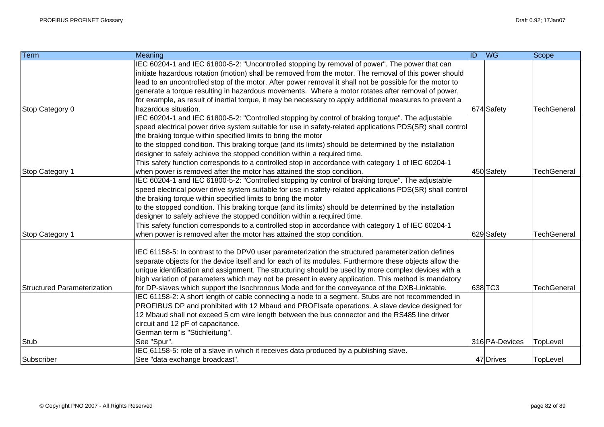| <b>Term</b>                 | Meaning                                                                                                   | $\overline{ID}$ | <b>WG</b>      | Scope              |
|-----------------------------|-----------------------------------------------------------------------------------------------------------|-----------------|----------------|--------------------|
|                             | IEC 60204-1 and IEC 61800-5-2: "Uncontrolled stopping by removal of power". The power that can            |                 |                |                    |
|                             | initiate hazardous rotation (motion) shall be removed from the motor. The removal of this power should    |                 |                |                    |
|                             | lead to an uncontrolled stop of the motor. After power removal it shall not be possible for the motor to  |                 |                |                    |
|                             | generate a torque resulting in hazardous movements. Where a motor rotates after removal of power,         |                 |                |                    |
|                             | for example, as result of inertial torque, it may be necessary to apply additional measures to prevent a  |                 |                |                    |
| Stop Category 0             | hazardous situation.                                                                                      |                 | 674 Safety     | <b>TechGeneral</b> |
|                             | IEC 60204-1 and IEC 61800-5-2: "Controlled stopping by control of braking torque". The adjustable         |                 |                |                    |
|                             | speed electrical power drive system suitable for use in safety-related applications PDS(SR) shall control |                 |                |                    |
|                             | the braking torque within specified limits to bring the motor                                             |                 |                |                    |
|                             | to the stopped condition. This braking torque (and its limits) should be determined by the installation   |                 |                |                    |
|                             | designer to safely achieve the stopped condition within a required time.                                  |                 |                |                    |
|                             | This safety function corresponds to a controlled stop in accordance with category 1 of IEC 60204-1        |                 |                |                    |
| Stop Category 1             | when power is removed after the motor has attained the stop condition.                                    |                 | 450 Safety     | <b>TechGeneral</b> |
|                             | IEC 60204-1 and IEC 61800-5-2: "Controlled stopping by control of braking torque". The adjustable         |                 |                |                    |
|                             | speed electrical power drive system suitable for use in safety-related applications PDS(SR) shall control |                 |                |                    |
|                             | the braking torque within specified limits to bring the motor                                             |                 |                |                    |
|                             | to the stopped condition. This braking torque (and its limits) should be determined by the installation   |                 |                |                    |
|                             | designer to safely achieve the stopped condition within a required time.                                  |                 |                |                    |
|                             | This safety function corresponds to a controlled stop in accordance with category 1 of IEC 60204-1        |                 |                |                    |
| Stop Category 1             | when power is removed after the motor has attained the stop condition.                                    |                 | 629 Safety     | <b>TechGeneral</b> |
|                             | IEC 61158-5: In contrast to the DPV0 user parameterization the structured parameterization defines        |                 |                |                    |
|                             | separate objects for the device itself and for each of its modules. Furthermore these objects allow the   |                 |                |                    |
|                             | unique identification and assignment. The structuring should be used by more complex devices with a       |                 |                |                    |
|                             | high variation of parameters which may not be present in every application. This method is mandatory      |                 |                |                    |
| Structured Parameterization | for DP-slaves which support the Isochronous Mode and for the conveyance of the DXB-Linktable.             |                 | 638 TC3        | TechGeneral        |
|                             | IEC 61158-2: A short length of cable connecting a node to a segment. Stubs are not recommended in         |                 |                |                    |
|                             | PROFIBUS DP and prohibited with 12 Mbaud and PROFIsafe operations. A slave device designed for            |                 |                |                    |
|                             | 12 Mbaud shall not exceed 5 cm wire length between the bus connector and the RS485 line driver            |                 |                |                    |
|                             | circuit and 12 pF of capacitance.                                                                         |                 |                |                    |
|                             | German term is "Stichleitung".                                                                            |                 |                |                    |
| <b>Stub</b>                 | See "Spur".                                                                                               |                 | 316 PA-Devices | TopLevel           |
|                             | IEC 61158-5: role of a slave in which it receives data produced by a publishing slave.                    |                 |                |                    |
| Subscriber                  | See "data exchange broadcast".                                                                            |                 | 47 Drives      | TopLevel           |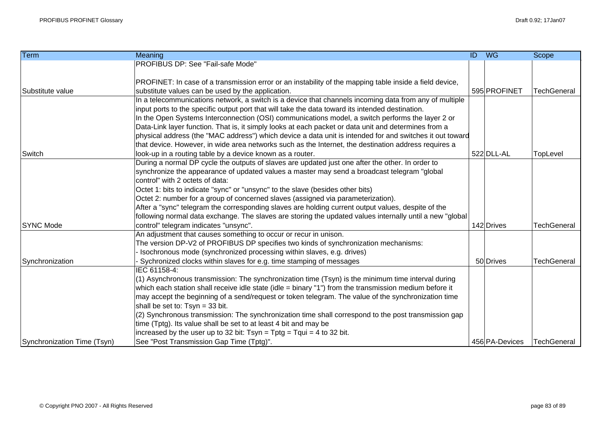| <b>Term</b>                 | Meaning                                                                                                                                  | ID | <b>WG</b>      | Scope              |
|-----------------------------|------------------------------------------------------------------------------------------------------------------------------------------|----|----------------|--------------------|
|                             | PROFIBUS DP: See "Fail-safe Mode"                                                                                                        |    |                |                    |
|                             |                                                                                                                                          |    |                |                    |
|                             | PROFINET: In case of a transmission error or an instability of the mapping table inside a field device,                                  |    |                |                    |
| Substitute value            | substitute values can be used by the application.                                                                                        |    | 595 PROFINET   | TechGeneral        |
|                             | In a telecommunications network, a switch is a device that channels incoming data from any of multiple                                   |    |                |                    |
|                             | input ports to the specific output port that will take the data toward its intended destination.                                         |    |                |                    |
|                             | In the Open Systems Interconnection (OSI) communications model, a switch performs the layer 2 or                                         |    |                |                    |
|                             | Data-Link layer function. That is, it simply looks at each packet or data unit and determines from a                                     |    |                |                    |
|                             | physical address (the "MAC address") which device a data unit is intended for and switches it out toward                                 |    |                |                    |
|                             | that device. However, in wide area networks such as the Internet, the destination address requires a                                     |    |                |                    |
| Switch                      | look-up in a routing table by a device known as a router.                                                                                |    | 522 DLL-AL     | TopLevel           |
|                             | During a normal DP cycle the outputs of slaves are updated just one after the other. In order to                                         |    |                |                    |
|                             | synchronize the appearance of updated values a master may send a broadcast telegram "global                                              |    |                |                    |
|                             | control" with 2 octets of data:                                                                                                          |    |                |                    |
|                             | Octet 1: bits to indicate "sync" or "unsync" to the slave (besides other bits)                                                           |    |                |                    |
|                             | Octet 2: number for a group of concerned slaves (assigned via parameterization).                                                         |    |                |                    |
|                             | After a "sync" telegram the corresponding slaves are holding current output values, despite of the                                       |    |                |                    |
|                             | following normal data exchange. The slaves are storing the updated values internally until a new "global                                 |    |                |                    |
| <b>SYNC Mode</b>            | control" telegram indicates "unsync".                                                                                                    |    | 142 Drives     | TechGeneral        |
|                             | An adjustment that causes something to occur or recur in unison.                                                                         |    |                |                    |
|                             | The version DP-V2 of PROFIBUS DP specifies two kinds of synchronization mechanisms:                                                      |    |                |                    |
|                             | Isochronous mode (synchronized processing within slaves, e.g. drives)                                                                    |    |                |                    |
| Synchronization             | Sychronized clocks within slaves for e.g. time stamping of messages                                                                      |    | 50 Drives      | <b>TechGeneral</b> |
|                             | IEC 61158-4:                                                                                                                             |    |                |                    |
|                             | (1) Asynchronous transmission: The synchronization time (Tsyn) is the minimum time interval during                                       |    |                |                    |
|                             | which each station shall receive idle state (idle = binary "1") from the transmission medium before it                                   |    |                |                    |
|                             | may accept the beginning of a send/request or token telegram. The value of the synchronization time<br>shall be set to: $Tsyn = 33$ bit. |    |                |                    |
|                             | (2) Synchronous transmission: The synchronization time shall correspond to the post transmission gap                                     |    |                |                    |
|                             | time (Tptg). Its value shall be set to at least 4 bit and may be                                                                         |    |                |                    |
|                             | increased by the user up to 32 bit: $Tsyn = Tptg = Tqui = 4 to 32 bit.$                                                                  |    |                |                    |
| Synchronization Time (Tsyn) | See "Post Transmission Gap Time (Tptg)".                                                                                                 |    | 456 PA-Devices | TechGeneral        |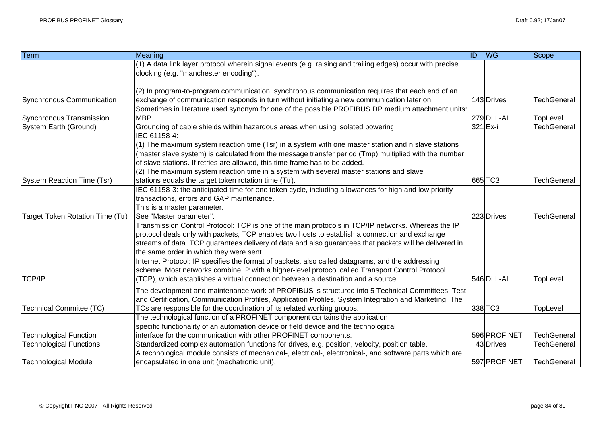| <b>Term</b>                      | Meaning                                                                                                   | ID WG        | Scope              |
|----------------------------------|-----------------------------------------------------------------------------------------------------------|--------------|--------------------|
|                                  | (1) A data link layer protocol wherein signal events (e.g. raising and trailing edges) occur with precise |              |                    |
|                                  | clocking (e.g. "manchester encoding").                                                                    |              |                    |
|                                  |                                                                                                           |              |                    |
|                                  | (2) In program-to-program communication, synchronous communication requires that each end of an           |              |                    |
| Synchronous Communication        | exchange of communication responds in turn without initiating a new communication later on.               | 143 Drives   | <b>TechGeneral</b> |
|                                  | Sometimes in literature used synonym for one of the possible PROFIBUS DP medium attachment units:         |              |                    |
| Synchronous Transmission         | <b>MBP</b>                                                                                                | 279 DLL-AL   | TopLevel           |
| System Earth (Ground)            | Grounding of cable shields within hazardous areas when using isolated powering                            | 321 Ex-i     | <b>TechGeneral</b> |
|                                  | IEC 61158-4:                                                                                              |              |                    |
|                                  | (1) The maximum system reaction time (Tsr) in a system with one master station and n slave stations       |              |                    |
|                                  | (master slave system) is calculated from the message transfer period (Tmp) multiplied with the number     |              |                    |
|                                  | of slave stations. If retries are allowed, this time frame has to be added.                               |              |                    |
|                                  | (2) The maximum system reaction time in a system with several master stations and slave                   |              |                    |
| System Reaction Time (Tsr)       | stations equals the target token rotation time (Ttr).                                                     | 665 TC3      | <b>TechGeneral</b> |
|                                  | IEC 61158-3: the anticipated time for one token cycle, including allowances for high and low priority     |              |                    |
|                                  | transactions, errors and GAP maintenance.                                                                 |              |                    |
|                                  | This is a master parameter.                                                                               |              |                    |
| Target Token Rotation Time (Ttr) | See "Master parameter".                                                                                   | 223 Drives   | <b>TechGeneral</b> |
|                                  | Transmission Control Protocol: TCP is one of the main protocols in TCP/IP networks. Whereas the IP        |              |                    |
|                                  | protocol deals only with packets, TCP enables two hosts to establish a connection and exchange            |              |                    |
|                                  | streams of data. TCP guarantees delivery of data and also guarantees that packets will be delivered in    |              |                    |
|                                  | the same order in which they were sent.                                                                   |              |                    |
|                                  | Internet Protocol: IP specifies the format of packets, also called datagrams, and the addressing          |              |                    |
|                                  | scheme. Most networks combine IP with a higher-level protocol called Transport Control Protocol           |              |                    |
| <b>TCP/IP</b>                    | (TCP), which establishes a virtual connection between a destination and a source.                         | 546 DLL-AL   | <b>TopLevel</b>    |
|                                  | The development and maintenance work of PROFIBUS is structured into 5 Technical Committees: Test          |              |                    |
|                                  | and Certification, Communication Profiles, Application Profiles, System Integration and Marketing. The    |              |                    |
| <b>Technical Commitee (TC)</b>   | TCs are responsible for the coordination of its related working groups.                                   | 338 TC3      | TopLevel           |
|                                  | The technological function of a PROFINET component contains the application                               |              |                    |
|                                  | specific functionality of an automation device or field device and the technological                      |              |                    |
| <b>Technological Function</b>    | interface for the communication with other PROFINET components.                                           | 596 PROFINET | <b>TechGeneral</b> |
| <b>Technological Functions</b>   | Standardized complex automation functions for drives, e.g. position, velocity, position table.            | 43 Drives    | <b>TechGeneral</b> |
|                                  | A technological module consists of mechanical-, electrical-, electronical-, and software parts which are  |              |                    |
| <b>Technological Module</b>      | encapsulated in one unit (mechatronic unit).                                                              | 597 PROFINET | <b>TechGeneral</b> |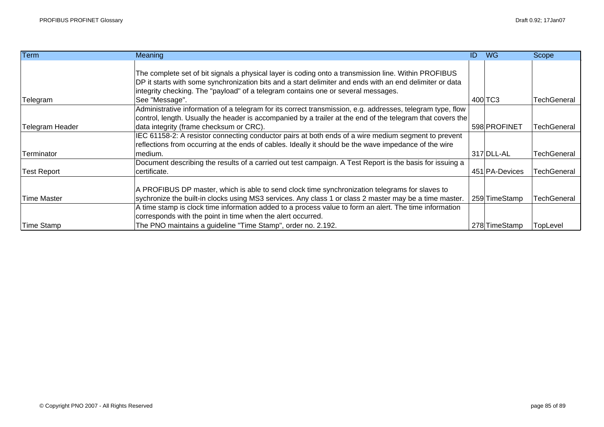| Term               | Meaning                                                                                                    | WG.<br>ID      | Scope              |
|--------------------|------------------------------------------------------------------------------------------------------------|----------------|--------------------|
|                    |                                                                                                            |                |                    |
|                    | The complete set of bit signals a physical layer is coding onto a transmission line. Within PROFIBUS       |                |                    |
|                    | DP it starts with some synchronization bits and a start delimiter and ends with an end delimiter or data   |                |                    |
|                    | integrity checking. The "payload" of a telegram contains one or several messages.                          |                |                    |
| Telegram           | See "Message".                                                                                             | 400 TC3        | <b>TechGeneral</b> |
|                    | Administrative information of a telegram for its correct transmission, e.g. addresses, telegram type, flow |                |                    |
|                    | control, length. Usually the header is accompanied by a trailer at the end of the telegram that covers the |                |                    |
| Telegram Header    | data integrity (frame checksum or CRC).                                                                    | 598 PROFINET   | TechGeneral        |
|                    | IEC 61158-2: A resistor connecting conductor pairs at both ends of a wire medium segment to prevent        |                |                    |
|                    | reflections from occurring at the ends of cables. Ideally it should be the wave impedance of the wire      |                |                    |
| Terminator         | medium.                                                                                                    | 317 DLL-AL     | <b>TechGeneral</b> |
|                    | Document describing the results of a carried out test campaign. A Test Report is the basis for issuing a   |                |                    |
| <b>Test Report</b> | certificate.                                                                                               | 451 PA-Devices | TechGeneral        |
|                    | A PROFIBUS DP master, which is able to send clock time synchronization telegrams for slaves to             |                |                    |
|                    |                                                                                                            |                |                    |
| <b>Time Master</b> | sychronize the built-in clocks using MS3 services. Any class 1 or class 2 master may be a time master.     | 259 TimeStamp  | TechGeneral        |
|                    | A time stamp is clock time information added to a process value to form an alert. The time information     |                |                    |
|                    | corresponds with the point in time when the alert occurred.                                                |                |                    |
| Time Stamp         | The PNO maintains a guideline "Time Stamp", order no. 2.192.                                               | 278 TimeStamp  | TopLevel           |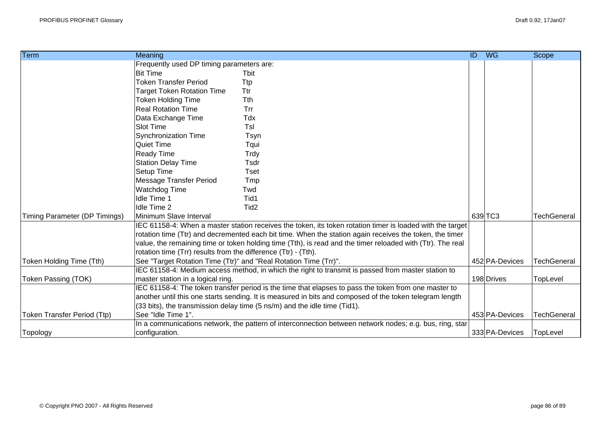| <b>Term</b>                   | Meaning                                                        |                                                                                                            | $\overline{1}$ | <b>WG</b>      | Scope              |
|-------------------------------|----------------------------------------------------------------|------------------------------------------------------------------------------------------------------------|----------------|----------------|--------------------|
|                               | Frequently used DP timing parameters are:                      |                                                                                                            |                |                |                    |
|                               | <b>Bit Time</b>                                                | <b>Tbit</b>                                                                                                |                |                |                    |
|                               | <b>Token Transfer Period</b>                                   | <b>T</b> tp                                                                                                |                |                |                    |
|                               | <b>Target Token Rotation Time</b>                              | Ttr                                                                                                        |                |                |                    |
|                               | <b>Token Holding Time</b>                                      | Tth                                                                                                        |                |                |                    |
|                               | <b>Real Rotation Time</b>                                      | Trr                                                                                                        |                |                |                    |
|                               | Data Exchange Time                                             | Tdx                                                                                                        |                |                |                    |
|                               | Slot Time                                                      | Tsl                                                                                                        |                |                |                    |
|                               | <b>Synchronization Time</b>                                    | Tsyn                                                                                                       |                |                |                    |
|                               | Quiet Time                                                     | Tqui                                                                                                       |                |                |                    |
|                               | <b>Ready Time</b>                                              | Trdy                                                                                                       |                |                |                    |
|                               | <b>Station Delay Time</b>                                      | Tsdr                                                                                                       |                |                |                    |
|                               | Setup Time                                                     | <b>Tset</b>                                                                                                |                |                |                    |
|                               | Message Transfer Period                                        | Tmp                                                                                                        |                |                |                    |
|                               | Watchdog Time                                                  | Twd                                                                                                        |                |                |                    |
|                               | Idle Time 1                                                    | Tid1                                                                                                       |                |                |                    |
|                               | Idle Time 2                                                    | Tid <sub>2</sub>                                                                                           |                |                |                    |
| Timing Parameter (DP Timings) | Minimum Slave Interval                                         |                                                                                                            |                | 639 TC3        | TechGeneral        |
|                               |                                                                | IEC 61158-4: When a master station receives the token, its token rotation timer is loaded with the target  |                |                |                    |
|                               |                                                                | rotation time (Ttr) and decremented each bit time. When the station again receives the token, the timer    |                |                |                    |
|                               |                                                                | value, the remaining time or token holding time (Tth), is read and the timer reloaded with (Ttr). The real |                |                |                    |
|                               | rotation time (Trr) results from the difference (Ttr) - (Tth). |                                                                                                            |                |                |                    |
| Token Holding Time (Tth)      |                                                                | See "Target Rotation Time (Ttr)" and "Real Rotation Time (Trr)".                                           |                | 452 PA-Devices | <b>TechGeneral</b> |
|                               |                                                                | IEC 61158-4: Medium access method, in which the right to transmit is passed from master station to         |                |                |                    |
| <b>Token Passing (TOK)</b>    | master station in a logical ring.                              |                                                                                                            |                | 198 Drives     | TopLevel           |
|                               |                                                                | IEC 61158-4: The token transfer period is the time that elapses to pass the token from one master to       |                |                |                    |
|                               |                                                                | another until this one starts sending. It is measured in bits and composed of the token telegram length    |                |                |                    |
|                               |                                                                | (33 bits), the transmission delay time (5 ns/m) and the idle time (Tid1).                                  |                |                |                    |
| Token Transfer Period (Ttp)   | See "Idle Time 1".                                             |                                                                                                            |                | 453 PA-Devices | <b>TechGeneral</b> |
|                               |                                                                | In a communications network, the pattern of interconnection between network nodes; e.g. bus, ring, star    |                |                |                    |
| Topology                      | configuration.                                                 |                                                                                                            |                | 333 PA-Devices | TopLevel           |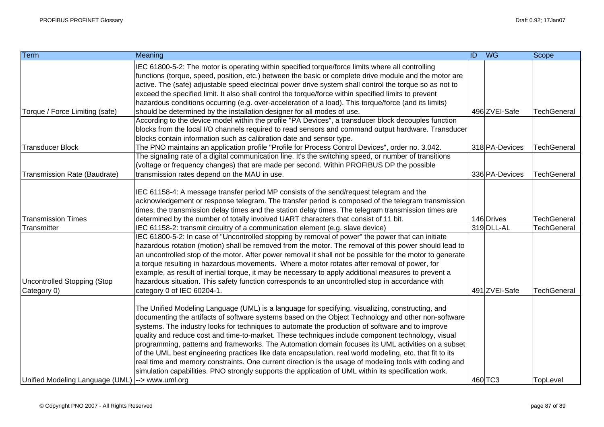| <b>Term</b>                                     | Meaning                                                                                                                                                                                                                                                                                                                                                                                                                                                                                                                                                                                                                                                                                                                                                                                                                                              | $\overline{ID}$ | <b>WG</b>      | Scope              |
|-------------------------------------------------|------------------------------------------------------------------------------------------------------------------------------------------------------------------------------------------------------------------------------------------------------------------------------------------------------------------------------------------------------------------------------------------------------------------------------------------------------------------------------------------------------------------------------------------------------------------------------------------------------------------------------------------------------------------------------------------------------------------------------------------------------------------------------------------------------------------------------------------------------|-----------------|----------------|--------------------|
| Torque / Force Limiting (safe)                  | IEC 61800-5-2: The motor is operating within specified torque/force limits where all controlling<br>functions (torque, speed, position, etc.) between the basic or complete drive module and the motor are<br>active. The (safe) adjustable speed electrical power drive system shall control the torque so as not to<br>exceed the specified limit. It also shall control the torque/force within specified limits to prevent<br>hazardous conditions occurring (e.g. over-acceleration of a load). This torque/force (and its limits)<br>should be determined by the installation designer for all modes of use.                                                                                                                                                                                                                                   |                 | 496 ZVEI-Safe  | <b>TechGeneral</b> |
| <b>Transducer Block</b>                         | According to the device model within the profile "PA Devices", a transducer block decouples function<br>blocks from the local I/O channels required to read sensors and command output hardware. Transducer<br>blocks contain information such as calibration date and sensor type.<br>The PNO maintains an application profile "Profile for Process Control Devices", order no. 3.042.                                                                                                                                                                                                                                                                                                                                                                                                                                                              |                 | 318 PA-Devices | <b>TechGeneral</b> |
| Transmission Rate (Baudrate)                    | The signaling rate of a digital communication line. It's the switching speed, or number of transitions<br>(voltage or frequency changes) that are made per second. Within PROFIBUS DP the possible<br>transmission rates depend on the MAU in use.                                                                                                                                                                                                                                                                                                                                                                                                                                                                                                                                                                                                   |                 | 336 PA-Devices | <b>TechGeneral</b> |
| <b>Transmission Times</b>                       | IEC 61158-4: A message transfer period MP consists of the send/request telegram and the<br>acknowledgement or response telegram. The transfer period is composed of the telegram transmission<br>times, the transmission delay times and the station delay times. The telegram transmission times are<br>determined by the number of totally involved UART characters that consist of 11 bit.                                                                                                                                                                                                                                                                                                                                                                                                                                                        |                 | 146 Drives     | <b>TechGeneral</b> |
| Transmitter                                     | IEC 61158-2: transmit circuitry of a communication element (e.g. slave device)                                                                                                                                                                                                                                                                                                                                                                                                                                                                                                                                                                                                                                                                                                                                                                       |                 | 319 DLL-AL     | <b>TechGeneral</b> |
| Uncontrolled Stopping (Stop<br>Category 0)      | IEC 61800-5-2: In case of "Uncontrolled stopping by removal of power" the power that can initiate<br>hazardous rotation (motion) shall be removed from the motor. The removal of this power should lead to<br>an uncontrolled stop of the motor. After power removal it shall not be possible for the motor to generate<br>a torque resulting in hazardous movements. Where a motor rotates after removal of power, for<br>example, as result of inertial torque, it may be necessary to apply additional measures to prevent a<br>hazardous situation. This safety function corresponds to an uncontrolled stop in accordance with<br>category 0 of IEC 60204-1.                                                                                                                                                                                    |                 | 491 ZVEI-Safe  | <b>TechGeneral</b> |
| Unified Modeling Language (UML) --> www.uml.org | The Unified Modeling Language (UML) is a language for specifying, visualizing, constructing, and<br>documenting the artifacts of software systems based on the Object Technology and other non-software<br>systems. The industry looks for techniques to automate the production of software and to improve<br>quality and reduce cost and time-to-market. These techniques include component technology, visual<br>programming, patterns and frameworks. The Automation domain focuses its UML activities on a subset<br>of the UML best engineering practices like data encapsulation, real world modeling, etc. that fit to its<br>real time and memory constraints. One current direction is the usage of modeling tools with coding and<br>simulation capabilities. PNO strongly supports the application of UML within its specification work. |                 | 460 TC3        | TopLevel           |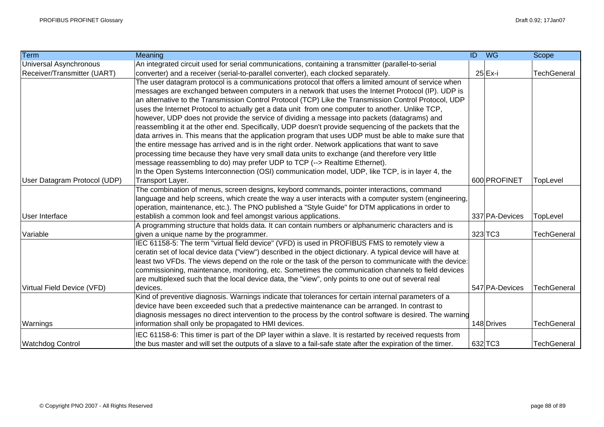| <b>Term</b>                  | Meaning                                                                                                     | <b>ID</b> WG |                | Scope              |
|------------------------------|-------------------------------------------------------------------------------------------------------------|--------------|----------------|--------------------|
| Universal Asynchronous       | An integrated circuit used for serial communications, containing a transmitter (parallel-to-serial          |              |                |                    |
| Receiver/Transmitter (UART)  | converter) and a receiver (serial-to-parallel converter), each clocked separately.                          |              | $25$ $Ex-i$    | <b>TechGeneral</b> |
|                              | The user datagram protocol is a communications protocol that offers a limited amount of service when        |              |                |                    |
|                              | messages are exchanged between computers in a network that uses the Internet Protocol (IP). UDP is          |              |                |                    |
|                              | an alternative to the Transmission Control Protocol (TCP) Like the Transmission Control Protocol, UDP       |              |                |                    |
|                              | uses the Internet Protocol to actually get a data unit from one computer to another. Unlike TCP,            |              |                |                    |
|                              | however, UDP does not provide the service of dividing a message into packets (datagrams) and                |              |                |                    |
|                              | reassembling it at the other end. Specifically, UDP doesn't provide sequencing of the packets that the      |              |                |                    |
|                              | data arrives in. This means that the application program that uses UDP must be able to make sure that       |              |                |                    |
|                              | the entire message has arrived and is in the right order. Network applications that want to save            |              |                |                    |
|                              | processing time because they have very small data units to exchange (and therefore very little              |              |                |                    |
|                              | message reassembling to do) may prefer UDP to TCP (--> Realtime Ethernet).                                  |              |                |                    |
|                              | In the Open Systems Interconnection (OSI) communication model, UDP, like TCP, is in layer 4, the            |              |                |                    |
| User Datagram Protocol (UDP) | Transport Layer.                                                                                            |              | 600 PROFINET   | TopLevel           |
|                              | The combination of menus, screen designs, keybord commands, pointer interactions, command                   |              |                |                    |
|                              | language and help screens, which create the way a user interacts with a computer system (engineering,       |              |                |                    |
|                              | operation, maintenance, etc.). The PNO published a "Style Guide" for DTM applications in order to           |              |                |                    |
| <b>User Interface</b>        | establish a common look and feel amongst various applications.                                              |              | 337 PA-Devices | TopLevel           |
|                              | A programming structure that holds data. It can contain numbers or alphanumeric characters and is           |              |                |                    |
| Variable                     | given a unique name by the programmer.                                                                      |              | $323$ TC3      | <b>TechGeneral</b> |
|                              | IEC 61158-5: The term "virtual field device" (VFD) is used in PROFIBUS FMS to remotely view a               |              |                |                    |
|                              | ceratin set of local device data ("view") described in the object dictionary. A typical device will have at |              |                |                    |
|                              | least two VFDs. The views depend on the role or the task of the person to communicate with the device:      |              |                |                    |
|                              | commissioning, maintenance, monitoring, etc. Sometimes the communication channels to field devices          |              |                |                    |
|                              | are multiplexed such that the local device data, the "view", only points to one out of several real         |              |                |                    |
| Virtual Field Device (VFD)   | devices.                                                                                                    |              | 547 PA-Devices | <b>TechGeneral</b> |
|                              | Kind of preventive diagnosis. Warnings indicate that tolerances for certain internal parameters of a        |              |                |                    |
|                              | device have been exceeded such that a predective maintenance can be arranged. In contrast to                |              |                |                    |
|                              | diagnosis messages no direct intervention to the process by the control software is desired. The warning    |              |                |                    |
| Warnings                     | information shall only be propagated to HMI devices.                                                        |              | 148 Drives     | <b>TechGeneral</b> |
|                              | IEC 61158-6: This timer is part of the DP layer within a slave. It is restarted by received requests from   |              |                |                    |
| <b>Watchdog Control</b>      | the bus master and will set the outputs of a slave to a fail-safe state after the expiration of the timer.  |              | 632 TC3        | <b>TechGeneral</b> |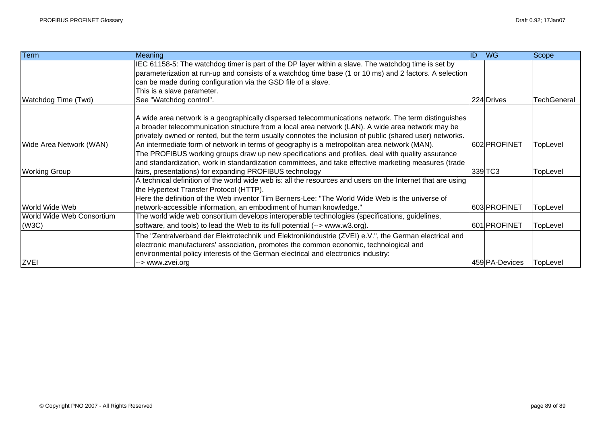| <b>Term</b>               | <b>Meaning</b>                                                                                              | <b>WG</b><br>ID | Scope              |
|---------------------------|-------------------------------------------------------------------------------------------------------------|-----------------|--------------------|
|                           | IEC 61158-5: The watchdog timer is part of the DP layer within a slave. The watchdog time is set by         |                 |                    |
|                           | parameterization at run-up and consists of a watchdog time base (1 or 10 ms) and 2 factors. A selection     |                 |                    |
|                           | can be made during configuration via the GSD file of a slave.                                               |                 |                    |
|                           | This is a slave parameter.                                                                                  |                 |                    |
| Watchdog Time (Twd)       | See "Watchdog control".                                                                                     | 224 Drives      | <b>TechGeneral</b> |
|                           | A wide area network is a geographically dispersed telecommunications network. The term distinguishes        |                 |                    |
|                           | a broader telecommunication structure from a local area network (LAN). A wide area network may be           |                 |                    |
|                           | privately owned or rented, but the term usually connotes the inclusion of public (shared user) networks.    |                 |                    |
| Wide Area Network (WAN)   | An intermediate form of network in terms of geography is a metropolitan area network (MAN).                 | 602 PROFINET    | TopLevel           |
|                           | The PROFIBUS working groups draw up new specifications and profiles, deal with quality assurance            |                 |                    |
|                           | and standardization, work in standardization committees, and take effective marketing measures (trade       |                 |                    |
| <b>Working Group</b>      | fairs, presentations) for expanding PROFIBUS technology                                                     | 339 TC3         | TopLevel           |
|                           | A technical definition of the world wide web is: all the resources and users on the Internet that are using |                 |                    |
|                           | the Hypertext Transfer Protocol (HTTP).                                                                     |                 |                    |
|                           | Here the definition of the Web inventor Tim Berners-Lee: "The World Wide Web is the universe of             |                 |                    |
| World Wide Web            | network-accessible information, an embodiment of human knowledge."                                          | 603 PROFINET    | TopLevel           |
| World Wide Web Consortium | The world wide web consortium develops interoperable technologies (specifications, guidelines,              |                 |                    |
| (W3C)                     | software, and tools) to lead the Web to its full potential (--> www.w3.org).                                | 601 PROFINET    | TopLevel           |
|                           | The "Zentralverband der Elektrotechnik und Elektronikindustrie (ZVEI) e.V.", the German electrical and      |                 |                    |
|                           | electronic manufacturers' association, promotes the common economic, technological and                      |                 |                    |
|                           | environmental policy interests of the German electrical and electronics industry:                           |                 |                    |
| <b>ZVEI</b>               | --> www.zvei.org                                                                                            | 459 PA-Devices  | TopLevel           |